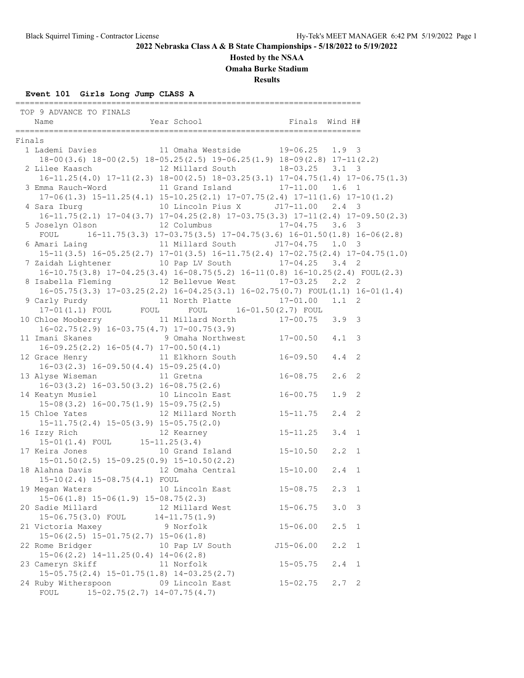## **Hosted by the NSAA**

**Omaha Burke Stadium**

**Results**

## **Event 101 Girls Long Jump CLASS A**

| TOP 9 ADVANCE TO FINALS                                                                   |                          |                  |                    |
|-------------------------------------------------------------------------------------------|--------------------------|------------------|--------------------|
| Name                                                                                      | Year School              | Finals Wind H#   |                    |
| Finals                                                                                    |                          |                  |                    |
| 1 Lademi Davies 11 Omaha Westside 19-06.25 1.9 3                                          |                          |                  |                    |
| $18-00(3.6)$ $18-00(2.5)$ $18-05.25(2.5)$ $19-06.25(1.9)$ $18-09(2.8)$ $17-11(2.2)$       |                          |                  |                    |
|                                                                                           |                          |                  |                    |
| $16-11.25(4.0)$ $17-11(2.3)$ $18-00(2.5)$ $18-03.25(3.1)$ $17-04.75(1.4)$ $17-06.75(1.3)$ |                          |                  |                    |
| 3 Emma Rauch-Word 11 Grand Island 17-11.00 1.6 1                                          |                          |                  |                    |
| $17-06(1.3)$ $15-11.25(4.1)$ $15-10.25(2.1)$ $17-07.75(2.4)$ $17-11(1.6)$ $17-10(1.2)$    |                          |                  |                    |
| 4 Sara Iburg 10 Lincoln Pius X J17-11.00 2.4 3                                            |                          |                  |                    |
| $16-11.75(2.1)$ $17-04(3.7)$ $17-04.25(2.8)$ $17-03.75(3.3)$ $17-11(2.4)$ $17-09.50(2.3)$ |                          |                  |                    |
| 5 Joselyn Olson 12 Columbus 17-04.75 3.6 3                                                |                          |                  |                    |
|                                                                                           |                          |                  |                    |
| FOUL 16-11.75(3.3) $17-03.75(3.5)$ $17-04.75(3.6)$ $16-01.50(1.8)$ $16-06(2.8)$           |                          |                  |                    |
| 6 Amari Laing                 11 Millard South         J17-04.75     1.0   3              |                          |                  |                    |
| $15-11(3.5)$ $16-05.25(2.7)$ $17-01(3.5)$ $16-11.75(2.4)$ $17-02.75(2.4)$ $17-04.75(1.0)$ |                          |                  |                    |
| 7 Zaidah Lightener 10 Pap LV South 17-04.25 3.4 2                                         |                          |                  |                    |
| $16-10.75(3.8)$ $17-04.25(3.4)$ $16-08.75(5.2)$ $16-11(0.8)$ $16-10.25(2.4)$ $F0UL(2.3)$  |                          |                  |                    |
| 8 Isabella Fleming 12 Bellevue West 17-03.25 2.2 2                                        |                          |                  |                    |
| $16-05.75(3.3)$ $17-03.25(2.2)$ $16-04.25(3.1)$ $16-02.75(0.7)$ $F0UL(1.1)$ $16-01(1.4)$  |                          |                  |                    |
| 9 Carly Purdy 11 North Platte 17-01.00 1.1 2                                              |                          |                  |                    |
| 17-01(1.1) FOUL FOUL FOUL 16-01.50(2.7) FOUL                                              |                          |                  |                    |
| 10 Chloe Mooberry 11 Millard North 17-00.75 3.9 3                                         |                          |                  |                    |
| $16-02.75(2.9)$ $16-03.75(4.7)$ $17-00.75(3.9)$                                           |                          |                  |                    |
| 11 Imani Skanes 9 Omaha Northwest 17-00.50 4.1 3                                          |                          |                  |                    |
| $16-09.25(2.2)$ $16-05(4.7)$ $17-00.50(4.1)$                                              |                          |                  |                    |
| 12 Grace Henry 11 Elkhorn South                                                           |                          | $16 - 09.50$ 4.4 | 2                  |
| $16-03(2.3)$ $16-09.50(4.4)$ $15-09.25(4.0)$                                              |                          |                  |                    |
|                                                                                           |                          | $16 - 08.75$     | 2.6<br>2           |
| 13 Alyse Wiseman 11 Gretna<br>16-03 (3.2) 16-03.50 (3.2) 16-08.75 (2.6)                   |                          |                  |                    |
| 14 Keatyn Musiel 10 Lincoln East 16-00.75                                                 |                          |                  | 1.9<br>2           |
| $15-08(3.2)$ $16-00.75(1.9)$ $15-09.75(2.5)$                                              |                          |                  |                    |
| 15 Chloe Yates 12 Millard North 15-11.75                                                  |                          |                  | 2.4<br>2           |
| $15-11.75(2.4)$ $15-05(3.9)$ $15-05.75(2.0)$                                              |                          |                  |                    |
| 16 Izzy Rich                                                                              |                          |                  | 3.4<br>1           |
| $15-01(1.4)$ FOUL $15-11.25(3.4)$                                                         | 12 Kearney 15-11.25      |                  |                    |
| 17 Keira Jones                                                                            | 10 Grand Island 15-10.50 |                  | $2 \cdot 2$<br>1   |
| $15-01.50(2.5)$ $15-09.25(0.9)$ $15-10.50(2.2)$                                           |                          |                  |                    |
| 18 Alahna Davis                 12 Omaha Central           15-10.00     2.4               |                          |                  | 1                  |
|                                                                                           |                          |                  |                    |
| $15-10(2.4)$ $15-08.75(4.1)$ FOUL                                                         |                          |                  |                    |
| 19 Megan Waters                                                                           | 10 Lincoln East          | $15 - 08.75$     | $2.3 \quad 1$      |
| $15-06(1.8)$ $15-06(1.9)$ $15-08.75(2.3)$                                                 |                          |                  |                    |
| 20 Sadie Millard                                                                          | 12 Millard West          | $15 - 06.75$     | $3.0 \quad 3$      |
| 15-06.75(3.0) FOUL                                                                        | $14 - 11.75(1.9)$        |                  |                    |
| 21 Victoria Maxey                                                                         | 9 Norfolk                | $15 - 06.00$     | 2.5<br>$\mathbf 1$ |
| $15-06(2.5)$ $15-01.75(2.7)$ $15-06(1.8)$                                                 |                          |                  |                    |
| 22 Rome Bridger                                                                           | 10 Pap LV South          | $J15 - 06.00$    | 2.2<br>1           |
| $15-06(2.2)$ $14-11.25(0.4)$ $14-06(2.8)$                                                 |                          |                  |                    |
| 23 Cameryn Skiff                                                                          | 11 Norfolk               | $15 - 05.75$     | 2.4<br>1           |
| $15-05.75(2.4)$ $15-01.75(1.8)$ $14-03.25(2.7)$                                           |                          |                  |                    |
| 24 Ruby Witherspoon                                                                       | 09 Lincoln East          | $15 - 02.75$     | $2.7 \quad 2$      |
| ${\tt FOUL}$<br>$15 - 02.75(2.7)$ $14 - 07.75(4.7)$                                       |                          |                  |                    |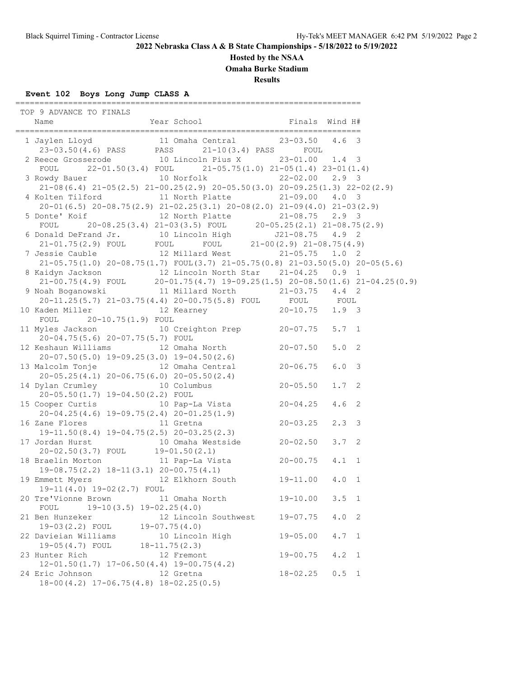#### **Hosted by the NSAA**

**Omaha Burke Stadium**

**Results**

#### **Event 102 Boys Long Jump CLASS A**

 TOP 9 ADVANCE TO FINALS Name  $Year School$  Finals Wind H# ======================================================================== 1 Jaylen Lloyd 11 Omaha Central 23-03.50 4.6 3 23-03.50(4.6) PASS PASS 21-10(3.4) PASS FOUL 2 Reece Grosserode 10 Lincoln Pius X 23-01.00 1.4 3 FOUL 22-01.50(3.4) FOUL 21-05.75(1.0) 21-05(1.4) 23-01(1.4) 3 Rowdy Bauer 10 Norfolk 22-02.00 2.9 3 21-08(6.4) 21-05(2.5) 21-00.25(2.9) 20-05.50(3.0) 20-09.25(1.3) 22-02(2.9) 4 Kolten Tilford 11 North Platte 21-09.00 4.0 3 20-01(6.5) 20-08.75(2.9) 21-02.25(3.1) 20-08(2.0) 21-09(4.0) 21-03(2.9) 5 Donte' Koif 12 North Platte 21-08.75 2.9 3 FOUL 20-08.25(3.4) 21-03(3.5) FOUL 20-05.25(2.1) 21-08.75(2.9) 6 Donald DeFrand Jr. 10 Lincoln High J21-08.75 4.9 2 21-01.75(2.9) FOUL FOUL FOUL 21-00(2.9) 21-08.75(4.9) 7 Jessie Cauble 12 Millard West 21-05.75 1.0 2 21-05.75(1.0) 20-08.75(1.7) FOUL(3.7) 21-05.75(0.8) 21-03.50(5.0) 20-05(5.6) 8 Kaidyn Jackson 12 Lincoln North Star 21-04.25 0.9 1 21-00.75(4.9) FOUL 20-01.75(4.7) 19-09.25(1.5) 20-08.50(1.6) 21-04.25(0.9) 9 Noah Boganowski 11 Millard North 21-03.75 4.4 2 20-11.25(5.7) 21-03.75(4.4) 20-00.75(5.8) FOUL FOUL FOUL 10 Kaden Miller 12 Kearney 20-10.75 1.9 3 FOUL 20-10.75(1.9) FOUL 11 Myles Jackson 10 Creighton Prep 20-07.75 5.7 1 20-04.75(5.6) 20-07.75(5.7) FOUL<br>12 Keshaun Williams 12 Omaha North 12 Keshaun Williams 12 Omaha North 20-07.50 5.0 2 20-07.50(5.0) 19-09.25(3.0) 19-04.50(2.6) 13 Malcolm Tonje 12 Omaha Central 20-06.75 6.0 3 20-05.25(4.1) 20-06.75(6.0) 20-05.50(2.4) 14 Dylan Crumley 10 Columbus 20-05.50 1.7 2 20-05.50(1.7) 19-04.50(2.2) FOUL<br>15 Cooper Curtis 10 Pap-I 10 Pap-La Vista 20-04.25 4.6 2 20-04.25(4.6) 19-09.75(2.4) 20-01.25(1.9) 16 Zane Flores 11 Gretna 20-03.25 2.3 3 19-11.50(8.4) 19-04.75(2.5) 20-03.25(2.3) 17 Jordan Hurst 10 Omaha Westside 20-02.50 3.7 2 20-02.50(3.7) FOUL 19-01.50(2.1) 18 Braelin Morton 11 Pap-La Vista 20-00.75 4.1 1 20-02.50(3.7) FOOL 19-01.50(2.1)<br>Braelin Morton 11 Pap-La Vista<br>19-08.75(2.2) 18-11(3.1) 20-00.75(4.1) 19 Emmett Myers 12 Elkhorn South 19-11.00 4.0 1<br>19-11(4.0) 19-02(2.7) FOUL 19-11(4.0) 19-02(2.7) FOUL 20 Tre'Vionne Brown 11 Omaha North 19-10.00 3.5 1 FOUL 19-10(3.5) 19-02.25(4.0) 21 Ben Hunzeker 12 Lincoln Southwest 19-07.75 4.0 2 19-03(2.2) FOUL 19-07.75(4.0) 22 Davieian Williams 10 Lincoln High 19-05.00 4.7 1 19-05(4.7) FOUL 18-11.75(2.3) 23 Hunter Rich 12 Fremont 19-00.75 4.2 1 12-01.50(1.7) 17-06.50(4.4) 19-00.75(4.2) 24 Eric Johnson 12 Gretna 18-02.25 0.5 1 18-00(4.2) 17-06.75(4.8) 18-02.25(0.5)

========================================================================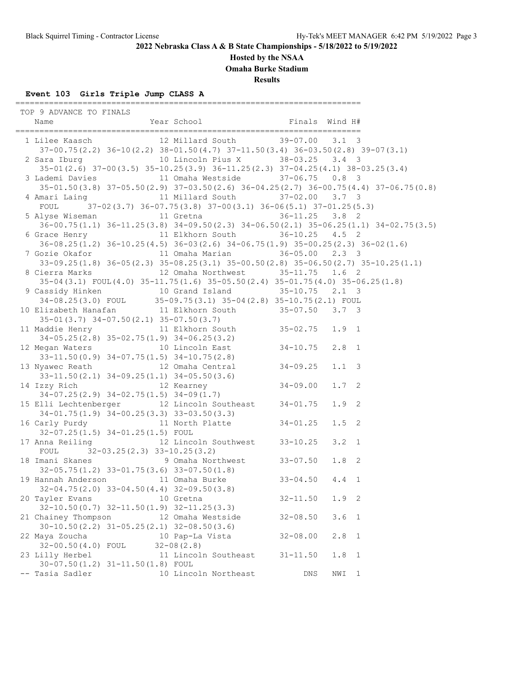**Hosted by the NSAA**

**Omaha Burke Stadium**

**Results**

# **Event 103 Girls Triple Jump CLASS A**

========================================================================

| TOP 9 ADVANCE TO FINALS                                                                                           |                          |              |               |                |
|-------------------------------------------------------------------------------------------------------------------|--------------------------|--------------|---------------|----------------|
|                                                                                                                   |                          |              |               |                |
|                                                                                                                   |                          |              |               |                |
| 1 Lilee Kaasch                 12 Millard South           39-07.00     3.1   3                                    |                          |              |               |                |
| $37-00.75(2.2)$ $36-10(2.2)$ $38-01.50(4.7)$ $37-11.50(3.4)$ $36-03.50(2.8)$ $39-07(3.1)$                         |                          |              |               |                |
| 2 Sara Iburg 10 Lincoln Pius X 38-03.25 3.4 3                                                                     |                          |              |               |                |
| $35-01 (2.6) 37-00 (3.5) 35-10.25 (3.9) 36-11.25 (2.3) 37-04.25 (4.1) 38-03.25 (3.4)$                             |                          |              |               |                |
| 3 Lademi Davies 11 Omaha Westside 37-06.75 0.8 3                                                                  |                          |              |               |                |
| 35-01.50(3.8) 37-05.50(2.9) 37-03.50(2.6) 36-04.25(2.7) 36-00.75(4.4) 37-06.75(0.8)                               |                          |              |               |                |
| 4 Amari Laing 11 Millard South 37-02.00 3.7 3                                                                     |                          |              |               |                |
| FOUL 37-02 (3.7) 36-07.75 (3.8) 37-00 (3.1) 36-06 (5.1) 37-01.25 (5.3)                                            |                          |              |               |                |
| 5 Alyse Wiseman                                                                                                   | 11 Gretna 36-11.25 3.8 2 |              |               |                |
| 36-00.75(1.1) 36-11.25(3.8) 34-09.50(2.3) 34-06.50(2.1) 35-06.25(1.1) 34-02.75(3.5)                               |                          |              |               |                |
| 6 Grace Henry 11 Elkhorn South 36-10.25 4.5 2                                                                     |                          |              |               |                |
| 36-08.25(1.2) 36-10.25(4.5) 36-03(2.6) 34-06.75(1.9) 35-00.25(2.3) 36-02(1.6)                                     |                          |              |               |                |
| 7 Gozie Okafor                 11 Omaha Marian             36-05.00     2.3   3                                   |                          |              |               |                |
| $33-09.25(1.8)$ $36-05(2.3)$ $35-08.25(3.1)$ $35-00.50(2.8)$ $35-06.50(2.7)$ $35-10.25(1.1)$                      |                          |              |               |                |
|                                                                                                                   |                          |              |               |                |
| 8 Cierra Marks               12 Omaha Northwest         35-11.75     1.6   2                                      |                          |              |               |                |
| 35-04(3.1) FOUL(4.0) 35-11.75(1.6) 35-05.50(2.4) 35-01.75(4.0) 35-06.25(1.8)                                      |                          |              |               |                |
| 9 Cassidy Hinken 10 Grand Island 35-10.75 2.1 3<br>34-08.25(3.0) FOUL 35-09.75(3.1) 35-04(2.8) 35-10.75(2.1) FOUL |                          |              |               |                |
| 10 Elizabeth Hanafan 11 Elkhorn South 35-07.50 3.7 3                                                              |                          |              |               |                |
|                                                                                                                   |                          |              |               |                |
| $35-01(3.7)$ $34-07.50(2.1)$ $35-07.50(3.7)$                                                                      |                          |              |               |                |
| 11 Maddie Henry 11 Elkhorn South 35-02.75 1.9 1                                                                   |                          |              |               |                |
| 34-05.25(2.8) 35-02.75(1.9) 34-06.25(3.2)<br>12 Megan Waters 10 Lincoln East 34-10.75                             |                          |              |               |                |
|                                                                                                                   |                          |              | $2.8$ 1       |                |
| $33-11.50(0.9)$ $34-07.75(1.5)$ $34-10.75(2.8)$                                                                   |                          |              |               |                |
| 13 Nyawec Reath 12 Omaha Central 34-09.25                                                                         |                          |              | $1.1 \quad 3$ |                |
| $33-11.50(2.1)$ $34-09.25(1.1)$ $34-05.50(3.6)$                                                                   |                          |              |               |                |
| 14 Izzy Rich 12 Kearney 34-09.00                                                                                  |                          |              | $1.7 \quad 2$ |                |
| $34-07.25(2.9)$ $34-02.75(1.5)$ $34-09(1.7)$                                                                      |                          |              |               |                |
| 15 Elli Lechtenberger 12 Lincoln Southeast 34-01.75                                                               |                          |              | $1.9$ 2       |                |
| $34-01.75(1.9)$ $34-00.25(3.3)$ $33-03.50(3.3)$                                                                   |                          |              |               |                |
| 16 Carly Purdy 11 North Platte 34-01.25                                                                           |                          |              | $1.5$ 2       |                |
| 32-07.25(1.5) 34-01.25(1.5) FOUL                                                                                  |                          |              |               |                |
| 17 Anna Reiling 12 Lincoln Southwest 33-10.25                                                                     |                          |              | $3.2 \quad 1$ |                |
| FOUL $32-03.25(2.3) 33-10.25(3.2)$                                                                                |                          |              |               |                |
| 18 Imani Skanes 9 Omaha Northwest 33-07.50                                                                        |                          |              | $1.8 \quad 2$ |                |
|                                                                                                                   |                          |              |               |                |
| 32-05.75(1.2) 33-01.75(3.6) 33-07.50(1.8)<br>19 Hannah Anderson 11 Omaha Burke 33-04.50 4.4 1                     |                          |              |               |                |
| $32-04.75(2.0)$ $33-04.50(4.4)$ $32-09.50(3.8)$                                                                   |                          |              |               |                |
| 20 Tayler Evans                                                                                                   | 10 Gretna                | $32 - 11.50$ | $1.9$ 2       |                |
| $32-10.50(0.7)$ $32-11.50(1.9)$ $32-11.25(3.3)$                                                                   |                          |              |               |                |
| 21 Chainey Thompson 12 Omaha Westside                                                                             |                          | $32 - 08.50$ | 3.6           | $\overline{1}$ |
| $30-10.50(2.2)$ $31-05.25(2.1)$ $32-08.50(3.6)$                                                                   |                          |              |               |                |
| 22 Maya Zoucha                                                                                                    | 10 Pap-La Vista          | $32 - 08.00$ | 2.8           | 1              |
| $32-00.50(4.0)$ FOUL $32-08(2.8)$                                                                                 |                          |              |               |                |
| 23 Lilly Herbel                                                                                                   | 11 Lincoln Southeast     | $31 - 11.50$ | 1.8           | $\mathbf{1}$   |
| 30-07.50(1.2) 31-11.50(1.8) FOUL                                                                                  |                          |              |               |                |
| -- Tasia Sadler                                                                                                   | 10 Lincoln Northeast     | DNS          | NWI 1         |                |
|                                                                                                                   |                          |              |               |                |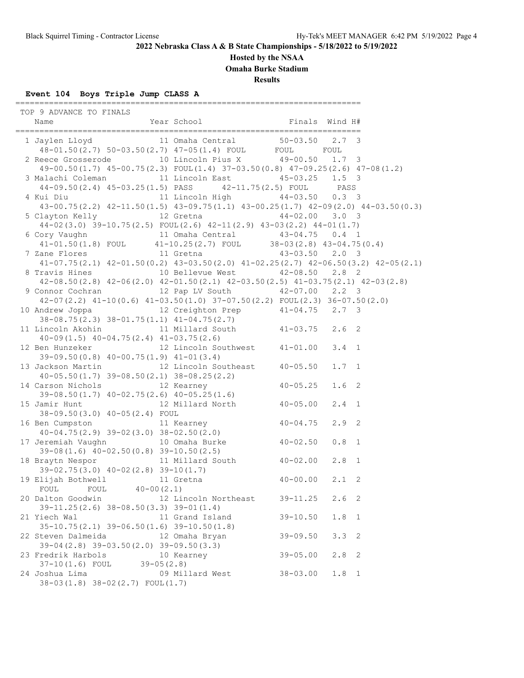**Hosted by the NSAA**

**Omaha Burke Stadium**

**Results**

# **Event 104 Boys Triple Jump CLASS A**

========================================================================

| TOP 9 ADVANCE TO FINALS                                                                                                                                                                       |                      |              |                  |                |
|-----------------------------------------------------------------------------------------------------------------------------------------------------------------------------------------------|----------------------|--------------|------------------|----------------|
| 48-01.50(2.7) 50-03.50(2.7) 47-05(1.4) FOUL FOUL FOUL                                                                                                                                         |                      |              |                  |                |
| 2 Reece Grosserode 10 Lincoln Pius X 49-00.50 1.7 3<br>$49-00.50(1.7)$ $45-00.75(2.3)$ $F\text{OUL}(1.4)$ $37-03.50(0.8)$ $47-09.25(2.6)$ $47-08(1.2)$                                        |                      |              |                  |                |
| 3 Malachi Coleman 11 Lincoln East 45-03.25 1.5 3<br>44-09.50(2.4) 45-03.25(1.5) PASS $42-11.75(2.5)$ FOUL PASS                                                                                |                      |              |                  |                |
| 4 Kui Diu                           11 Lincoln High             44-03.50     0.3   3<br>43-00.75 (2.2) 42-11.50 (1.5) 43-09.75 (1.1) 43-00.25 (1.7) 42-09 (2.0) 44-03.50 (0.3)                |                      |              |                  |                |
| 5 Clayton Kelly 12 Gretna 44-02.00 3.0 3<br>$44-02(3.0)$ 39-10.75(2.5) FOUL(2.6) $42-11(2.9)$ $43-03(2.2)$ $44-01(1.7)$                                                                       |                      |              |                  |                |
| 6 Cory Vaughn<br>41-01.50(1.8) FOUL<br>41-10.25(2.7) FOUL<br>41-10.25(2.7) FOUL<br>38-03(2.8) 43-04.75(0.4)<br>43-03.50<br>2.0<br>3                                                           |                      |              |                  |                |
| $41-07.75(2.1)$ $42-01.50(0.2)$ $43-03.50(2.0)$ $41-02.25(2.7)$ $42-06.50(3.2)$ $42-05(2.1)$                                                                                                  |                      |              |                  |                |
| 8 Travis Hines 10 Bellevue West 42-08.50 2.8 2<br>$42-08.50(2.8)$ $42-06(2.0)$ $42-01.50(2.1)$ $42-03.50(2.5)$ $41-03.75(2.1)$ $42-03(2.8)$                                                   |                      |              |                  |                |
| 9 Connor Cochran 12 Pap LV South 42-07.00 2.2 3<br>$42-07(2.2)$ $41-10(0.6)$ $41-03.50(1.0)$ $37-07.50(2.2)$ $FOUT(2.3)$ $36-07.50(2.0)$                                                      |                      |              |                  |                |
| 10 Andrew Joppa 12 Creighton Prep 41-04.75 2.7 3<br>$38-08.75(2.3)$ $38-01.75(1.1)$ $41-04.75(2.7)$<br>11 Lincoln Akohin 11 Millard South $41-03.75$ 2.6 2                                    |                      |              |                  |                |
| $40-09(1.5)$ $40-04.75(2.4)$ $41-03.75(2.6)$<br>12 Ben Hunzeker 12 Lincoln Southwest 41-01.00                                                                                                 |                      |              | $3.4 \quad 1$    |                |
| $39-09.50(0.8)$ $40-00.75(1.9)$ $41-01(3.4)$<br>13 Jackson Martin 12 Lincoln Southeast 40-05.50                                                                                               |                      |              | $1.7 \quad 1$    |                |
| $40-05.50(1.7)$ 39-08.50(2.1) 38-08.25(2.2)<br>14 Carson Nichols 12 Kearney $10-05.25$<br>39-09 50/1.7) 10:00 75/0.00 10:05 65/1.7                                                            |                      |              | 1.6 <sub>2</sub> |                |
| $39-08.50(1.7)$ $40-02.75(2.6)$ $40-05.25(1.6)$<br>$39 - 00.30(1.7)$ $40 - 02.75(2.6)$ $40 - 05.25(1.6)$<br>15 Jamir Hunt 12 Millard North 40-05.00                                           |                      |              | $2.4$ 1          |                |
| 38-09.50(3.0) 40-05(2.4) FOUL<br>38-09.50(3.0) 40-05(2.4) FOUL<br>16 Ben Cumpston 11 Kearney 40-04.75<br>40-04.75(2.9) 39-02(3.0) 38-02.50(2.0)<br>17 Jeremiah Vaughn 10 Omaha Burke 40-02.50 |                      |              | $2.9$ 2          |                |
|                                                                                                                                                                                               |                      |              | $0.8$ 1          |                |
| 39-08(1.6) $40-02.50(0.8)$ 39-10.50(2.5)<br>18 Braytn Nespor 11 Millard South 40-02.00                                                                                                        |                      |              |                  |                |
| 3raytn Nespor<br>39-02.75(3.0) $40-02(2.8)$ 39-10(1.7)<br>31 Gretna (1990) 40-00.00 2.1 2<br>31 Gretna (1990) 40-00.00 2.1 2<br>19 Elijah Bothwell 11 Gretna<br>FOUL FOUL $40-00(2.1)$        |                      |              |                  |                |
| 20 Dalton Goodwin<br>$39-11.25(2.6)$ $38-08.50(3.3)$ $39-01(1.4)$                                                                                                                             | 12 Lincoln Northeast | $39 - 11.25$ | 2.6 <sub>2</sub> |                |
| 21 Yiech Wal<br>$35-10.75(2.1)$ $39-06.50(1.6)$ $39-10.50(1.8)$                                                                                                                               | 11 Grand Island      | $39 - 10.50$ | 1.8              | $\overline{1}$ |
| 22 Steven Dalmeida 12 Omaha Bryan<br>$39-04(2.8)$ $39-03.50(2.0)$ $39-09.50(3.3)$                                                                                                             |                      | $39 - 09.50$ | $3.3 \quad 2$    |                |
| 23 Fredrik Harbols<br>$37-10(1.6)$ FOUL $39-05(2.8)$                                                                                                                                          | 10 Kearney           | $39 - 05.00$ | $2.8$ 2          |                |
| 24 Joshua Lima<br>38-03(1.8) 38-02(2.7) FOUL(1.7)                                                                                                                                             | 09 Millard West      | $38 - 03.00$ | $1.8 \quad 1$    |                |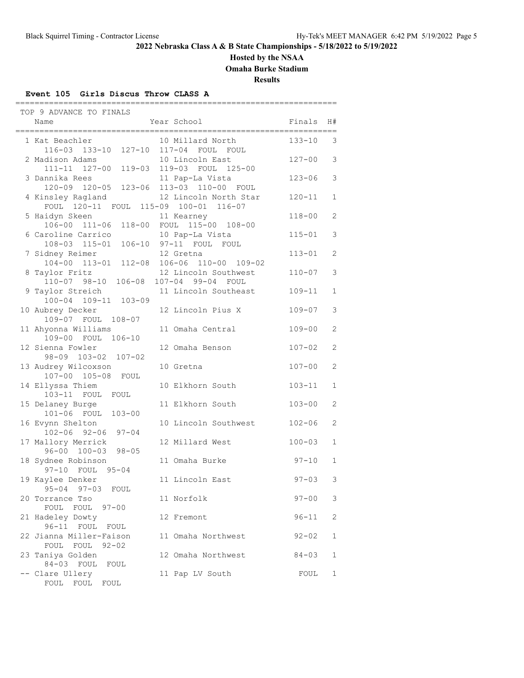# **Hosted by the NSAA**

**Omaha Burke Stadium**

**Results**

#### **Event 105 Girls Discus Throw CLASS A**

| TOP 9 ADVANCE TO FINALS                                    |                                                        |                         |                |
|------------------------------------------------------------|--------------------------------------------------------|-------------------------|----------------|
| Name                                                       | Year School                                            | Finals                  | H#             |
| 1 Kat Beachler<br>116-03 133-10 127-10 117-04 FOUL FOUL    | 10 Millard North                                       | =============<br>133-10 | 3              |
| 2 Madison Adams<br>111-11 127-00 119-03 119-03 FOUL 125-00 | 10 Lincoln East                                        | $127 - 00$              | 3              |
| 3 Dannika Rees<br>120-09 120-05 123-06 113-03 110-00 FOUL  | 11 Pap-La Vista                                        | $123 - 06$              | 3              |
| 4 Kinsley Ragland<br>FOUL 120-11 FOUL 115-09 100-01 116-07 | 12 Lincoln North Star                                  | $120 - 11$              | $\mathbf{1}$   |
| 5 Haidyn Skeen<br>106-00 111-06                            | 11 Kearney<br>118-00 FOUL 115-00 108-00                | $118 - 00$              | 2              |
| 6 Caroline Carrico<br>108-03 115-01                        | 10 Pap-La Vista<br>106-10 97-11 FOUL FOUL              | $115 - 01$              | 3              |
| 7 Sidney Reimer                                            | 12 Gretna<br>104-00 113-01 112-08 106-06 110-00 109-02 | $113 - 01$              | 2              |
| 8 Taylor Fritz<br>110-07 98-10 106-08 107-04 99-04 FOUL    | 12 Lincoln Southwest                                   | $110 - 07$              | 3              |
| 9 Taylor Streich<br>100-04 109-11 103-09                   | 11 Lincoln Southeast                                   | $109 - 11$              | 1              |
| 10 Aubrey Decker                                           | 12 Lincoln Pius X                                      | $109 - 07$              | 3              |
| 109-07 FOUL 108-07<br>11 Ahyonna Williams                  | 11 Omaha Central                                       | $109 - 00$              | 2              |
| 109-00 FOUL 106-10<br>12 Sienna Fowler                     | 12 Omaha Benson                                        | $107 - 02$              | 2              |
| 98-09 103-02 107-02<br>13 Audrey Wilcoxson                 | 10 Gretna                                              | $107 - 00$              | 2              |
| 107-00 105-08<br>FOUL<br>14 Ellyssa Thiem                  | 10 Elkhorn South                                       | $103 - 11$              | 1              |
| 103-11 FOUL<br>FOUL<br>15 Delaney Burge                    | 11 Elkhorn South                                       | $103 - 00$              | 2              |
| 101-06 FOUL<br>$103 - 00$<br>16 Evynn Shelton              | 10 Lincoln Southwest                                   | $102 - 06$              | $\mathfrak{D}$ |
| $102 - 06$ 92-06 97-04<br>17 Mallory Merrick               | 12 Millard West                                        | $100 - 03$              | 1              |
| $96 - 00$ $100 - 03$<br>$98 - 05$<br>18 Sydnee Robinson    | 11 Omaha Burke                                         | $97 - 10$               | 1              |
| 97-10 FOUL 95-04<br>19 Kaylee Denker                       | 11 Lincoln East                                        | $97 - 03$               | 3              |
| $95 - 04$ $97 - 03$<br>FOUL<br>20 Torrance Tso             | 11 Norfolk                                             | $97 - 00$               | 3              |
| FOUL<br>$97 - 00$<br>FOUL<br>21 Hadeley Dowty              | 12 Fremont                                             | $96 - 11$               | 2              |
| 96-11 FOUL FOUL<br>22 Jianna Miller-Faison                 | 11 Omaha Northwest                                     | $92 - 02$               | 1              |
| FOUL FOUL<br>$92 - 02$<br>23 Taniya Golden                 | 12 Omaha Northwest                                     | $84 - 03$               | 1              |
| 84-03 FOUL<br>FOUL<br>-- Clare Ullery<br>FOUL FOUL<br>FOUL | 11 Pap LV South                                        | FOUL                    | 1              |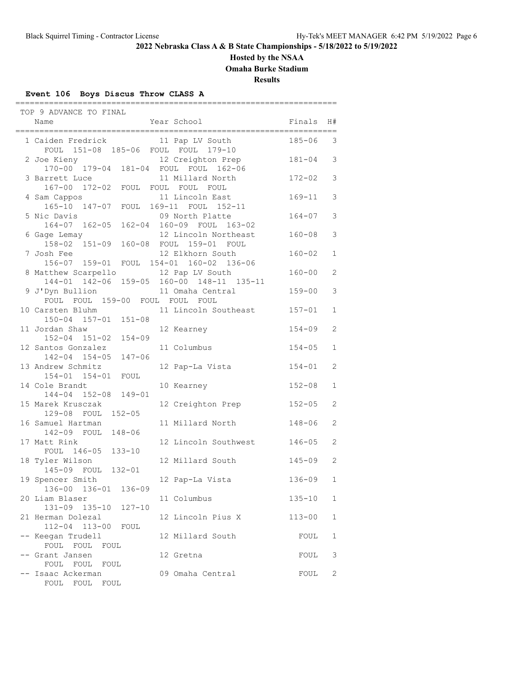## **Hosted by the NSAA**

**Omaha Burke Stadium**

**Results**

# **Event 106 Boys Discus Throw CLASS A**

| TOP 9 ADVANCE TO FINAL                                 |                                           |                            |                       |
|--------------------------------------------------------|-------------------------------------------|----------------------------|-----------------------|
| Name                                                   | Year School                               | Finals                     | H#                    |
| ========================<br>1 Caiden Fredrick          | 11 Pap LV South                           | ============<br>$185 - 06$ | 3                     |
| FOUL 151-08 185-06 FOUL FOUL 179-10                    |                                           |                            |                       |
| 2 Joe Kieny                                            | 12 Creighton Prep                         | $181 - 04$                 | 3                     |
| 170-00 179-04 181-04 FOUL FOUL 162-06                  |                                           |                            |                       |
| 3 Barrett Luce                                         | 11 Millard North                          | $172 - 02$                 | 3                     |
| 167-00 172-02 FOUL FOUL FOUL FOUL                      |                                           |                            |                       |
| 4 Sam Cappos                                           | 11 Lincoln East                           | $169 - 11$                 | 3                     |
| 165-10 147-07 FOUL 169-11 FOUL 152-11                  |                                           |                            |                       |
| 5 Nic Davis<br>164-07 162-05 162-04 160-09 FOUL 163-02 | 09 North Platte                           | $164 - 07$                 | 3                     |
|                                                        | 12 Lincoln Northeast                      | $160 - 08$                 | 3                     |
| 6 Gage Lemay<br>158-02 151-09 160-08 FOUL 159-01 FOUL  |                                           |                            |                       |
| 7 Josh Fee                                             | 12 Elkhorn South                          | $160 - 02$                 | $\mathbf{1}$          |
| 156-07 159-01 FOUL 154-01 160-02 136-06                |                                           |                            |                       |
| 8 Matthew Scarpello                                    | 12 Pap LV South                           | $160 - 00$                 | $\mathbf{2}$          |
|                                                        | 144-01 142-06 159-05 160-00 148-11 135-11 |                            |                       |
| 9 J'Dyn Bullion                                        | 11 Omaha Central                          | $159 - 00$                 | 3                     |
| FOUL FOUL 159-00 FOUL FOUL FOUL                        |                                           |                            |                       |
| 10 Carsten Bluhm                                       | 11 Lincoln Southeast                      | $157 - 01$                 | $\mathbf{1}$          |
| 150-04 157-01 151-08                                   |                                           |                            |                       |
| 11 Jordan Shaw                                         | 12 Kearney                                | $154 - 09$                 | $\mathbf{2}^{\prime}$ |
| 152-04 151-02<br>$154 - 09$                            |                                           |                            |                       |
| 12 Santos Gonzalez                                     | 11 Columbus                               | $154 - 05$                 | $\mathbf{1}$          |
| $147 - 06$<br>142-04 154-05                            |                                           |                            |                       |
| 13 Andrew Schmitz                                      | 12 Pap-La Vista                           | $154 - 01$                 | 2                     |
| 154-01 154-01 FOUL                                     |                                           |                            |                       |
| 14 Cole Brandt<br>144-04 152-08<br>$149 - 01$          | 10 Kearney                                | $152 - 08$                 | 1                     |
| 15 Marek Krusczak                                      | 12 Creighton Prep                         | $152 - 05$                 | $\mathbf{2}^{\prime}$ |
| 129-08 FOUL<br>$152 - 05$                              |                                           |                            |                       |
| 16 Samuel Hartman                                      | 11 Millard North                          | $148 - 06$                 | 2                     |
| 142-09 FOUL<br>$148 - 06$                              |                                           |                            |                       |
| 17 Matt Rink                                           | 12 Lincoln Southwest                      | $146 - 05$                 | 2                     |
| FOUL 146-05<br>$133 - 10$                              |                                           |                            |                       |
| 18 Tyler Wilson                                        | 12 Millard South                          | $145 - 09$                 | 2                     |
| 145-09 FOUL<br>$132 - 01$                              |                                           |                            |                       |
| 19 Spencer Smith                                       | 12 Pap-La Vista                           | $136 - 09$                 | 1                     |
| 136-00 136-01<br>$136 - 09$                            |                                           |                            |                       |
| 20 Liam Blaser                                         | 11 Columbus                               | $135 - 10$                 | 1                     |
| $135 - 10$<br>$127 - 10$<br>$131 - 09$                 |                                           |                            |                       |
| 21 Herman Dolezal                                      | 12 Lincoln Pius X                         | $113 - 00$                 | 1                     |
| 112-04 113-00<br>FOUL                                  |                                           |                            |                       |
| -- Keegan Trudell<br>FOUL FOUL                         | 12 Millard South                          | FOUL                       | 1                     |
| FOUL<br>-- Grant Jansen                                | 12 Gretna                                 | FOUL                       | 3                     |
| FOUL FOUL<br>FOUL                                      |                                           |                            |                       |
| -- Isaac Ackerman                                      | 09 Omaha Central                          | FOUL                       | 2                     |
| FOUL FOUL FOUL                                         |                                           |                            |                       |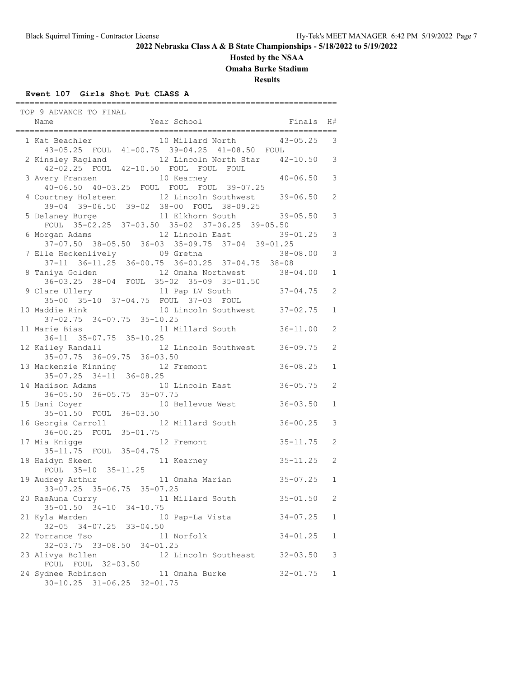# **Hosted by the NSAA**

**Omaha Burke Stadium**

**Results**

## **Event 107 Girls Shot Put CLASS A**

| TOP 9 ADVANCE TO FINAL                                                                      |              |               |
|---------------------------------------------------------------------------------------------|--------------|---------------|
| Year School<br>Name                                                                         | Finals       | H#            |
| 10 Millard North 43-05.25                                                                   |              | 3             |
| 1 Kat Beachler 10 Millard North 43-05.25 FOUL 41-00.75 39-04.25 41-08.50 FOUL               |              |               |
| 2 Kinsley Ragland<br>12 Lincoln North Star 42-10.50                                         |              | $\mathbf{3}$  |
| 42-02.25 FOUL 42-10.50 FOUL FOUL FOUL                                                       |              |               |
| 3 Avery Franzen<br>10 Kearney                                                               | $40 - 06.50$ | 3             |
| 40-06.50 40-03.25 FOUL FOUL FOUL 39-07.25                                                   |              |               |
| 4 Courtney Holsteen 12 Lincoln Southwest 39-06.50                                           |              | 2             |
| 39-04 39-06.50 39-02 38-00 FOUL 38-09.25                                                    |              | 3             |
| 5 Delaney Burge 11 Elkhorn South 39-05.50<br>FOUL 35-02.25 37-03.50 35-02 37-06.25 39-05.50 |              |               |
|                                                                                             |              | $\mathcal{S}$ |
| 6 Morgan Adams 12 Lincoln East 39-01.25<br>37-07.50 38-05.50 36-03 35-09.75 37-04 39-01.25  |              |               |
|                                                                                             | $38 - 08.00$ | $\mathcal{S}$ |
| 7 Elle Heckenlively 09 Gretna 38-08<br>37-11 36-11.25 36-00.75 36-00.25 37-04.75 38-08      |              |               |
| 12 Omaha Northwest 38-04.00<br>8 Taniya Golden                                              |              | $\mathbf{1}$  |
| 36-03.25 38-04 FOUL 35-02 35-09 35-01.50                                                    |              |               |
| 11 Pap LV South<br>9 Clare Ullery                                                           | $37 - 04.75$ | 2             |
| 35-00 35-10 37-04.75 FOUL 37-03 FOUL<br>10 Lincoln Southwest 37-02.75                       |              |               |
| 10 Maddie Rink<br>37-02.75 34-07.75 35-10.25                                                |              | $\mathbf{1}$  |
| 11 Millard South 36-11.00<br>11 Marie Bias                                                  |              | 2             |
| 36-11 35-07.75 35-10.25                                                                     |              |               |
|                                                                                             |              | 2             |
| 12 Kailey Randall 12 Lincoln Southwest 36-09.75<br>35-07.75 36-09.75 36-03.50               |              |               |
| 13 Mackenzie Kinning 12 Fremont                                                             | $36 - 08.25$ | $\mathbf{1}$  |
| $35-07.25$ $34-11$ $36-08.25$                                                               |              |               |
| 14 Madison Adams 10 Lincoln East                                                            | $36 - 05.75$ | 2             |
| 36-05.50 36-05.75 35-07.75                                                                  |              |               |
| 15 Dani Coyer<br>10 Bellevue West                                                           | $36 - 03.50$ | $\mathbf{1}$  |
| 35-01.50 FOUL 36-03.50<br>16 Georgia Carroll<br>12 Millard South                            | $36 - 00.25$ | 3             |
| 36-00.25 FOUL 35-01.75                                                                      |              |               |
| 17 Mia Knigge<br>12 Fremont                                                                 | $35 - 11.75$ | 2             |
| 35-11.75 FOUL 35-04.75                                                                      |              |               |
| 18 Haidyn Skeen 11 Kearney                                                                  | $35 - 11.25$ | 2             |
| FOUL 35-10 35-11.25<br>drey Arthur 11 Omaha Marian                                          |              |               |
| 19 Audrey Arthur                                                                            | $35 - 07.25$ | $\mathbf{1}$  |
| 33-07.25 35-06.75 35-07.25                                                                  |              |               |
| 20 RaeAuna Curry<br>11 Millard South                                                        | $35 - 01.50$ | 2             |
| 35-01.50 34-10 34-10.75<br>10 Pap-La Vista<br>21 Kyla Warden                                | $34 - 07.25$ | 1             |
| 32-05 34-07.25 33-04.50                                                                     |              |               |
| 11 Norfolk<br>22 Torrance Tso                                                               | $34 - 01.25$ | 1             |
| 32-03.75 33-08.50 34-01.25                                                                  |              |               |
| 12 Lincoln Southeast<br>23 Alivya Bollen                                                    | $32 - 03.50$ | 3             |
| FOUL FOUL 32-03.50                                                                          |              |               |
| 24 Sydnee Robinson<br>11 Omaha Burke                                                        | $32 - 01.75$ | 1             |
| 30-10.25 31-06.25 32-01.75                                                                  |              |               |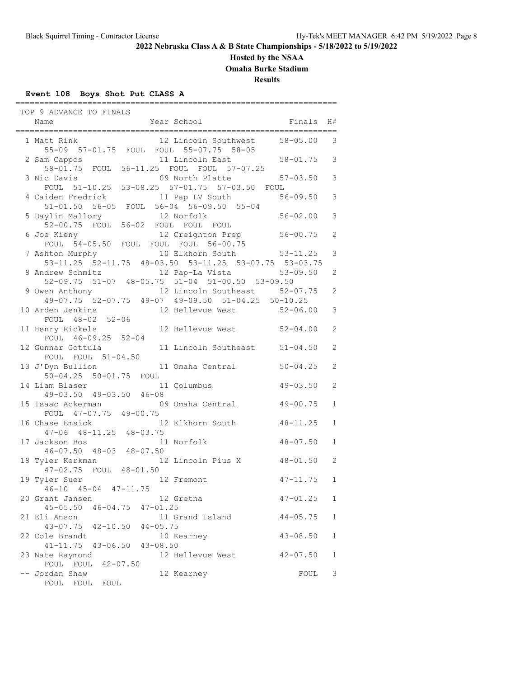# **Hosted by the NSAA**

**Omaha Burke Stadium**

**Results**

# **Event 108 Boys Shot Put CLASS A**

| TOP 9 ADVANCE TO FINALS                                                                                        |                |               |
|----------------------------------------------------------------------------------------------------------------|----------------|---------------|
| Year School<br>Name                                                                                            | Finals         | H#            |
| 12 Lincoln Southwest 58-05.00<br>1 Matt Rink                                                                   |                | 3             |
| 55-09 57-01.75 FOUL FOUL 55-07.75 58-05<br>11 Lincoln East<br>2 Sam Cappos                                     | $58 - 01.75$ 3 |               |
| 58-01.75 FOUL 56-11.25 FOUL FOUL 57-07.25<br>09 North Platte 57-03.50<br>3 Nic Davis                           |                | 3             |
| FOUL 51-10.25 53-08.25 57-01.75 57-03.50 FOUL<br>4 Caiden Fredrick 11 Pap LV South 56-09.50                    |                | 3             |
| $51-01.50$ $56-05$ FOUL $56-04$ $56-09.50$ $55-04$                                                             |                |               |
| 5 Daylin Mallory 12 Norfolk<br>52-00.75 FOUL 56-02 FOUL FOUL FOUL                                              | $56 - 02.00$   | 3             |
| 6 Joe Kieny 12 Creighton Prep<br>FOUL 54-05.50 FOUL FOUL FOUL 56-00.75                                         | $56 - 00.75$   | 2             |
| 10 Elkhorn South 53-11.25<br>7 Ashton Murphy                                                                   |                | $\mathcal{S}$ |
| $53-11.25$ $52-11.75$ $48-03.50$ $53-11.25$ $53-07.75$ $53-03.75$<br>8 Andrew Schmitz 12 Pap-La Vista 53-09.50 |                | 2             |
| 52-09.75 51-07 48-05.75 51-04 51-00.50 53-09.50                                                                |                |               |
| 12 Lincoln Southeast 52-07.75<br>9 Owen Anthony                                                                |                | 2             |
| $49-07.75$ 52-07.75 49-07 49-09.50 51-04.25 50-10.25<br>10 Arden Jenkins                                       |                | $\mathbf{3}$  |
| 12 Bellevue West 52-06.00                                                                                      |                |               |
| FOUL 48-02 52-06<br>nrv Rickels 12 Bellevue West 52-04.00<br>11 Henry Rickels<br>FOUL 46-09.25 52-04           |                | 2             |
| 12 Gunnar Gottula 11 Lincoln Southeast 51-04.50<br>FOUL FOUL $51-04.50$                                        |                | 2             |
| 13 J'Dyn Bullion 11 Omaha Central<br>$50-04.25$ $50-01.75$ FOUL                                                | $50 - 04.25$   | 2             |
| 14 Liam Blaser<br>11 Columbus<br>49-03.50 49-03.50 46-08                                                       | $49 - 03.50$   | 2             |
| 15 Isaac Ackerman<br>09 Omaha Central 49-00.75                                                                 |                | $\mathbf{1}$  |
| FOUL 47-07.75 49-00.75<br>16 Chase Emsick<br>12 Elkhorn South                                                  | $48 - 11.25$   | $\mathbf{1}$  |
| 47-06 48-11.25 48-03.75<br>17 Jackson Bos 11<br>11 Norfolk                                                     | $48 - 07.50$   | $\mathbf{1}$  |
| $46 - 07.50$ $48 - 03$ $48 - 07.50$                                                                            |                |               |
| 18 Tyler Kerkman 12 Lincoln Pius X 48-01.50<br>47-02.75 FOUL 48-01.50                                          |                | 2             |
| 12 Fremont<br>19 Tyler Suer<br>$46 - 10$ $45 - 04$ $47 - 11.75$                                                | $47 - 11.75$   | $\mathbf{1}$  |
| 20 Grant Jansen<br>12 Gretna<br>$45 - 05.50$ $46 - 04.75$<br>$47 - 01.25$                                      | 47-01.25       | 1             |
| 21 Eli Anson<br>11 Grand Island<br>$43 - 07.75$ $42 - 10.50$<br>$44 - 05.75$                                   | $44 - 05.75$   | 1             |
| 22 Cole Brandt<br>10 Kearney                                                                                   | $43 - 08.50$   | 1             |
| $41 - 11.75$ $43 - 06.50$<br>$43 - 08.50$<br>23 Nate Raymond<br>12 Bellevue West                               | $42 - 07.50$   | 1             |
| FOUL FOUL<br>$42 - 07.50$<br>-- Jordan Shaw<br>12 Kearney<br>FOUL<br>FOUL<br>FOUL                              | FOUL           | 3             |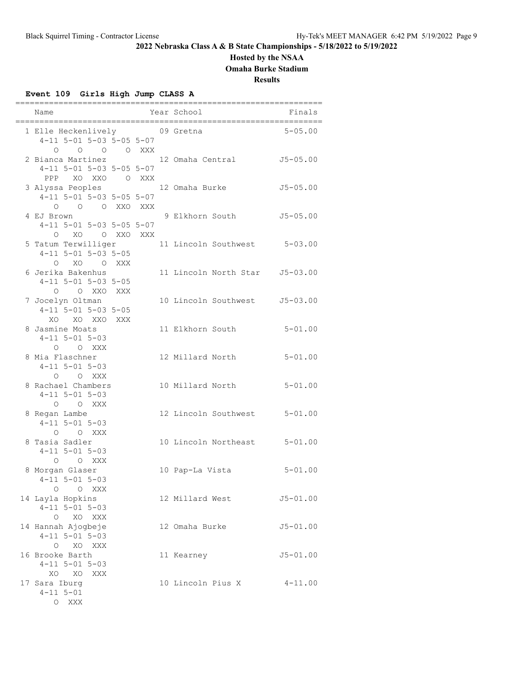# **Hosted by the NSAA**

**Omaha Burke Stadium**

**Results**

## **Event 109 Girls High Jump CLASS A**

| .============================<br>Name                       |  | Year School                                             | Finals       |
|-------------------------------------------------------------|--|---------------------------------------------------------|--------------|
|                                                             |  |                                                         |              |
| 1 Elle Heckenlively 09 Gretna<br>$4-11$ 5-01 5-03 5-05 5-07 |  |                                                         | $5 - 05.00$  |
| 0 0 0 0 XXX                                                 |  |                                                         |              |
|                                                             |  | 2 Bianca Martinez 12 Omaha Central                      | $J5 - 05.00$ |
| $4-11$ 5-01 5-03 5-05 5-07                                  |  |                                                         |              |
| PPP XO XXO O XXX                                            |  |                                                         |              |
|                                                             |  | 3 Alyssa Peoples                         12 Omaha Burke | $J5 - 05.00$ |
| $4-11$ 5-01 5-03 5-05 5-07                                  |  |                                                         |              |
| O O O XXO XXX                                               |  |                                                         |              |
| 4 EJ Brown                                                  |  | 9 Elkhorn South                                         | $J5 - 05.00$ |
| $4-11$ 5-01 5-03 5-05 5-07                                  |  |                                                         |              |
| O XO O XXO XXX                                              |  |                                                         |              |
| $4-11$ 5-01 5-03 5-05                                       |  | 5 Tatum Terwilliger 11 Lincoln Southwest 5-03.00        |              |
| O XO<br>O XXX                                               |  |                                                         |              |
| 6 Jerika Bakenhus                                           |  | 11 Lincoln North Star 15-03.00                          |              |
| $4 - 11$ 5-01 5-03 5-05                                     |  |                                                         |              |
| O O XXO XXX                                                 |  |                                                         |              |
| 7 Jocelyn Oltman                                            |  | 10 Lincoln Southwest J5-03.00                           |              |
| $4 - 11$ 5-01 5-03 5-05                                     |  |                                                         |              |
| XO XO XXO XXX                                               |  |                                                         |              |
| 8 Jasmine Moats                                             |  | 11 Elkhorn South                                        | $5 - 01.00$  |
| $4 - 11$ $5 - 01$ $5 - 03$                                  |  |                                                         |              |
| O O XXX<br>8 Mia Flaschner                                  |  | 12 Millard North                                        | $5 - 01.00$  |
| $4 - 11$ $5 - 01$ $5 - 03$                                  |  |                                                         |              |
| O O XXX                                                     |  |                                                         |              |
| 8 Rachael Chambers                                          |  | 10 Millard North                                        | $5 - 01.00$  |
| $4 - 11$ 5-01 5-03                                          |  |                                                         |              |
| O O XXX                                                     |  |                                                         |              |
| 8 Regan Lambe                                               |  | 12 Lincoln Southwest 5-01.00                            |              |
| $4 - 11$ 5-01 5-03                                          |  |                                                         |              |
| $O$ $O$ XXX                                                 |  |                                                         |              |
| 8 Tasia Sadler<br>$4 - 11$ $5 - 01$ $5 - 03$                |  | 10 Lincoln Northeast 5-01.00                            |              |
| O XXX<br>$\circ$                                            |  |                                                         |              |
| 8 Morgan Glaser                                             |  | 10 Pap-La Vista                                         | $5 - 01.00$  |
| $4 - 11$ $5 - 01$ $5 - 03$                                  |  |                                                         |              |
| $\circ$<br>O XXX                                            |  |                                                         |              |
| 14 Layla Hopkins                                            |  | 12 Millard West                                         | $J5 - 01.00$ |
| $4 - 11$ $5 - 01$ $5 - 03$                                  |  |                                                         |              |
| $\circ$<br>XO<br>XXX                                        |  |                                                         |              |
| 14 Hannah Ajogbeje                                          |  | 12 Omaha Burke                                          | $J5 - 01.00$ |
| $4 - 11$ $5 - 01$ $5 - 03$<br>O XO<br>XXX                   |  |                                                         |              |
| 16 Brooke Barth                                             |  | 11 Kearney                                              | $J5 - 01.00$ |
| $4 - 11$ 5-01 5-03                                          |  |                                                         |              |
| XO XO<br>XXX                                                |  |                                                         |              |
| 17 Sara Iburg                                               |  | 10 Lincoln Pius X                                       | $4 - 11.00$  |
| $4 - 11$ $5 - 01$                                           |  |                                                         |              |

O XXX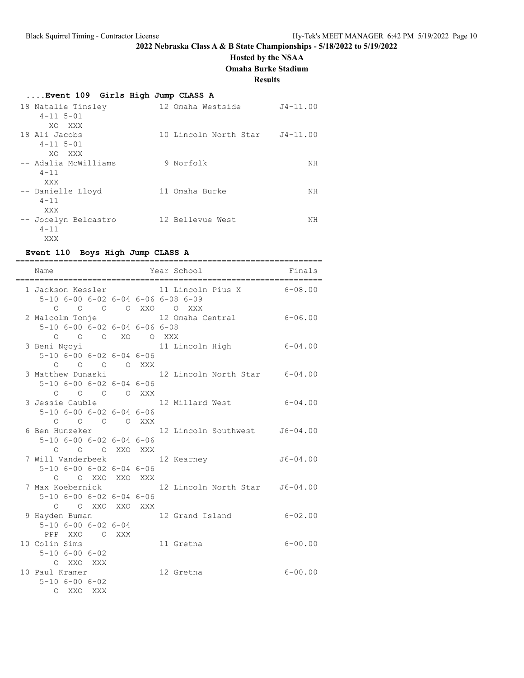## **Hosted by the NSAA**

**Omaha Burke Stadium**

#### **Results**

# **....Event 109 Girls High Jump CLASS A**

| 18 Natalie Tinsley<br>$4 - 11$ $5 - 01$<br>XO XXX | 12 Omaha Westside     | $J4 - 11.00$ |
|---------------------------------------------------|-----------------------|--------------|
| 18 Ali Jacobs<br>$4 - 11$ $5 - 01$<br>XO XXX      | 10 Lincoln North Star | $J4 - 11.00$ |
| -- Adalia McWilliams<br>$4 - 11$<br>XXX           | 9 Norfolk             | NΗ           |
| -- Danielle Lloyd<br>$4 - 11$<br>XXX              | 11 Omaha Burke        | NΗ           |
| -- Jocelyn Belcastro<br>$4 - 11$<br>XXX           | 12 Bellevue West      | NΗ           |

## **Event 110 Boys High Jump CLASS A**

| Name               |           |                                                          |  | ------------------------<br>Year School                                           | Finals       |
|--------------------|-----------|----------------------------------------------------------|--|-----------------------------------------------------------------------------------|--------------|
|                    |           |                                                          |  | 1 Jackson Kessler 11 Lincoln Pius X 6-08.00<br>5-10 6-00 6-02 6-04 6-06 6-08 6-09 |              |
| $\bigcap$          |           |                                                          |  | O O O XXO O XXX                                                                   |              |
|                    |           |                                                          |  | 2 Malcolm Tonje 12 Omaha Central 6-06.00                                          |              |
|                    |           | $5-10$ 6-00 6-02 6-04 6-06 6-08                          |  |                                                                                   |              |
|                    |           | 0 0 0 XO 0 XXX                                           |  |                                                                                   |              |
|                    |           |                                                          |  | 3 Beni Ngoyi                       11 Lincoln High                 6-04.00        |              |
|                    |           | $5 - 10$ 6-00 6-02 6-04 6-06                             |  |                                                                                   |              |
|                    |           | $\begin{matrix} 0 & 0 & 0 & 0 & \text{XXX} \end{matrix}$ |  |                                                                                   |              |
|                    |           |                                                          |  | 3 Matthew Dunaski 12 Lincoln North Star 6-04.00                                   |              |
|                    |           | $5-10$ 6-00 6-02 6-04 6-06                               |  |                                                                                   |              |
|                    |           | $O$ $O$ $O$ $O$ $XXX$                                    |  |                                                                                   |              |
|                    |           |                                                          |  | 3 Jessie Cauble 12 Millard West                                                   | $6 - 04.00$  |
|                    |           | $5-10$ 6-00 6-02 6-04 6-06                               |  |                                                                                   |              |
| $\bigcirc$         |           | O O O XXX                                                |  |                                                                                   |              |
|                    |           |                                                          |  | 6 Ben Hunzeker 12 Lincoln Southwest 56-04.00                                      |              |
|                    |           | $5 - 10$ 6-00 6-02 6-04 6-06                             |  |                                                                                   |              |
|                    |           | O O O XXO XXX                                            |  |                                                                                   |              |
|                    |           |                                                          |  | 7 Will Vanderbeek 12 Kearney                                                      | $J6 - 04.00$ |
|                    |           | $5 - 10$ 6-00 6-02 6-04 6-06                             |  |                                                                                   |              |
|                    |           | O O XXO XXO XXX                                          |  |                                                                                   |              |
| 7 Max Koebernick   |           |                                                          |  | 12 Lincoln North Star J6-04.00                                                    |              |
|                    |           | $5 - 10$ $6 - 00$ $6 - 02$ $6 - 04$ $6 - 06$             |  |                                                                                   |              |
|                    |           | O O XXO XXO XXX                                          |  |                                                                                   |              |
| 9 Hayden Buman     |           |                                                          |  | 12 Grand Island 6-02.00                                                           |              |
|                    |           | $5 - 10$ $6 - 00$ $6 - 02$ $6 - 04$                      |  |                                                                                   |              |
| PPP XXO O XXX      |           |                                                          |  |                                                                                   |              |
| 10 Colin Sims      |           |                                                          |  | 11 Gretna                                                                         | $6 - 00.00$  |
| $5 - 10$ 6-00 6-02 |           |                                                          |  |                                                                                   |              |
| O XXO XXX          |           |                                                          |  |                                                                                   |              |
| 10 Paul Kramer     |           |                                                          |  | 12 Gretna                                                                         | $6 - 00.00$  |
| $5 - 10$ 6-00 6-02 |           |                                                          |  |                                                                                   |              |
|                    | O XXO XXX |                                                          |  |                                                                                   |              |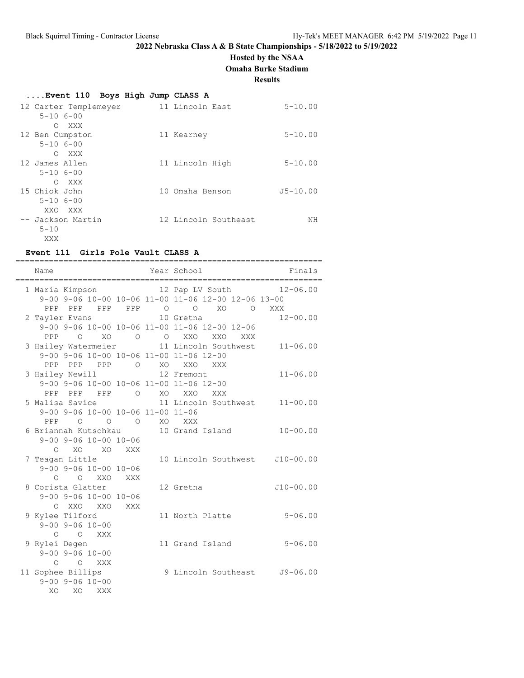## **Hosted by the NSAA**

**Omaha Burke Stadium**

**Results**

# **....Event 110 Boys High Jump CLASS A**

| 12 Carter Templemeyer<br>$5 - 106 - 00$ | 11 Lincoln East      | $5 - 10.00$  |
|-----------------------------------------|----------------------|--------------|
| XXX<br>$\Omega$                         |                      |              |
| 12 Ben Cumpston                         | 11 Kearney           | $5 - 10.00$  |
| $5 - 106 - 00$                          |                      |              |
| O XXX                                   |                      |              |
| 12 James Allen                          | 11 Lincoln High      | $5 - 10.00$  |
| $5 - 106 - 00$                          |                      |              |
| XXX<br>$\Omega$                         |                      |              |
| 15 Chiok John                           | 10 Omaha Benson      | $J5 - 10.00$ |
| $5 - 106 - 00$                          |                      |              |
| XXO XXX                                 |                      |              |
| -- Jackson Martin                       | 12 Lincoln Southeast | NΗ           |
| $5 - 10$                                |                      |              |
| XXX                                     |                      |              |

## **Event 111 Girls Pole Vault CLASS A**

| Name<br>-------------------------------------- |                | :========      |         | Year School<br>_______________________              | Finals       |
|------------------------------------------------|----------------|----------------|---------|-----------------------------------------------------|--------------|
|                                                |                |                |         | 1 Maria Kimpson 12 Pap LV South 12-06.00            |              |
|                                                |                |                |         | 9-00 9-06 10-00 10-06 11-00 11-06 12-00 12-06 13-00 |              |
| PPP PPP PPP PPP                                |                |                | $\circ$ | $\circ$<br>XO<br>$\overline{O}$                     | XXX          |
| 2 Tayler Evans                                 |                |                |         | 10 Gretna                                           | $12 - 00.00$ |
|                                                |                |                |         | 9-00 9-06 10-00 10-06 11-00 11-06 12-00 12-06       |              |
| PPP                                            | XO.<br>$\circ$ | $\overline{O}$ |         | O XXO<br>XXO<br>XXX                                 |              |
|                                                |                |                |         | 3 Hailey Watermeier 11 Lincoln Southwest 11-06.00   |              |
|                                                |                |                |         | 9-00 9-06 10-00 10-06 11-00 11-06 12-00             |              |
| PPP PPP PPP O XO XXO                           |                |                |         | XXX                                                 |              |
| 3 Hailey Newill                                |                |                |         | 12 Fremont                                          | $11 - 06.00$ |
|                                                |                |                |         | 9-00 9-06 10-00 10-06 11-00 11-06 12-00             |              |
| PPP PPP PPP 0                                  |                |                |         | XO XXO XXX                                          |              |
| 5 Malisa Savice                                |                |                |         | 11 Lincoln Southwest                                | $11 - 00.00$ |
| 9-00 9-06 10-00 10-06 11-00 11-06              |                |                |         |                                                     |              |
| PPP<br>$\Omega$                                | $\circ$        | $\circ$        | XO XO   | XXX                                                 |              |
|                                                |                |                |         | 6 Briannah Kutschkau 10 Grand Island                | $10 - 00.00$ |
| $9 - 00$ $9 - 06$ $10 - 00$ $10 - 06$          |                |                |         |                                                     |              |
| $\circ$                                        | XO XO          | XXX            |         |                                                     |              |
| 7 Teagan Little                                |                |                |         | 10 Lincoln Southwest J10-00.00                      |              |
| $9 - 00$ $9 - 06$ $10 - 00$ $10 - 06$          |                |                |         |                                                     |              |
| O O XXO XXX                                    |                |                |         |                                                     |              |
| 8 Corista Glatter                              |                |                |         | 12 Gretna                                           | $J10-00.00$  |
| $9 - 00$ $9 - 06$ $10 - 00$ $10 - 06$          |                |                |         |                                                     |              |
| O XXO XXO                                      |                | <b>XXX</b>     |         |                                                     |              |
| 9 Kylee Tilford                                |                |                |         | 11 North Platte                                     | $9 - 06.00$  |
| $9 - 00$ $9 - 06$ $10 - 00$                    |                |                |         |                                                     |              |
| $\circ$ $\circ$                                | XXX            |                |         |                                                     |              |
| 9 Rylei Degen                                  |                |                |         | 11 Grand Island                                     | $9 - 06.00$  |
| $9 - 00$ $9 - 06$ $10 - 00$                    |                |                |         |                                                     |              |
| $\Omega$                                       | O XXX          |                |         |                                                     |              |
| 11 Sophee Billips                              |                |                |         | 9 Lincoln Southeast                                 | $J9 - 06.00$ |
| $9 - 00$ $9 - 06$ $10 - 00$                    |                |                |         |                                                     |              |
| XO.<br>XO                                      | XXX            |                |         |                                                     |              |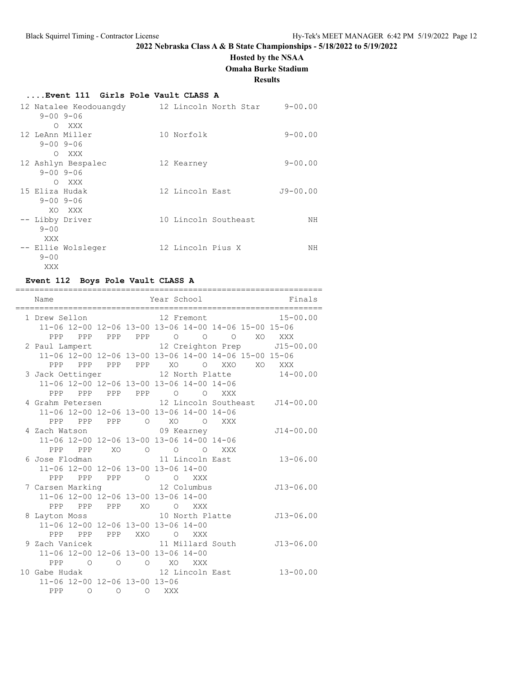# **Hosted by the NSAA**

**Omaha Burke Stadium**

**Results**

## **....Event 111 Girls Pole Vault CLASS A**

| 12 Natalee Keodouangdy<br>$9 - 00$ $9 - 06$ | 12 Lincoln North Star | $9 - 00.00$  |
|---------------------------------------------|-----------------------|--------------|
| XXX<br>∩                                    |                       |              |
| 12 LeAnn Miller                             | 10 Norfolk            | $9 - 00.00$  |
| $9 - 00$ $9 - 06$                           |                       |              |
| XXX<br>$\circ$                              |                       |              |
| 12 Ashlyn Bespalec                          | 12 Kearney            | $9 - 00.00$  |
| $9 - 00$ $9 - 06$                           |                       |              |
| O XXX                                       |                       |              |
| 15 Eliza Hudak                              | 12 Lincoln East       | $J9 - 00.00$ |
| $9 - 00$ $9 - 06$                           |                       |              |
| XO XXX                                      |                       |              |
| -- Libby Driver                             | 10 Lincoln Southeast  | NΗ           |
| $9 - 00$                                    |                       |              |
| XXX                                         |                       |              |
| -- Ellie Wolsleger                          | 12 Lincoln Pius X     | NΗ           |
| $9 - 00$                                    |                       |              |
| XXX                                         |                       |              |

# **Event 112 Boys Pole Vault CLASS A**

| Name                                                  |  | Year School and the Marian School |     |     | Finals       |
|-------------------------------------------------------|--|-----------------------------------|-----|-----|--------------|
| 1 Drew Sellon 12 Fremont                              |  |                                   |     |     | $15 - 00.00$ |
| 11-06 12-00 12-06 13-00 13-06 14-00 14-06 15-00 15-06 |  |                                   |     |     |              |
| PPP PPP PPP PPP 0 0 0 XO XXX                          |  |                                   |     |     |              |
| 2 Paul Lampert 12 Creighton Prep J15-00.00            |  |                                   |     |     |              |
| 11-06 12-00 12-06 13-00 13-06 14-00 14-06 15-00 15-06 |  |                                   |     |     |              |
| PPP PPP PPP PPP XO OXXO XOXXX                         |  |                                   |     |     |              |
| 3 Jack Oettinger 12 North Platte 14-00.00             |  |                                   |     |     |              |
| 11-06 12-00 12-06 13-00 13-06 14-00 14-06             |  |                                   |     |     |              |
| PPP PPP PPP PPP 0 0 XXX                               |  |                                   |     |     |              |
| 4 Grahm Petersen 12 Lincoln Southeast J14-00.00       |  |                                   |     |     |              |
| 11-06 12-00 12-06 13-00 13-06 14-00 14-06             |  |                                   |     |     |              |
| PPP PPP PPP 0 XO 0 XXX                                |  |                                   |     |     |              |
| 4 Zach Watson 69 Kearney                              |  |                                   |     |     | J14-00.00    |
| 11-06 12-00 12-06 13-00 13-06 14-00 14-06             |  |                                   |     |     |              |
| PPP PPP XO O O O                                      |  |                                   |     | XXX |              |
| 6 Jose Flodman 11 Lincoln East                        |  |                                   |     |     | $13 - 06.00$ |
| 11-06 12-00 12-06 13-00 13-06 14-00                   |  |                                   |     |     |              |
| PPP PPP PPP 0 0 XXX                                   |  |                                   |     |     |              |
| 7 Carsen Marking 12 Columbus                          |  |                                   |     |     | J13-06.00    |
| 11-06 12-00 12-06 13-00 13-06 14-00                   |  |                                   |     |     |              |
| PPP PPP PPP XO O                                      |  |                                   | XXX |     |              |
| 8 Layton Moss 10 North Platte                         |  |                                   |     |     | $J13-06.00$  |
| 11-06 12-00 12-06 13-00 13-06 14-00                   |  |                                   |     |     |              |
| PPP PPP PPP XXO O XXX                                 |  |                                   |     |     |              |
| 9 Zach Vanicek 11 Millard South 513-06.00             |  |                                   |     |     |              |
| 11-06 12-00 12-06 13-00 13-06 14-00                   |  |                                   |     |     |              |
| PPP 0 0 0 XO XXX                                      |  |                                   |     |     |              |
| 10 Gabe Hudak 12 Lincoln East 13-00.00                |  |                                   |     |     |              |
| 11-06 12-00 12-06 13-00 13-06                         |  |                                   |     |     |              |
| PPP 0 0 0 XXX                                         |  |                                   |     |     |              |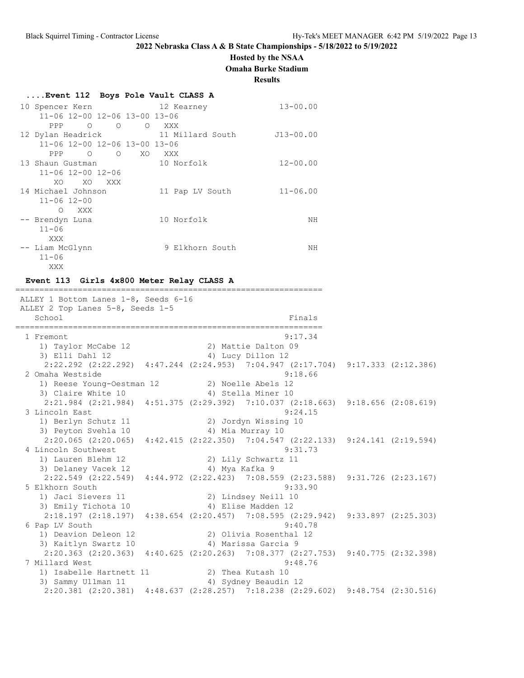#### **Hosted by the NSAA**

**Omaha Burke Stadium**

#### **Results**

| Event 112 Boys Pole Vault CLASS A |  |  |  |  |  |  |
|-----------------------------------|--|--|--|--|--|--|
|-----------------------------------|--|--|--|--|--|--|

| 10 Spencer Kern               |          |         | 12 Kearney       | $13 - 00.00$  |
|-------------------------------|----------|---------|------------------|---------------|
| 11-06 12-00 12-06 13-00 13-06 |          |         |                  |               |
| PPP<br>$\overline{O}$         | $\circ$  | $\circ$ | XXX              |               |
| 12 Dylan Headrick             |          |         | 11 Millard South | $J13 - 00.00$ |
| 11-06 12-00 12-06 13-00 13-06 |          |         |                  |               |
| <b>PPP</b><br>$\circ$         | $\Omega$ | XO      | XXX X            |               |
| 13 Shaun Gustman              |          |         | 10 Norfolk       | $12 - 00.00$  |
| 11-06 12-00 12-06             |          |         |                  |               |
| XO.<br>XO.                    | XXX      |         |                  |               |
| 14 Michael Johnson            |          |         | 11 Pap LV South  | $11 - 06.00$  |
| $11 - 06$ $12 - 00$           |          |         |                  |               |
| $\Omega$<br>XXX               |          |         |                  |               |
| -- Brendyn Luna               |          |         | 10 Norfolk       | NH            |
| $11 - 06$                     |          |         |                  |               |
| XXX                           |          |         |                  |               |
| -- Liam McGlynn               |          |         | 9 Elkhorn South  | NH            |
| $11 - 06$                     |          |         |                  |               |
| XXX                           |          |         |                  |               |

#### **Event 113 Girls 4x800 Meter Relay CLASS A**

================================================================ ALLEY 1 Bottom Lanes 1-8, Seeds 6-16 ALLEY 2 Top Lanes 5-8, Seeds 1-5 School Finals ================================================================ 1 Fremont 9:17.34 1) Taylor McCabe 12 2) Mattie Dalton 09 3) Elli Dahl 12 4) Lucy Dillon 12 2:22.292 (2:22.292) 4:47.244 (2:24.953) 7:04.947 (2:17.704) 9:17.333 (2:12.386) 2 Omaha Westside 9:18.66 1) Reese Young-Oestman 12 2) Noelle Abels 12 3) Claire White 10 4) Stella Miner 10 2:21.984 (2:21.984) 4:51.375 (2:29.392) 7:10.037 (2:18.663) 9:18.656 (2:08.619) 3 Lincoln East 9:24.15 1) Berlyn Schutz 11 2) Jordyn Wissing 10 3) Peyton Svehla 10 <a>4) Mia Murray 10 2:20.065 (2:20.065) 4:42.415 (2:22.350) 7:04.547 (2:22.133) 9:24.141 (2:19.594) 4 Lincoln Southwest 9:31.73 1) Lauren Blehm 12 2) Lily Schwartz 11 3) Delaney Vacek 12 4) Mya Kafka 9 2:22.549 (2:22.549) 4:44.972 (2:22.423) 7:08.559 (2:23.588) 9:31.726 (2:23.167) 5 Elkhorn South 9:33.90 1) Jaci Sievers 11 2) Lindsey Neill 10 3) Emily Tichota 10 4) Elise Madden 12 2:18.197 (2:18.197) 4:38.654 (2:20.457) 7:08.595 (2:29.942) 9:33.897 (2:25.303) 6 Pap LV South 9:40.78 1) Deavion Deleon 12 2) Olivia Rosenthal 12 3) Kaitlyn Swartz 10  $\hskip1cm$  4) Marissa Garcia 9 2:20.363 (2:20.363) 4:40.625 (2:20.263) 7:08.377 (2:27.753) 9:40.775 (2:32.398) 7 Millard West 9:48.76 1) Isabelle Hartnett 11 2) Thea Kutash 10 3) Sammy Ullman 11 4) Sydney Beaudin 12 2:20.381 (2:20.381) 4:48.637 (2:28.257) 7:18.238 (2:29.602) 9:48.754 (2:30.516)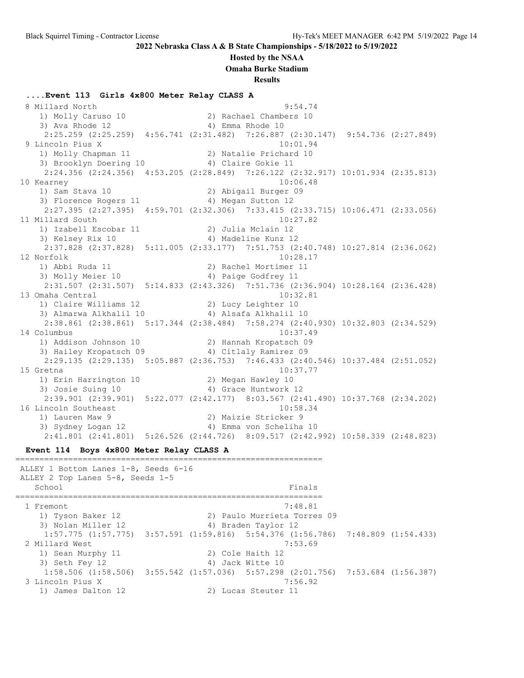#### **Hosted by the NSAA**

**Omaha Burke Stadium**

**Results**

**....Event 113 Girls 4x800 Meter Relay CLASS A** 8 Millard North 9:54.74 1) Molly Caruso 10 2) Rachael Chambers 10 3) Ava Rhode 12 (2008) 4) Emma Rhode 10 2:25.259 (2:25.259) 4:56.741 (2:31.482) 7:26.887 (2:30.147) 9:54.736 (2:27.849) 9 Lincoln Pius X 10:01.94 1) Molly Chapman 11 2) Natalie Prichard 10 3) Brooklyn Doering 10 4) Claire Gokie 11 2:24.356 (2:24.356) 4:53.205 (2:28.849) 7:26.122 (2:32.917) 10:01.934 (2:35.813) 10 Kearney 10:06.48 1) Sam Stava 10 2) Abigail Burger 09 3) Florence Rogers 11 (4) Megan Sutton 12 2:27.395 (2:27.395) 4:59.701 (2:32.306) 7:33.415 (2:33.715) 10:06.471 (2:33.056) 11 Millard South 10:27.82 1) Izabell Escobar 11 2) Julia Mclain 12 3) Kelsey Rix 10 4) Madeline Kunz 12 2:37.828 (2:37.828) 5:11.005 (2:33.177) 7:51.753 (2:40.748) 10:27.814 (2:36.062) 12 Norfolk 10:28.17<br>1) Abbi Ruda 11 2) Rachel Mortimer 11 1) Abbi Ruda 11 2) Rachel Mortimer 11 3) Molly Meier 10 4) Paige Godfrey 11 2:31.507 (2:31.507) 5:14.833 (2:43.326) 7:51.736 (2:36.904) 10:28.164 (2:36.428) 13 Omaha Central 10:32.81 1) Claire Williams 12 2) Lucy Leighter 10 3) Almarwa Alkhalil 10 4) Alsafa Alkhalil 10 2:38.861 (2:38.861) 5:17.344 (2:38.484) 7:58.274 (2:40.930) 10:32.803 (2:34.529) 14 Columbus 10:37.49 1) Addison Johnson 10 2) Hannah Kropatsch 09 3) Hailey Kropatsch 09 4) Citlaly Ramirez 09 2:29.135 (2:29.135) 5:05.887 (2:36.753) 7:46.433 (2:40.546) 10:37.484 (2:51.052) 15 Gretna 10:37.77 1) Erin Harrington 10 2) Megan Hawley 10 3) Josie Suing 10 4) Grace Huntwork 12 2:39.901 (2:39.901) 5:22.077 (2:42.177) 8:03.567 (2:41.490) 10:37.768 (2:34.202) 16 Lincoln Southeast 10:58.34 1) Lauren Maw 9 2) Maizie Stricker 9 3) Sydney Logan 12 4) Emma von Scheliha 10 2:41.801 (2:41.801) 5:26.526 (2:44.726) 8:09.517 (2:42.992) 10:58.339 (2:48.823) **Event 114 Boys 4x800 Meter Relay CLASS A** ================================================================ ALLEY 1 Bottom Lanes 1-8, Seeds 6-16 ALLEY 2 Top Lanes 5-8, Seeds 1-5 School Finals ================================================================ 1 Fremont 7:48.81 1) Tyson Baker 12 2) Paulo Murrieta Torres 09 3) Nolan Miller 12 (4) Braden Taylor 12 1:57.775 (1:57.775) 3:57.591 (1:59.816) 5:54.376 (1:56.786) 7:48.809 (1:54.433) 2 Millard West 7:53.69 1) Sean Murphy 11 2) Cole Haith 12 3) Seth Fey 12 4) Jack Witte 10 1:58.506 (1:58.506) 3:55.542 (1:57.036) 5:57.298 (2:01.756) 7:53.684 (1:56.387) 3 Lincoln Pius X 7:56.92 1) James Dalton 12 2) Lucas Steuter 11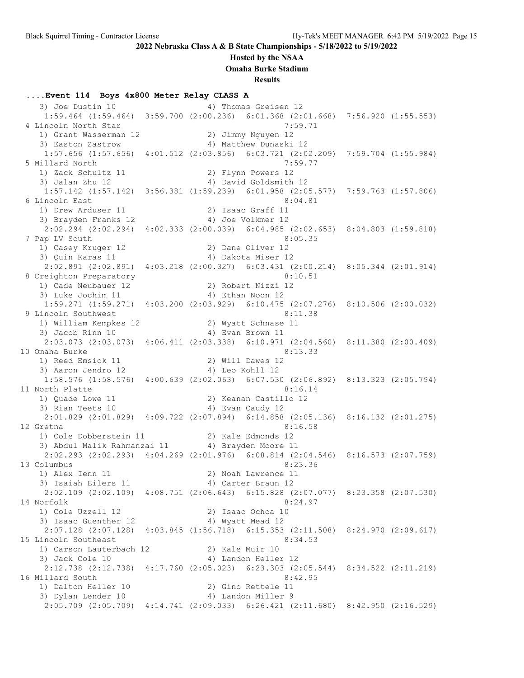#### **Hosted by the NSAA**

**Omaha Burke Stadium**

**Results**

#### **....Event 114 Boys 4x800 Meter Relay CLASS A**

3) Joe Dustin 10 4) Thomas Greisen 12 1:59.464 (1:59.464) 3:59.700 (2:00.236) 6:01.368 (2:01.668) 7:56.920 (1:55.553) 4 Lincoln North Star 7:59.71<br>1) Grant Wasserman 12 (2) Jimmy Nguyen 12 1) Grant Wasserman 12<br>3) Faston Zastrow 3) Easton Zastrow 4) Matthew Dunaski 12 1:57.656 (1:57.656) 4:01.512 (2:03.856) 6:03.721 (2:02.209) 7:59.704 (1:55.984) 5 Millard North 7:59.77<br>1) Zack Schultz 11 (2) Flynn Powers 12 1) Zack Schultz 11 2) Flynn Powers 12 3) Jalan Zhu 12 4) David Goldsmith 12 1:57.142 (1:57.142) 3:56.381 (1:59.239) 6:01.958 (2:05.577) 7:59.763 (1:57.806) 6 Lincoln East 8:04.81 1) Drew Arduser 11 2) Isaac Graff 11 3) Brayden Franks 12 (4) Joe Volkmer 12 2:02.294 (2:02.294) 4:02.333 (2:00.039) 6:04.985 (2:02.653) 8:04.803 (1:59.818) 7 Pap LV South 8:05.35 1) Casey Kruger 12 2) Dane Oliver 12 3) Quin Karas 11 4) Dakota Miser 12 2:02.891 (2:02.891) 4:03.218 (2:00.327) 6:03.431 (2:00.214) 8:05.344 (2:01.914) 8 Creighton Preparatory<br>
1) Cade Neubauer 12 (2) Robert Nizzi 12<br>
2) Robert Nizzi 12 1) Cade Neubauer 12 2) Robert Nizzi 12 3) Luke Jochim 11 4) Ethan Noon 12 1:59.271 (1:59.271) 4:03.200 (2:03.929) 6:10.475 (2:07.276) 8:10.506 (2:00.032) 9 Lincoln Southwest 8:11.38 1) William Kempkes 12 2) Wyatt Schnase 11 3) Jacob Rinn 10 (4) Evan Brown 11 2:03.073 (2:03.073) 4:06.411 (2:03.338) 6:10.971 (2:04.560) 8:11.380 (2:00.409) 10 Omaha Burke 8:13.33 1) Reed Emsick 11 2) Will Dawes 12 3) Aaron Jendro 12 (4) Leo Kohll 12 1:58.576 (1:58.576) 4:00.639 (2:02.063) 6:07.530 (2:06.892) 8:13.323 (2:05.794) 11 North Platte 8:16.14 1) Quade Lowe 11 2) Keanan Castillo 12 3) Rian Teets 10 (4) Evan Caudy 12 2:01.829 (2:01.829) 4:09.722 (2:07.894) 6:14.858 (2:05.136) 8:16.132 (2:01.275) 12 Gretna 8:16.58 1) Cole Dobberstein 11 2) Kale Edmonds 12 3) Abdul Malik Rahmanzai 11  $\hskip10mm$  4) Brayden Moore 11 2:02.293 (2:02.293) 4:04.269 (2:01.976) 6:08.814 (2:04.546) 8:16.573 (2:07.759) 13 Columbus 8:23.36 1) Alex Ienn 11 2) Noah Lawrence 11 3) Isaiah Eilers 11 <a>
4) Carter Braun 12 2:02.109 (2:02.109) 4:08.751 (2:06.643) 6:15.828 (2:07.077) 8:23.358 (2:07.530) 14 Norfolk 8:24.97<br>1) Cole Uzzell 12 2) Isaac Ochoa 10 1) Cole Uzzell 12 2) Isaac Ochoa 10 3) Isaac Guenther 12 4) Wyatt Mead 12 2:07.128 (2:07.128) 4:03.845 (1:56.718) 6:15.353 (2:11.508) 8:24.970 (2:09.617) 15 Lincoln Southeast 8:34.53 1) Carson Lauterbach 12 (2) Kale Muir 10 3) Jack Cole 10 (4) Landon Heller 12 2:12.738 (2:12.738) 4:17.760 (2:05.023) 6:23.303 (2:05.544) 8:34.522 (2:11.219) 16 Millard South 8:42.95 1) Dalton Heller 10 2) Gino Rettele 11 3) Dylan Lender 10  $\hskip1cm$  4) Landon Miller 9 2:05.709 (2:05.709) 4:14.741 (2:09.033) 6:26.421 (2:11.680) 8:42.950 (2:16.529)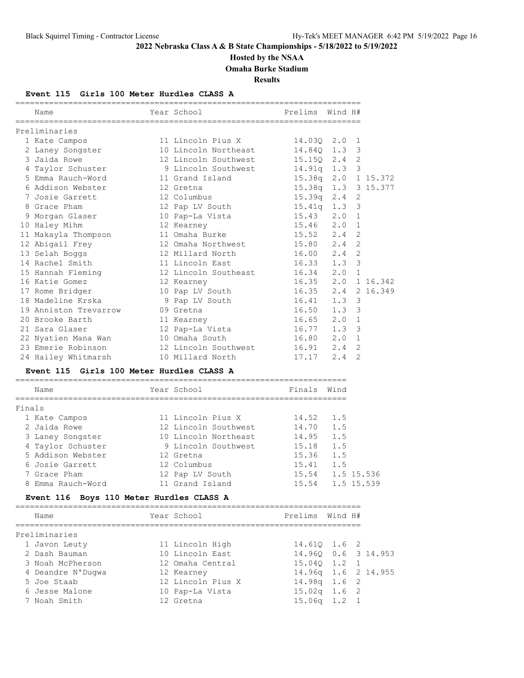**Hosted by the NSAA**

**Omaha Burke Stadium**

**Results**

#### **Event 115 Girls 100 Meter Hurdles CLASS A**

| Name                                               | Year School I                          | Prelims Wind H#     |     |                |  |
|----------------------------------------------------|----------------------------------------|---------------------|-----|----------------|--|
| Preliminaries                                      |                                        |                     |     |                |  |
| 1 Kate Campos                                      |                                        |                     |     |                |  |
| 2 Laney Songster                                   | 10 Lincoln Northeast 14.840 1.3 3      |                     |     |                |  |
| 3 Jaida Rowe                                       | 12 Lincoln Southwest 15.15Q 2.4 2      |                     |     |                |  |
| 4 Taylor Schuster 9 Lincoln Southwest 14.91q 1.3 3 |                                        |                     |     |                |  |
| 5 Emma Rauch-Word                                  | 15.38q 2.0 1 15.372<br>11 Grand Island |                     |     |                |  |
| 6 Addison Webster                                  | 12 Gretna                              | 15.38q 1.3 3 15.377 |     |                |  |
| 7 Josie Garrett                                    | 12 Columbus                            | $15.39q$ 2.4 2      |     |                |  |
| 8 Grace Pham                                       | 12 Pap LV South                        | 15.41q 1.3 3        |     |                |  |
| 9 Morgan Glaser                                    | 10 Pap-La Vista 15.43 2.0 1            |                     |     |                |  |
| 10 Haley Mihm                                      | 12 Kearney                             | 15.46 2.0 1         |     |                |  |
| 11 Makayla Thompson                                | 11 Omaha Burke                         | $15.52$ $2.4$       |     | $\overline{2}$ |  |
| 12 Abigail Frey                                    | 12 Omaha Northwest 15.80 2.4           |                     |     | $\overline{2}$ |  |
| 13 Selah Boqqs                                     | 12 Millard North 16.00 2.4             |                     |     | $\overline{2}$ |  |
| 14 Rachel Smith                                    | 11 Lincoln East 16.33 1.3 3            |                     |     |                |  |
| 15 Hannah Fleming                                  | 12 Lincoln Southeast 16.34 2.0 1       |                     |     |                |  |
| 16 Katie Gomez                                     | 12 Kearney                             | 16.35 2.0 1 16.342  |     |                |  |
| 17 Rome Bridger                                    | 10 Pap LV South 16.35 2.4 2 16.349     |                     |     |                |  |
| 18 Madeline Krska                                  | 9 Pap LV South 16.41 1.3 3             |                     |     |                |  |
| 19 Anniston Trevarrow 09 Gretna                    |                                        | 16.50 1.3 3         |     |                |  |
| 20 Brooke Barth                                    | 11 Kearney                             | $16.65$ 2.0         |     | $\mathbf{1}$   |  |
| 21 Sara Glaser                                     | 12 Pap-La Vista 16.77 1.3 3            |                     |     |                |  |
| 22 Nyatien Mana Wan                                | 10 Omaha South                         | 16.80 2.0 1         |     |                |  |
| 23 Emerie Robinson 12 Lincoln Southwest 16.91 2.4  |                                        |                     |     | $\overline{2}$ |  |
| 24 Hailey Whitmarsh                                | 10 Millard North                       | 17.17               | 2.4 | 2              |  |

#### **Event 115 Girls 100 Meter Hurdles CLASS A**

| Name              | Year School     |                      | Finals | Wind       |
|-------------------|-----------------|----------------------|--------|------------|
| Finals            |                 |                      |        |            |
| 1 Kate Campos     |                 | 11 Lincoln Pius X    | 14.52  | 1.5        |
| 2 Jaida Rowe      |                 | 12 Lincoln Southwest | 14.70  | 1.5        |
| 3 Laney Songster  |                 | 10 Lincoln Northeast | 14.95  | 1.5        |
| 4 Taylor Schuster |                 | 9 Lincoln Southwest  | 15.18  | 1.5        |
| 5 Addison Webster | 12 Gretna       |                      | 15.36  | 1.5        |
| 6 Josie Garrett   | 12 Columbus     |                      | 15.41  | 1.5        |
| 7 Grace Pham      |                 | 12 Pap LV South      | 15.54  | 1.5 15.536 |
| 8 Emma Rauch-Word | 11 Grand Island |                      | 15.54  | 1.5 15.539 |
|                   |                 |                      |        |            |

## **Event 116 Boys 110 Meter Hurdles CLASS A**

| Name              | Year School       | Prelims Wind H# |                     |
|-------------------|-------------------|-----------------|---------------------|
| Preliminaries     |                   |                 |                     |
| 1 Javon Leuty     | 11 Lincoln High   | 14.610 1.6 2    |                     |
| 2 Dash Bauman     | 10 Lincoln East   |                 | 14.960 0.6 3 14.953 |
| 3 Noah McPherson  | 12 Omaha Central  | 15.040 1.2 1    |                     |
| 4 Deandre N'Duqwa | 12 Kearney        |                 | 14.96q 1.6 2 14.955 |
| 5 Joe Staab       | 12 Lincoln Pius X | $14.98q$ 1.6 2  |                     |
| 6 Jesse Malone    | 10 Pap-La Vista   | $15.02q$ 1.6 2  |                     |
| 7 Noah Smith      | 12 Gretna         | $15.06q$ 1.2 1  |                     |
|                   |                   |                 |                     |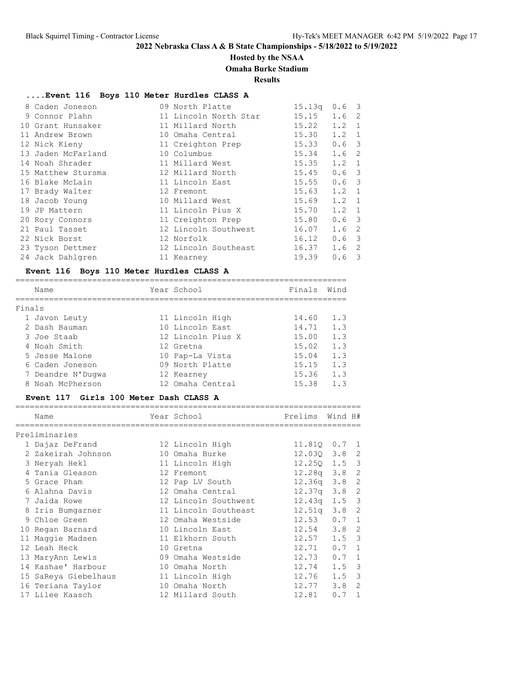# **Hosted by the NSAA**

## **Omaha Burke Stadium**

**Results**

## **....Event 116 Boys 110 Meter Hurdles CLASS A**

| 8 Caden Joneson    | 09 North Platte       | 15.13q | 0.6              | - 3            |
|--------------------|-----------------------|--------|------------------|----------------|
| 9 Connor Plahn     | 11 Lincoln North Star | 15.15  | 1.6              | -2             |
| 10 Grant Hunsaker  | 11 Millard North      | 15.22  | 1.2              | $\overline{1}$ |
| 11 Andrew Brown    | 10 Omaha Central      | 15.30  | 1.2              | -1             |
| 12 Nick Kieny      | 11 Creighton Prep     | 15.33  | $0.6-3$          |                |
| 13 Jaden McFarland | 10 Columbus           | 15.34  | 1.6 2            |                |
| 14 Noah Shrader    | 11 Millard West       | 15.35  | $1.2 \quad 1$    |                |
| 15 Matthew Stursma | 12 Millard North      | 15.45  | $0.6-3$          |                |
| 16 Blake McLain    | 11 Lincoln East       | 15.55  | $0.6-3$          |                |
| 17 Brady Walter    | 12 Fremont            | 15.63  | 1.2              | 1              |
| 18 Jacob Young     | 10 Millard West       | 15.69  | $1.2 \quad 1$    |                |
| 19 JP Mattern      | 11 Lincoln Pius X     | 15.70  | $1.2 \quad 1$    |                |
| 20 Rory Connors    | 11 Creighton Prep     | 15.80  | 0.6 <sup>3</sup> |                |
| 21 Paul Tasset     | 12 Lincoln Southwest  | 16.07  | 1.6              | -2             |
| 22 Nick Borst      | 12 Norfolk            | 16.12  | 0.6 <sup>3</sup> |                |
| 23 Tyson Dettmer   | 12 Lincoln Southeast  | 16.37  | 1.6 2            |                |
| 24 Jack Dahlgren   | 11 Kearney            | 19.39  | 0.6              | -3             |

## **Event 116 Boys 110 Meter Hurdles CLASS A**

|        | Name              | Year School       | Finals | Wind |
|--------|-------------------|-------------------|--------|------|
|        |                   |                   |        |      |
| Finals |                   |                   |        |      |
|        | 1 Javon Leuty     | 11 Lincoln High   | 14.60  | 1.3  |
|        | 2 Dash Bauman     | 10 Lincoln East   | 14.71  | 1.3  |
|        | 3 Joe Staab       | 12 Lincoln Pius X | 15.00  | 1.3  |
|        | 4 Noah Smith      | 12 Gretna         | 15.02  | 1.3  |
|        | 5 Jesse Malone    | 10 Pap-La Vista   | 15.04  | 1.3  |
|        | 6 Caden Joneson   | 09 North Platte   | 15.15  | 1.3  |
|        | 7 Deandre N'Duqwa | 12 Kearney        | 15.36  | 1.3  |
|        | 8 Noah McPherson  | 12 Omaha Central  | 15.38  | 1.3  |

#### **Event 117 Girls 100 Meter Dash CLASS A**

| Name                 | Year School          | Prelims            | Wind H#       |                         |
|----------------------|----------------------|--------------------|---------------|-------------------------|
| Preliminaries        |                      |                    |               |                         |
| 1 Dajaz DeFrand      | 12 Lincoln High      | 11.810             | $0.7 \quad 1$ |                         |
| 2 Zakeirah Johnson   | 10 Omaha Burke       | 12.030             | 3.8           | 2                       |
| 3 Neryah Hekl        | 11 Lincoln High      | 12,250             | 1.5           | $\overline{3}$          |
| 4 Tania Gleason      | 12 Fremont           | 12.28a             | 3.8           | 2                       |
| 5 Grace Pham         | 12 Pap LV South      | 12.36q             | 3.8           | 2                       |
| 6 Alahna Davis       | 12 Omaha Central     | 12.37 <sub>q</sub> | 3.8           | 2                       |
| 7 Jaida Rowe         | 12 Lincoln Southwest | 12.43q             | 1.5           | $\overline{\mathbf{3}}$ |
| 8 Iris Bumgarner     | 11 Lincoln Southeast | 12.51q             | 3.8           | 2                       |
| 9 Chloe Green        | 12 Omaha Westside    | 12.53              | 0.7           | $\mathbf{1}$            |
| 10 Regan Barnard     | 10 Lincoln East      | 12.54              | 3.8           | 2                       |
| 11 Maggie Madsen     | 11 Elkhorn South     | 12.57              | $1.5 \quad 3$ |                         |
| 12 Leah Heck         | 10 Gretna            | 12.71              | 0.7           | $\overline{1}$          |
| 13 MaryAnn Lewis     | 09 Omaha Westside    | 12.73              | 0.7           | 1                       |
| 14 Kashae' Harbour   | 10 Omaha North       | 12.74              | $1.5 \quad 3$ |                         |
| 15 SaReya Giebelhaus | 11 Lincoln High      | 12.76              | 1.5           | -3                      |
| 16 Teriana Taylor    | 10 Omaha North       | 12.77              | 3.8           | 2                       |
| 17 Lilee Kaasch      | 12 Millard South     | 12.81              | 0.7           | $\mathbf{1}$            |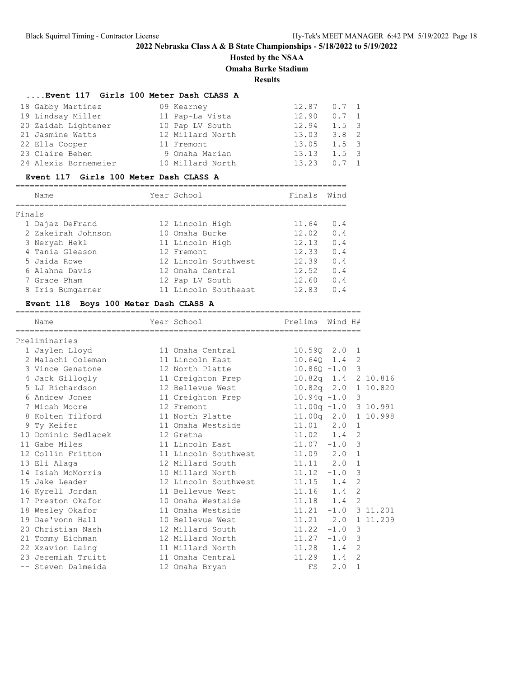# **Hosted by the NSAA**

**Omaha Burke Stadium**

**Results**

## **....Event 117 Girls 100 Meter Dash CLASS A**

| 18 Gabby Martinez    | 09 Kearney       | $12.87$ 0.7 1   |               |  |
|----------------------|------------------|-----------------|---------------|--|
| 19 Lindsay Miller    | 11 Pap-La Vista  | 12.90           | $0.7 \quad 1$ |  |
| 20 Zaidah Lightener  | 10 Pap LV South  | 12.94           | $1.5 \quad 3$ |  |
| 21 Jasmine Watts     | 12 Millard North | 13.03           | $3.8 \quad 2$ |  |
| 22 Ella Cooper       | 11 Fremont       | $13.05$ $1.5$ 3 |               |  |
| 23 Claire Behen      | 9 Omaha Marian   | 13.13           | $1.5 \quad 3$ |  |
| 24 Alexis Bornemeier | 10 Millard North | 13.23           | $0.7 \quad 1$ |  |

#### **Event 117 Girls 100 Meter Dash CLASS A**

|        | Name               | Year School          | Finals | Wind |
|--------|--------------------|----------------------|--------|------|
|        |                    |                      |        |      |
| Finals |                    |                      |        |      |
|        | 1 Dajaz DeFrand    | 12 Lincoln High      | 11.64  | 0.4  |
|        | 2 Zakeirah Johnson | 10 Omaha Burke       | 12.02  | 0.4  |
|        | 3 Neryah Hekl      | 11 Lincoln High      | 12.13  | 0.4  |
|        | 4 Tania Gleason    | 12 Fremont           | 12.33  | 0.4  |
|        | 5 Jaida Rowe       | 12 Lincoln Southwest | 12.39  | 0.4  |
|        | 6 Alahna Davis     | 12 Omaha Central     | 12.52  | 0.4  |
|        | 7 Grace Pham       | 12 Pap LV South      | 12.60  | 0.4  |
|        | 8 Iris Bumgarner   | 11 Lincoln Southeast | 12.83  | 0.4  |

# **Event 118 Boys 100 Meter Dash CLASS A**

| Name                | Year School I                         | Prelims Wind H#         |     |                |  |
|---------------------|---------------------------------------|-------------------------|-----|----------------|--|
| Preliminaries       |                                       |                         |     |                |  |
| 1 Jaylen Lloyd      | 11 Omaha Central                      | $10.590$ $2.0$ 1        |     |                |  |
| 2 Malachi Coleman   | 11 Lincoln East 10.640 1.4 2          |                         |     |                |  |
| 3 Vince Genatone    | 12 North Platte 10.860 -1.0 3         |                         |     |                |  |
| 4 Jack Gillogly     | 11 Creighton Prep 10.82q 1.4 2 10.816 |                         |     |                |  |
| 5 LJ Richardson     | 12 Bellevue West 10.82q 2.0 1 10.820  |                         |     |                |  |
| 6 Andrew Jones      | 11 Creighton Prep 10.94q -1.0 3       |                         |     |                |  |
| 7 Micah Moore       | 12 Fremont                            | $11.00q - 1.0$ 3 10.991 |     |                |  |
| 8 Kolten Tilford    | 11 North Platte                       | 11.00q 2.0 1 10.998     |     |                |  |
| 9 Ty Keifer         | 11 Omaha Westside 11.01 2.0 1         |                         |     |                |  |
| 10 Dominic Sedlacek | 12 Gretna                             | 11.02 1.4 2             |     |                |  |
| 11 Gabe Miles       | 11 Lincoln East                       | $11.07 - 1.0$ 3         |     |                |  |
| 12 Collin Fritton   | 11 Lincoln Southwest 11.09 2.0 1      |                         |     |                |  |
| 13 Eli Alaga        | 12 Millard South 11.11 2.0 1          |                         |     |                |  |
| 14 Isiah McMorris   | 10 Millard North 11.12 -1.0           |                         |     | 3              |  |
| 15 Jake Leader      | 12 Lincoln Southwest 11.15 1.4        |                         |     | 2              |  |
| 16 Kyrell Jordan    | 11 Bellevue West 11.16 1.4            |                         |     | 2              |  |
| 17 Preston Okafor   | 10 Omaha Westside 11.18 1.4 2         |                         |     |                |  |
| 18 Wesley Okafor    | 11 Omaha Westside 11.21 -1.0 3 11.201 |                         |     |                |  |
| 19 Dae'vonn Hall    | 10 Bellevue West 11.21 2.0 1 11.209   |                         |     |                |  |
| 20 Christian Nash   | 12 Millard South 11.22 -1.0 3         |                         |     |                |  |
| 21 Tommy Eichman    | 12 Millard North                      | $11.27 - 1.0$ 3         |     |                |  |
| 22 Xzavion Laing    | 11 Millard North 11.28 1.4            |                         |     | 2              |  |
| 23 Jeremiah Truitt  | 11 Omaha Central 11.29 1.4            |                         |     | $\overline{2}$ |  |
| -- Steven Dalmeida  | 12 Omaha Bryan                        | FS                      | 2.0 | $\mathbf{1}$   |  |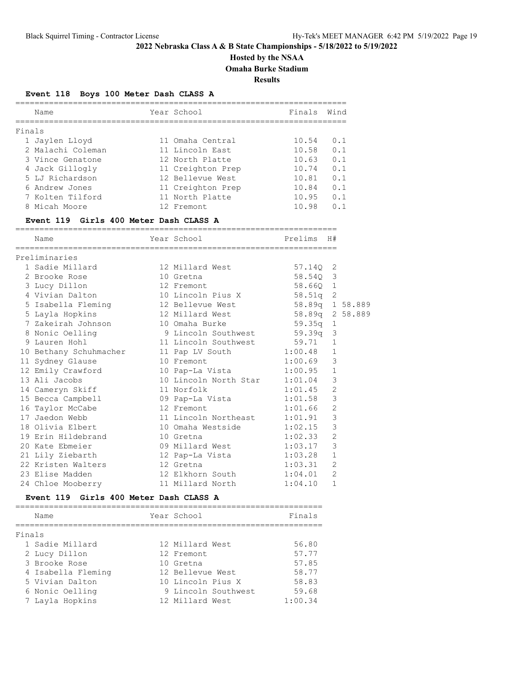# **Hosted by the NSAA**

**Omaha Burke Stadium**

**Results**

## **Event 118 Boys 100 Meter Dash CLASS A**

|        | Name              | Year School       | Finals | Wind |
|--------|-------------------|-------------------|--------|------|
| Finals |                   |                   |        |      |
|        | 1 Jaylen Lloyd    | 11 Omaha Central  | 10.54  | 0.1  |
|        | 2 Malachi Coleman | 11 Lincoln East   | 10.58  | 0.1  |
|        | 3 Vince Genatone  | 12 North Platte   | 10.63  | 0.1  |
|        | 4 Jack Gillogly   | 11 Creighton Prep | 10.74  | 0.1  |
|        | 5 LJ Richardson   | 12 Bellevue West  | 10.81  | 0.1  |
|        | 6 Andrew Jones    | 11 Creighton Prep | 10.84  | 0.1  |
|        | 7 Kolten Tilford  | 11 North Platte   | 10.95  | 0.1  |
|        | 8 Micah Moore     | 12 Fremont        | 10.98  | n 1  |

#### **Event 119 Girls 400 Meter Dash CLASS A**

| Name                                                | Year School                     | Prelims H# |                |  |
|-----------------------------------------------------|---------------------------------|------------|----------------|--|
| Preliminaries                                       |                                 |            |                |  |
| 1 Sadie Millard 12 Millard West 57.14Q 2            |                                 |            |                |  |
| 2 Brooke Rose                                       | 10 Gretna                       | 58.540 3   |                |  |
| 3 Lucy Dillon                                       | 12 Fremont                      | $58.66Q$ 1 |                |  |
| 4 Vivian Dalton 10 Lincoln Pius X 58.51q 2          |                                 |            |                |  |
| 5 Isabella Fleming 12 Bellevue West 58.89q 1 58.889 |                                 |            |                |  |
| 5 Layla Hopkins                                     | 12 Millard West 58.89q 2 58.889 |            |                |  |
| 7 Zakeirah Johnson                                  | 10 Omaha Burke 59.35q 1         |            |                |  |
| 8 Nonic Oelling                                     | 9 Lincoln Southwest 59.39q 3    |            |                |  |
| 9 Lauren Hohl                                       | 11 Lincoln Southwest 59.71 1    |            |                |  |
| 10 Bethany Schuhmacher 11 Pap LV South 1:00.48 1    |                                 |            |                |  |
| 11 Sydney Glause                                    | 10 Fremont 1:00.69              |            | 3              |  |
| 12 Emily Crawford<br>13 Ali Jacobs                  | 10 Pap-La Vista 1:00.95         |            | $\mathbf{1}$   |  |
|                                                     | 10 Lincoln North Star 1:01.04   |            | $\mathcal{E}$  |  |
| 14 Cameryn Skiff                                    | 1:01.45<br>11 Norfolk           |            | $\overline{c}$ |  |
| 15 Becca Campbell 69 Pap-La Vista 1:01.58           |                                 |            | $\mathcal{E}$  |  |
| 16 Taylor McCabe                                    | 12 Fremont 1:01.66              |            | 2              |  |
| 17 Jaedon Webb                                      | 11 Lincoln Northeast 1:01.91    |            | 3              |  |
| 18 Olivia Elbert                                    | 10 Omaha Westside 1:02.15       |            | 3              |  |
| 19 Erin Hildebrand                                  | 10 Gretna                       | 1:02.33    | $\overline{2}$ |  |
| 20 Kate Ebmeier                                     | 09 Millard West 1:03.17         |            | 3              |  |
| 21 Lily Ziebarth                                    |                                 |            | $\mathbf{1}$   |  |
| 22 Kristen Walters                                  | 12 Gretna                       | 1:03.31    | $\overline{2}$ |  |
| 23 Elise Madden                                     | 12 Elkhorn South 1:04.01        |            | $\overline{2}$ |  |
| 24 Chloe Mooberry                                   | 11 Millard North 1:04.10        |            | 1              |  |

#### **Event 119 Girls 400 Meter Dash CLASS A**

|        | Name               | Year School         | Finals  |
|--------|--------------------|---------------------|---------|
| Finals |                    |                     |         |
|        | 1 Sadie Millard    | 12 Millard West     | 56.80   |
|        | 2 Lucy Dillon      | 12 Fremont          | 57.77   |
|        | 3 Brooke Rose      | 10 Gretna           | 57.85   |
|        | 4 Isabella Fleming | 12 Bellevue West    | 58.77   |
|        | 5 Vivian Dalton    | 10 Lincoln Pius X   | 58.83   |
|        | 6 Nonic Oelling    | 9 Lincoln Southwest | 59.68   |
|        | 7 Layla Hopkins    | 12 Millard West     | 1:00.34 |
|        |                    |                     |         |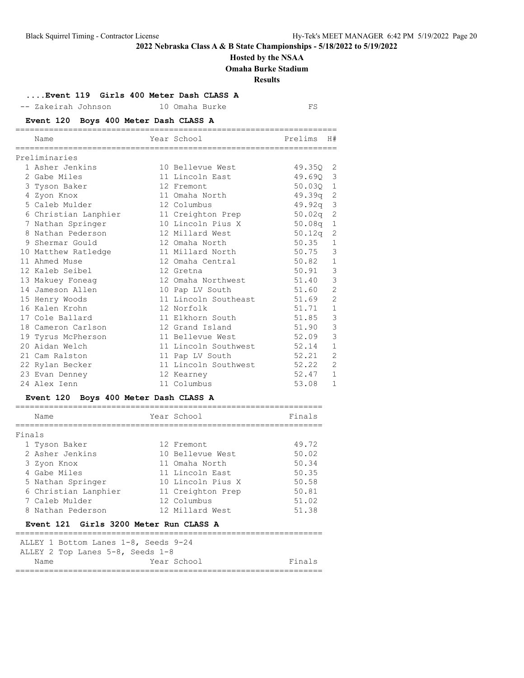## **Hosted by the NSAA**

**Omaha Burke Stadium**

#### **Results**

**....Event 119 Girls 400 Meter Dash CLASS A**

-- Zakeirah Johnson 10 Omaha Burke FS

## **Event 120 Boys 400 Meter Dash CLASS A**

| Name                                   | Year School          | Prelims            | H#             |
|----------------------------------------|----------------------|--------------------|----------------|
| Preliminaries                          |                      |                    |                |
| 1 Asher Jenkins                        | 10 Bellevue West     | 49.350 2           |                |
| 2 Gabe Miles                           | 11 Lincoln East      | 49.690 3           |                |
| 3 Tyson Baker                          | 12 Fremont           | 50.03Q 1           |                |
| 4 Zyon Knox                            | 11 Omaha North       | $49.39q$ 2         |                |
| 5 Caleb Mulder                         | 12 Columbus          | 49.92q             | 3              |
| 6 Christian Lanphier 11 Creighton Prep |                      | $50.02q$ 2         |                |
| 7 Nathan Springer                      | 10 Lincoln Pius X    | 50.08 <sub>q</sub> | 1              |
| 8 Nathan Pederson                      | 12 Millard West      | 50.12q             | 2              |
| 9 Shermar Gould                        | 12 Omaha North       | 50.35              | -1             |
| 10 Matthew Ratledge                    | 11 Millard North     | 50.75              | $\mathcal{S}$  |
| 11 Ahmed Muse                          | 12 Omaha Central     | 50.82              | $\mathbf{1}$   |
| 12 Kaleb Seibel                        | 12 Gretna            | 50.91              | $\mathcal{S}$  |
| 13 Makuey Foneag                       | 12 Omaha Northwest   | 51.40              | 3              |
| 14 Jameson Allen                       | 10 Pap LV South      | 51.60              | $\mathbf{2}$   |
| 15 Henry Woods                         | 11 Lincoln Southeast | 51.69              | $\overline{2}$ |
| 16 Kalen Krohn                         | 12 Norfolk           | 51.71              | $\mathbf{1}$   |
| 17 Cole Ballard                        | 11 Elkhorn South     | 51.85              | 3              |
| 18 Cameron Carlson                     | 12 Grand Island      | 51.90              | 3              |
| 19 Tyrus McPherson                     | 11 Bellevue West     | 52.09              | 3              |
| 20 Aidan Welch                         | 11 Lincoln Southwest | 52.14              | $\mathbf{1}$   |
| 21 Cam Ralston                         | 11 Pap LV South      | 52.21              | 2              |
| 22 Rylan Becker                        | 11 Lincoln Southwest | 52.22              | 2              |
| 23 Evan Denney                         | 12 Kearney           | 52.47              | $\mathbf{1}$   |
| 24 Alex Ienn                           | 11 Columbus          | 53.08              | 1              |

## **Event 120 Boys 400 Meter Dash CLASS A**

| Name                                   | Year School       | Finals |
|----------------------------------------|-------------------|--------|
|                                        |                   |        |
| Finals                                 |                   |        |
| 1 Tyson Baker                          | 12 Fremont        | 49.72  |
| 2 Asher Jenkins                        | 10 Bellevue West  | 50.02  |
| 3 Zyon Knox                            | 11 Omaha North    | 50.34  |
| 4 Gabe Miles                           | 11 Lincoln East   | 50.35  |
| 5 Nathan Springer                      | 10 Lincoln Pius X | 50.58  |
| 6 Christian Lanphier                   | 11 Creighton Prep | 50.81  |
| 7 Caleb Mulder                         | 12 Columbus       | 51.02  |
| 8 Nathan Pederson                      | 12 Millard West   | 51.38  |
| Event 121 Girls 3200 Meter Run CLASS A |                   |        |
|                                        |                   |        |
| ALLEY 1 Bottom Lanes 1-8, Seeds 9-24   |                   |        |
| ALLEY 2 Top Lanes 5-8, Seeds 1-8       |                   |        |
| Name                                   | Year School       | Finals |

================================================================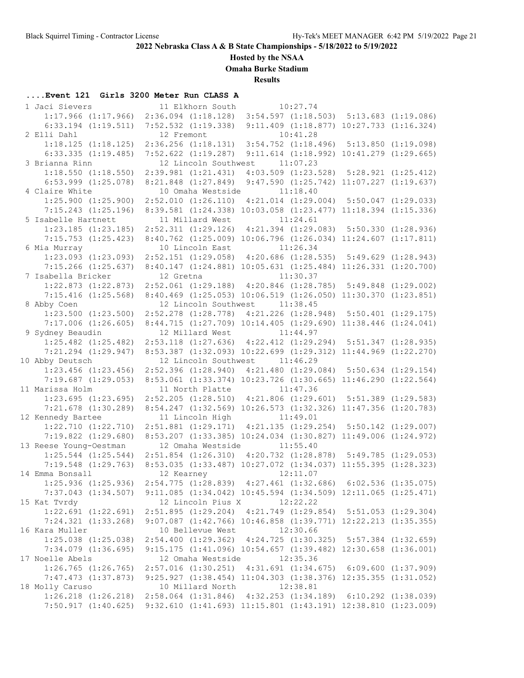**Hosted by the NSAA**

**Omaha Burke Stadium**

**Results**

## **....Event 121 Girls 3200 Meter Run CLASS A**

| 1 Jaci Sievers          | 11 Elkhorn South                                                                  | 10:27.74                                         |  |
|-------------------------|-----------------------------------------------------------------------------------|--------------------------------------------------|--|
| $1:17.966$ $(1:17.966)$ | 2:36.094 (1:18.128) 3:54.597 (1:18.503) 5:13.683 (1:19.086)                       |                                                  |  |
| $6:33.194$ $(1:19.511)$ | 7:52.532 (1:19.338) 9:11.409 (1:18.877) 10:27.733 (1:16.324)                      |                                                  |  |
| 2 Elli Dahl             | 12 Fremont                                                                        | 10:41.28                                         |  |
| $1:18.125$ $(1:18.125)$ | 2:36.256 (1:18.131) 3:54.752 (1:18.496) 5:13.850 (1:19.098)                       |                                                  |  |
| $6:33.335$ $(1:19.485)$ | 7:52.622 (1:19.287) 9:11.614 (1:18.992) 10:41.279 (1:29.665)                      |                                                  |  |
| 3 Brianna Rinn          | 12 Lincoln Southwest                                                              | 11:07.23                                         |  |
| $1:18.550$ $(1:18.550)$ | $2:39.981$ $(1:21.431)$                                                           | $4:03.509$ $(1:23.528)$ $5:28.921$ $(1:25.412)$  |  |
| $6:53.999$ $(1:25.078)$ | $8:21.848$ $(1:27.849)$                                                           | $9:47.590$ $(1:25.742)$ $11:07.227$ $(1:19.637)$ |  |
| 4 Claire White          | 10 Omaha Westside                                                                 | 11:18.40                                         |  |
| $1:25.900$ $(1:25.900)$ | 2:52.010 (1:26.110) 4:21.014 (1:29.004) 5:50.047 (1:29.033)                       |                                                  |  |
| $7:15.243$ $(1:25.196)$ | 8:39.581 (1:24.338) 10:03.058 (1:23.477) 11:18.394 (1:15.336)                     |                                                  |  |
| 5 Isabelle Hartnett     | 11 Millard West                                                                   | 11:24.61                                         |  |
| $1:23.185$ $(1:23.185)$ | 2:52.311 (1:29.126) 4:21.394 (1:29.083) 5:50.330 (1:28.936)                       |                                                  |  |
| $7:15.753$ $(1:25.423)$ | 8:40.762 (1:25.009) 10:06.796 (1:26.034) 11:24.607 (1:17.811)                     |                                                  |  |
| 6 Mia Murray            | 10 Lincoln East                                                                   | 11:26.34                                         |  |
| $1:23.093$ $(1:23.093)$ | 2:52.151 (1:29.058) 4:20.686 (1:28.535) 5:49.629 (1:28.943)                       |                                                  |  |
| $7:15.266$ $(1:25.637)$ | 8:40.147 (1:24.881) 10:05.631 (1:25.484) 11:26.331 (1:20.700)                     |                                                  |  |
| 7 Isabella Bricker      | 12 Gretna                                                                         | 11:30.37                                         |  |
| $1:22.873$ $(1:22.873)$ | 2:52.061 (1:29.188) 4:20.846 (1:28.785) 5:49.848 (1:29.002)                       |                                                  |  |
| $7:15.416$ $(1:25.568)$ | 8:40.469 (1:25.053) 10:06.519 (1:26.050) 11:30.370 (1:23.851)                     |                                                  |  |
| 8 Abby Coen             | 12 Lincoln Southwest                                                              | 11:38.45                                         |  |
| $1:23.500$ $(1:23.500)$ | 2:52.278 (1:28.778) 4:21.226 (1:28.948) 5:50.401 (1:29.175)                       |                                                  |  |
| $7:17.006$ $(1:26.605)$ | 8:44.715 (1:27.709) 10:14.405 (1:29.690) 11:38.446 (1:24.041)                     |                                                  |  |
| 9 Sydney Beaudin        | 12 Millard West 11:44.97                                                          |                                                  |  |
| $1:25.482$ $(1:25.482)$ | 2:53.118 (1:27.636) 4:22.412 (1:29.294) 5:51.347 (1:28.935)                       |                                                  |  |
| $7:21.294$ $(1:29.947)$ | 8:53.387 (1:32.093) 10:22.699 (1:29.312) 11:44.969 (1:22.270)                     |                                                  |  |
| 10 Abby Deutsch         | 12 Lincoln Southwest 11:46.29                                                     |                                                  |  |
| $1:23.456$ $(1:23.456)$ | 2:52.396 (1:28.940) 4:21.480 (1:29.084) 5:50.634 (1:29.154)                       |                                                  |  |
| $7:19.687$ $(1:29.053)$ | 8:53.061 (1:33.374) 10:23.726 (1:30.665) 11:46.290 (1:22.564)                     |                                                  |  |
| 11 Marissa Holm         | 11 North Platte                                                                   | 11:47.36                                         |  |
| $1:23.695$ $(1:23.695)$ | 2:52.205 (1:28.510) 4:21.806 (1:29.601) 5:51.389 (1:29.583)                       |                                                  |  |
| $7:21.678$ $(1:30.289)$ | 8:54.247 (1:32.569) 10:26.573 (1:32.326) 11:47.356 (1:20.783)                     |                                                  |  |
| 12 Kennedy Bartee       | 11 Lincoln High                                                                   | 11:49.01                                         |  |
| $1:22.710$ $(1:22.710)$ | 2:51.881 (1:29.171) 4:21.135 (1:29.254) 5:50.142 (1:29.007)                       |                                                  |  |
| $7:19.822$ $(1:29.680)$ | 8:53.207 (1:33.385) 10:24.034 (1:30.827) 11:49.006 (1:24.972)                     |                                                  |  |
| 13 Reese Young-Oestman  | 12 Omaha Westside                                                                 | 11:55.40                                         |  |
| $1:25.544$ $(1:25.544)$ | 2:51.854 (1:26.310) 4:20.732 (1:28.878) 5:49.785 (1:29.053)                       |                                                  |  |
| $7:19.548$ $(1:29.763)$ | 8:53.035 (1:33.487) 10:27.072 (1:34.037) 11:55.395 (1:28.323)                     |                                                  |  |
| 14 Emma Bonsall         | 12 Kearney                                                                        | 12:11.07                                         |  |
| $1:25.936$ $(1:25.936)$ | 2:54.775 (1:28.839) 4:27.461 (1:32.686) 6:02.536 (1:35.075)                       |                                                  |  |
| $7:37.043$ $(1:34.507)$ | 9:11.085 (1:34.042) 10:45.594 (1:34.509) 12:11.065 (1:25.471)                     |                                                  |  |
| 15 Kat Tvrdy            | 12 Lincoln Pius X 12:22.22                                                        |                                                  |  |
| $1:22.691$ $(1:22.691)$ | 2:51.895 (1:29.204) 4:21.749 (1:29.854) 5:51.053 (1:29.304)                       |                                                  |  |
| $7:24.321$ $(1:33.268)$ | 9:07.087 (1:42.766) 10:46.858 (1:39.771) 12:22.213 (1:35.355)                     |                                                  |  |
| 16 Kara Muller          | 10 Bellevue West                                                                  | 12:30.66                                         |  |
| $1:25.038$ $(1:25.038)$ | 2:54.400 (1:29.362) 4:24.725 (1:30.325) 5:57.384 (1:32.659)                       |                                                  |  |
| $7:34.079$ $(1:36.695)$ | 9:15.175 (1:41.096) 10:54.657 (1:39.482) 12:30.658 (1:36.001)                     |                                                  |  |
| 17 Noelle Abels         | 12 Omaha Westside                                                                 | 12:35.36                                         |  |
| $1:26.765$ $(1:26.765)$ | 2:57.016 (1:30.251) 4:31.691 (1:34.675) 6:09.600 (1:37.909)                       |                                                  |  |
| $7:47.473$ $(1:37.873)$ | 9:25.927 (1:38.454) 11:04.303 (1:38.376) 12:35.355 (1:31.052)                     |                                                  |  |
| 18 Molly Caruso         | 10 Millard North                                                                  | 12:38.81                                         |  |
| $1:26.218$ $(1:26.218)$ | 2:58.064 (1:31.846) 4:32.253 (1:34.189) 6:10.292 (1:38.039)                       |                                                  |  |
|                         | 7:50.917 (1:40.625) 9:32.610 (1:41.693) 11:15.801 (1:43.191) 12:38.810 (1:23.009) |                                                  |  |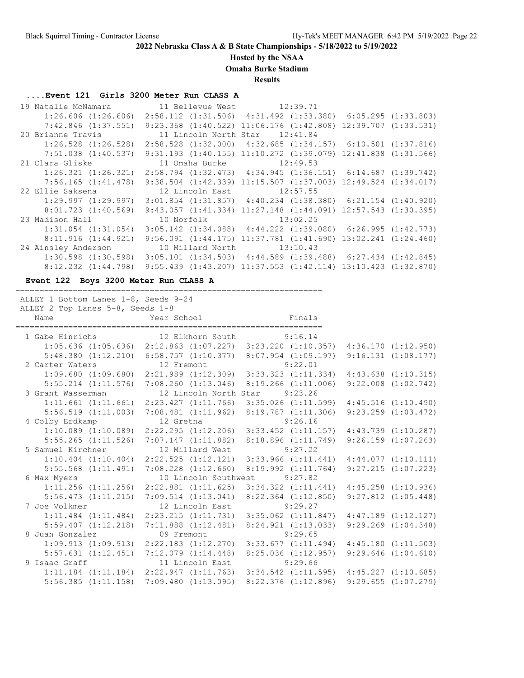## **Hosted by the NSAA**

**Omaha Burke Stadium**

**Results**

## **....Event 121 Girls 3200 Meter Run CLASS A**

| 19 Natalie McNamara     | 11 Bellevue West 12:39.71      |                                                                                   |                          |  |
|-------------------------|--------------------------------|-----------------------------------------------------------------------------------|--------------------------|--|
| $1:26.606$ $(1:26.606)$ |                                | $2:58.112$ $(1:31.506)$ $4:31.492$ $(1:33.380)$ $6:05.295$ $(1:33.803)$           |                          |  |
| $7:42.846$ $(1:37.551)$ |                                | 9:23.368 (1:40.522) 11:06.176 (1:42.808) 12:39.707 (1:33.531)                     |                          |  |
| 20 Brianne Travis       | 11 Lincoln North Star 12:41.84 |                                                                                   |                          |  |
| $1:26.528$ $(1:26.528)$ |                                | $2:58.528$ $(1:32.000)$ $4:32.685$ $(1:34.157)$ $6:10.501$ $(1:37.816)$           |                          |  |
| 7:51.038 (1:40.537)     |                                | $9:31.193$ $(1:40.155)$ $11:10.272$ $(1:39.079)$ $12:41.838$ $(1:31.566)$         |                          |  |
| 21 Clara Gliske         | 11 Omaha Burke 12:49.53        |                                                                                   |                          |  |
| $1:26.321$ $(1:26.321)$ |                                | $2:58.794$ $(1:32.473)$ $4:34.945$ $(1:36.151)$ $6:14.687$ $(1:39.742)$           |                          |  |
| 7:56.165 (1:41.478)     |                                | $9:38.504$ $(1:42.339)$ $11:15.507$ $(1:37.003)$ $12:49.524$ $(1:34.017)$         |                          |  |
|                         |                                |                                                                                   |                          |  |
| 22 Ellie Saksena        | 12 Lincoln East 12:57.55       |                                                                                   |                          |  |
| $1:29.997$ $(1:29.997)$ |                                | $3:01.854$ (1:31.857) $4:40.234$ (1:38.380) 6:21.154 (1:40.920)                   |                          |  |
| 8:01.723(1:40.569)      |                                | 9:43.057 (1:41.334) 11:27.148 (1:44.091) 12:57.543 (1:30.395)                     |                          |  |
| 23 Madison Hall         | 10 Norfolk                     | 13:02.25                                                                          |                          |  |
| $1:31.054$ $(1:31.054)$ |                                | $3:05.142$ $(1:34.088)$ $4:44.222$ $(1:39.080)$ $6:26.995$ $(1:42.773)$           |                          |  |
| 8:11.916(1:44.921)      |                                | $9:56.091$ $(1:44.175)$ $11:37.781$ $(1:41.690)$                                  | $13:02.241$ $(1:24.460)$ |  |
| 24 Ainsley Anderson     | 10 Millard North 13:10.43      |                                                                                   |                          |  |
|                         |                                | $1:30.598$ (1:30.598) 3:05.101 (1:34.503) 4:44.589 (1:39.488) 6:27.434 (1:42.845) |                          |  |

## **Event 122 Boys 3200 Meter Run CLASS A**

================================================================

| ALLEY 1 Bottom Lanes 1-8, Seeds 9-24                                            |                               |                                                                                                 |  |
|---------------------------------------------------------------------------------|-------------------------------|-------------------------------------------------------------------------------------------------|--|
| ALLEY 2 Top Lanes 5-8, Seeds 1-8                                                |                               |                                                                                                 |  |
|                                                                                 |                               |                                                                                                 |  |
| 1 Gabe Hinrichs 12 Elkhorn South 9:16.14                                        |                               |                                                                                                 |  |
|                                                                                 |                               | 1:05.636 (1:05.636) 2:12.863 (1:07.227) 3:23.220 (1:10.357) 4:36.170 (1:12.950)                 |  |
|                                                                                 |                               | 5:48.380 (1:12.210) 6:58.757 (1:10.377) 8:07.954 (1:09.197) 9:16.131 (1:08.177)                 |  |
| 2 Carter Waters 12 Fremont 9:22.01                                              |                               |                                                                                                 |  |
|                                                                                 |                               | 1:09.680 (1:09.680) 2:21.989 (1:12.309) 3:33.323 (1:11.334) 4:43.638 (1:10.315)                 |  |
|                                                                                 |                               | 5:55.214 (1:11.576) 7:08.260 (1:13.046) 8:19.266 (1:11.006) 9:22.008 (1:02.742)                 |  |
| 3 Grant Wasserman                                                               | 12 Lincoln North Star 9:23.26 |                                                                                                 |  |
|                                                                                 |                               | 1:11.661 (1:11.661) 2:23.427 (1:11.766) 3:35.026 (1:11.599) 4:45.516 (1:10.490)                 |  |
|                                                                                 |                               | 5:56.519 (1:11.003) 7:08.481 (1:11.962) 8:19.787 (1:11.306) 9:23.259 (1:03.472)                 |  |
| 4 Colby Erdkamp 12 Gretna 9:26.16                                               |                               |                                                                                                 |  |
|                                                                                 |                               | 1:10.089 (1:10.089) 2:22.295 (1:12.206) 3:33.452 (1:11.157) 4:43.739 (1:10.287)                 |  |
|                                                                                 |                               | 5:55.265 (1:11.526) 7:07.147 (1:11.882) 8:18.896 (1:11.749) 9:26.159 (1:07.263)                 |  |
| 5 Samuel Kirchner 12 Millard West 9:27.22                                       |                               |                                                                                                 |  |
|                                                                                 |                               | $1:10.404$ $(1:10.404)$ $2:22.525$ $(1:12.121)$ $3:33.966$ $(1:11.441)$ $4:44.077$ $(1:10.111)$ |  |
|                                                                                 |                               | 5:55.568 (1:11.491) 7:08.228 (1:12.660) 8:19.992 (1:11.764) 9:27.215 (1:07.223)                 |  |
| 6 Max Myers 10 Lincoln Southwest 9:27.82                                        |                               |                                                                                                 |  |
|                                                                                 |                               | 1:11.256 (1:11.256) 2:22.881 (1:11.625) 3:34.322 (1:11.441) 4:45.258 (1:10.936)                 |  |
| 5:56.473 (1:11.215) 7:09.514 (1:13.041) 8:22.364 (1:12.850) 9:27.812 (1:05.448) |                               |                                                                                                 |  |
| 7 Joe Volkmer 12 Lincoln East 9:29.27                                           |                               |                                                                                                 |  |
|                                                                                 |                               | $1:11.484$ (1:11.484) 2:23.215 (1:11.731) 3:35.062 (1:11.847) 4:47.189 (1:12.127)               |  |
|                                                                                 |                               | 5:59.407 (1:12.218) 7:11.888 (1:12.481) 8:24.921 (1:13.033) 9:29.269 (1:04.348)                 |  |
| 8 Juan Gonzalez 09 Fremont 9:29.65                                              |                               |                                                                                                 |  |
|                                                                                 |                               | 1:09.913 (1:09.913) 2:22.183 (1:12.270) 3:33.677 (1:11.494) 4:45.180 (1:11.503)                 |  |
|                                                                                 |                               | 5:57.631 (1:12.451) 7:12.079 (1:14.448) 8:25.036 (1:12.957) 9:29.646 (1:04.610)                 |  |
| 9 Isaac Graff 11 Lincoln East 9:29.66                                           |                               |                                                                                                 |  |
|                                                                                 |                               | $1:11.184$ (1:11.184) $2:22.947$ (1:11.763) $3:34.542$ (1:11.595) $4:45.227$ (1:10.685)         |  |
|                                                                                 |                               | 5:56.385 (1:11.158) 7:09.480 (1:13.095) 8:22.376 (1:12.896) 9:29.655 (1:07.279)                 |  |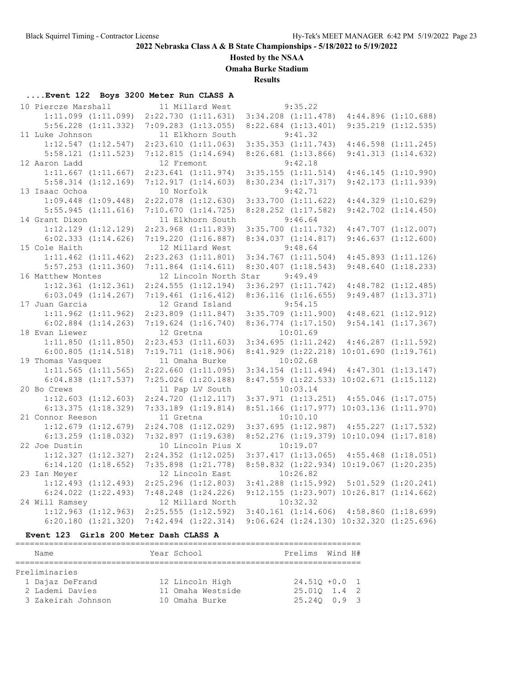## **Hosted by the NSAA**

**Omaha Burke Stadium**

**Results**

# **....Event 122 Boys 3200 Meter Run CLASS A**

| 10 Piercze Marshall     | 11 Millard West         | 9:35.22                                          |                         |  |
|-------------------------|-------------------------|--------------------------------------------------|-------------------------|--|
| $1:11.099$ $(1:11.099)$ | 2:22.730(1:11.631)      | $3:34.208$ $(1:11.478)$                          | $4:44.896$ $(1:10.688)$ |  |
| $5:56.228$ $(1:11.332)$ | $7:09.283$ $(1:13.055)$ | $8:22.684$ $(1:13.401)$                          | $9:35.219$ $(1:12.535)$ |  |
| 11 Luke Johnson         | 11 Elkhorn South        | 9:41.32                                          |                         |  |
| $1:12.547$ $(1:12.547)$ | 2:23.610(1:11.063)      | $3:35.353$ $(1:11.743)$                          | $4:46.598$ $(1:11.245)$ |  |
| $5:58.121$ $(1:11.523)$ | 7:12.815(1:14.694)      | $8:26.681$ $(1:13.866)$                          | 9:41.313(1:14.632)      |  |
| 12 Aaron Ladd           | 12 Fremont              | 9:42.18                                          |                         |  |
| $1:11.667$ $(1:11.667)$ | $2:23.641$ $(1:11.974)$ | $3:35.155$ $(1:11.514)$                          | 4:46.145(1:10.990)      |  |
| $5:58.314$ $(1:12.169)$ | 7:12.917(1:14.603)      | $8:30.234$ $(1:17.317)$                          | 9:42.173(1:11.939)      |  |
| 13 Isaac Ochoa          | 10 Norfolk              | 9:42.71                                          |                         |  |
| $1:09.448$ $(1:09.448)$ | $2:22.078$ $(1:12.630)$ | $3:33.700$ $(1:11.622)$                          | $4:44.329$ $(1:10.629)$ |  |
| 5:55.945(1:11.616)      | 7:10.670(1:14.725)      | $8:28.252$ $(1:17.582)$                          | $9:42.702$ $(1:14.450)$ |  |
| 14 Grant Dixon          | 11 Elkhorn South        | 9:46.64                                          |                         |  |
| $1:12.129$ $(1:12.129)$ | $2:23.968$ $(1:11.839)$ | $3:35.700$ $(1:11.732)$                          | $4:47.707$ $(1:12.007)$ |  |
| $6:02.333$ $(1:14.626)$ | 7:19.220(1:16.887)      | 8:34.037(1:14.817)                               | 9:46.637(1:12.600)      |  |
| 15 Cole Haith           | 12 Millard West         | 9:48.64                                          |                         |  |
| $1:11.462$ $(1:11.462)$ | $2:23.263$ $(1:11.801)$ | $3:34.767$ $(1:11.504)$                          | $4:45.893$ $(1:11.126)$ |  |
| $5:57.253$ $(1:11.360)$ | $7:11.864$ $(1:14.611)$ | $8:30.407$ $(1:18.543)$                          | 9:48.640(1:18.233)      |  |
| 16 Matthew Montes       | 12 Lincoln North Star   | 9:49.49                                          |                         |  |
| $1:12.361$ $(1:12.361)$ | $2:24.555$ $(1:12.194)$ | $3:36.297$ $(1:11.742)$                          | $4:48.782$ $(1:12.485)$ |  |
| $6:03.049$ $(1:14.267)$ | $7:19.461$ $(1:16.412)$ | $8:36.116$ $(1:16.655)$                          | $9:49.487$ $(1:13.371)$ |  |
| 17 Juan Garcia          | 12 Grand Island         | 9:54.15                                          |                         |  |
| $1:11.962$ $(1:11.962)$ | $2:23.809$ $(1:11.847)$ | $3:35.709$ $(1:11.900)$                          | $4:48.621$ $(1:12.912)$ |  |
| $6:02.884$ $(1:14.263)$ | $7:19.624$ $(1:16.740)$ | $8:36.774$ $(1:17.150)$                          | 9:54.141(1:17.367)      |  |
| 18 Evan Liewer          | 12 Gretna               | 10:01.69                                         |                         |  |
| $1:11.850$ $(1:11.850)$ | $2:23.453$ $(1:11.603)$ | $3:34.695$ $(1:11.242)$ $4:46.287$ $(1:11.592)$  |                         |  |
| $6:00.805$ $(1:14.518)$ | 7:19.711(1:18.906)      | 8:41.929 (1:22.218) 10:01.690 (1:19.761)         |                         |  |
| 19 Thomas Vasquez       | 11 Omaha Burke          | 10:02.68                                         |                         |  |
| $1:11.565$ $(1:11.565)$ | $2:22.660$ $(1:11.095)$ | $3:34.154$ $(1:11.494)$                          | $4:47.301$ $(1:13.147)$ |  |
| $6:04.838$ $(1:17.537)$ | $7:25.026$ $(1:20.188)$ | 8:47.559 (1:22.533) 10:02.671 (1:15.112)         |                         |  |
| 20 Bo Crews             | 11 Pap LV South         | 10:03.14                                         |                         |  |
| $1:12.603$ $(1:12.603)$ | 2:24.720(1:12.117)      | $3:37.971$ $(1:13.251)$ $4:55.046$ $(1:17.075)$  |                         |  |
| $6:13.375$ $(1:18.329)$ | $7:33.189$ $(1:19.814)$ | 8:51.166 (1:17.977) 10:03.136 (1:11.970)         |                         |  |
| 21 Connor Reeson        | 11 Gretna               | 10:10.10                                         |                         |  |
| $1:12.679$ $(1:12.679)$ | $2:24.708$ $(1:12.029)$ | 3:37.695(1:12.987)                               | 4:55.227(1:17.532)      |  |
| $6:13.259$ $(1:18.032)$ | $7:32.897$ $(1:19.638)$ | 8:52.276 (1:19.379) 10:10.094 (1:17.818)         |                         |  |
| 22 Joe Dustin           | 10 Lincoln Pius X       | 10:19.07                                         |                         |  |
| $1:12.327$ $(1:12.327)$ | $2:24.352$ $(1:12.025)$ | $3:37.417$ $(1:13.065)$ $4:55.468$ $(1:18.051)$  |                         |  |
| $6:14.120$ $(1:18.652)$ | $7:35.898$ $(1:21.778)$ | 8:58.832 (1:22.934) 10:19.067 (1:20.235)         |                         |  |
| 23 Ian Meyer            | 12 Lincoln East         | 10:26.82                                         |                         |  |
| $1:12.493$ $(1:12.493)$ | $2:25.296$ $(1:12.803)$ | $3:41.288$ $(1:15.992)$ $5:01.529$ $(1:20.241)$  |                         |  |
| $6:24.022$ $(1:22.493)$ | $7:48.248$ $(1:24.226)$ | $9:12.155$ $(1:23.907)$ $10:26.817$ $(1:14.662)$ |                         |  |
| 24 Will Ramsey          | 12 Millard North        | 10:32.32                                         |                         |  |
| $1:12.963$ $(1:12.963)$ | $2:25.555$ $(1:12.592)$ | $3:40.161$ $(1:14.606)$ $4:58.860$ $(1:18.699)$  |                         |  |
| $6:20.180$ $(1:21.320)$ | $7:42.494$ $(1:22.314)$ | $9:06.624$ $(1:24.130)$ $10:32.320$ $(1:25.696)$ |                         |  |

#### **Event 123 Girls 200 Meter Dash CLASS A**

| Name               |  | Year School       | Prelims Wind H#  |  |  |  |  |  |
|--------------------|--|-------------------|------------------|--|--|--|--|--|
|                    |  |                   |                  |  |  |  |  |  |
| Preliminaries      |  |                   |                  |  |  |  |  |  |
| 1 Dajaz DeFrand    |  | 12 Lincoln High   | $24.510 + 0.0 1$ |  |  |  |  |  |
| 2 Lademi Davies    |  | 11 Omaha Westside | 25.010 1.4 2     |  |  |  |  |  |
| 3 Zakeirah Johnson |  | 10 Omaha Burke    | $25.240$ 0.9 3   |  |  |  |  |  |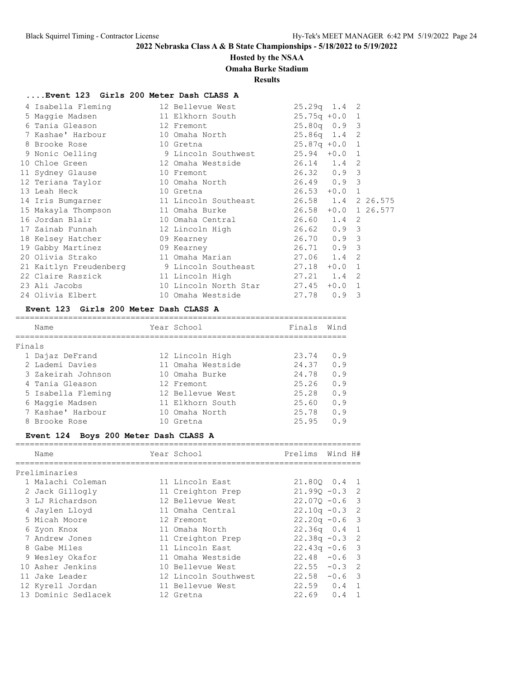#### **Hosted by the NSAA**

#### **Omaha Burke Stadium**

#### **Results**

#### **....Event 123 Girls 200 Meter Dash CLASS A**

| 4 Isabella Fleming                               | 12 Bellevue West                        | $25.29q$ 1.4 2  |               |              |                      |
|--------------------------------------------------|-----------------------------------------|-----------------|---------------|--------------|----------------------|
| 5 Maggie Madsen                                  | 11 Elkhorn South                        | $25.75q +0.0$ 1 |               |              |                      |
| 6 Tania Gleason ann an 1970.                     | 12 Fremont                              | $25.80q$ 0.9 3  |               |              |                      |
| 7 Kashae' Harbour                                | 10 Omaha North 25.86q 1.4 2             |                 |               |              |                      |
| 8 Brooke Rose                                    | 10 Gretna                               | $25.87q +0.0$ 1 |               |              |                      |
| 9 Nonic Oelling                                  | 9 Lincoln Southwest 25.94 +0.0 1        |                 |               |              |                      |
| 10 Chloe Green and the Changes of the Changes    | 26.14 1.4 2<br>12 Omaha Westside        |                 |               |              |                      |
| 11 Sydney Glause                                 | 10 Fremont                              | $26.32$ $0.9$ 3 |               |              |                      |
| 12 Teriana Taylor                                | 10 Omaha North 26.49 0.9 3              |                 |               |              |                      |
| 13 Leah Heck                                     | 10 Gretna                               | 26.53           | $+0.0$ 1      |              |                      |
| 14 Iris Bumgarner                                | 11 Lincoln Southeast 26.58 1.4 2 26.575 |                 |               |              |                      |
| 15 Makayla Thompson                              | 11 Omaha Burke 26.58                    |                 |               |              | $+0.0 \quad 126.577$ |
| 16 Jordan Blair Marcosco                         | 10 Omaha Central 26.60                  |                 | $1.4 \quad 2$ |              |                      |
| 17 Zainab Funnah                                 | 12 Lincoln High                         | $26.62$ 0.9 3   |               |              |                      |
| 18 Kelsey Hatcher                                | 09 Kearney                              | $26.70$ 0.9 3   |               |              |                      |
| 19 Gabby Martinez                                | 09 Kearney                              | 26.71           | $0.9$ 3       |              |                      |
| 20 Olivia Strako                                 | 11 Omaha Marian 27.06                   |                 | $1.4 \quad 2$ |              |                      |
| 21 Kaitlyn Freudenberg 9 Lincoln Southeast 27.18 |                                         |                 | $+0.0$        | $\mathbf{1}$ |                      |
| 22 Claire Raszick                                | 27.21 1.4<br>11 Lincoln High            |                 |               | 2            |                      |
| 23 Ali Jacobs                                    | 10 Lincoln North Star 27.45             |                 | $+0.0$        | $\mathbf{1}$ |                      |
| 24 Olivia Elbert                                 | 10 Omaha Westside                       | 27.78           | 0.9           | 3            |                      |

#### **Event 123 Girls 200 Meter Dash CLASS A**

#### ===================================================================== Name **Year School** Finals Wind ===================================================================== Finals 1 Dajaz DeFrand 12 Lincoln High 23.74 0.9 2 Lademi Davies 11 Omaha Westside 24.37 0.9 3 Zakeirah Johnson 10 Omaha Burke 24.78 0.9 4 Tania Gleason 12 Fremont 25.26 0.9 5 Isabella Fleming 12 Bellevue West 25.28 0.9 6 Maggie Madsen 11 Elkhorn South 25.60 0.9 7 Kashae' Harbour 10 Omaha North 25.78 0.9 8 Brooke Rose 10 Gretna 25.95 0.9

#### **Event 124 Boys 200 Meter Dash CLASS A**

| Name                | Year School          | Prelims Wind H#  |     |                |
|---------------------|----------------------|------------------|-----|----------------|
| Preliminaries       |                      |                  |     |                |
| 1 Malachi Coleman   | 11 Lincoln East      | 21.800 0.4 1     |     |                |
| 2 Jack Gillogly     | 11 Creighton Prep    | $21.990 - 0.3$ 2 |     |                |
| 3 LJ Richardson     | 12 Bellevue West     | $22.070 - 0.6$ 3 |     |                |
| 4 Jaylen Lloyd      | 11 Omaha Central     | $22.10q - 0.3$ 2 |     |                |
| 5 Micah Moore       | 12 Fremont           | $22.20q - 0.6$ 3 |     |                |
| 6 Zyon Knox         | 11 Omaha North       | $22.36q$ 0.4 1   |     |                |
| 7 Andrew Jones      | 11 Creighton Prep    | $22.38q - 0.3$ 2 |     |                |
| 8 Gabe Miles        | 11 Lincoln East      | $22.43q - 0.6$ 3 |     |                |
| 9 Wesley Okafor     | 11 Omaha Westside    | $22.48 - 0.6$ 3  |     |                |
| 10 Asher Jenkins    | 10 Bellevue West     | $22.55 - 0.3$ 2  |     |                |
| 11 Jake Leader      | 12 Lincoln Southwest | $22.58 - 0.6$ 3  |     |                |
| 12 Kyrell Jordan    | 11 Bellevue West     | $22.59$ 0.4 1    |     |                |
| 13 Dominic Sedlacek | 12 Gretna            | 22.69            | 0.4 | $\overline{1}$ |
|                     |                      |                  |     |                |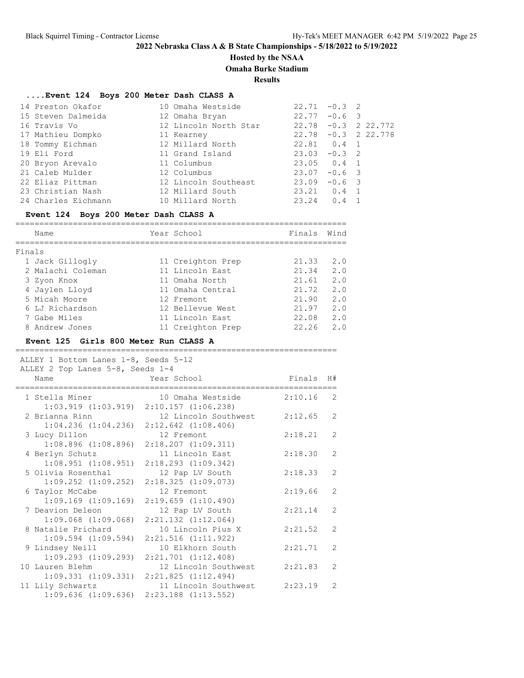## **Hosted by the NSAA**

**Omaha Burke Stadium**

**Results**

# **....Event 124 Boys 200 Meter Dash CLASS A**

| 14 Preston Okafor   | 10 Omaha Westside     | $22.71 - 0.3$ 2 |          |                        |
|---------------------|-----------------------|-----------------|----------|------------------------|
| 15 Steven Dalmeida  | 12 Omaha Bryan        | $22.77 - 0.6$ 3 |          |                        |
| 16 Travis Vo        | 12 Lincoln North Star |                 |          | $22.78 - 0.3$ 2 22.772 |
| 17 Mathieu Dompko   | 11 Kearney            |                 |          | $22.78 - 0.3$ 2 22.778 |
| 18 Tommy Eichman    | 12 Millard North      | 22.81 0.4 1     |          |                        |
| 19 Eli Ford         | 11 Grand Island       | $23.03 -0.3$ 2  |          |                        |
| 20 Bryon Arevalo    | 11 Columbus           | $23.05$ 0.4 1   |          |                        |
| 21 Caleb Mulder     | 12 Columbus           | $23.07 - 0.6$ 3 |          |                        |
| 22 Eliaz Pittman    | 12 Lincoln Southeast  | 23.09           | $-0.6$ 3 |                        |
| 23 Christian Nash   | 12 Millard South      | 23.21 0.4 1     |          |                        |
| 24 Charles Eichmann | 10 Millard North      | 23.24           | 0.4      |                        |

## **Event 124 Boys 200 Meter Dash CLASS A**

|        | Name              | Year School       | Finals | Wind |
|--------|-------------------|-------------------|--------|------|
|        |                   |                   |        |      |
| Finals |                   |                   |        |      |
|        | 1 Jack Gillogly   | 11 Creighton Prep | 21.33  | 2.0  |
|        | 2 Malachi Coleman | 11 Lincoln East   | 21.34  | 2.0  |
|        | 3 Zyon Knox       | 11 Omaha North    | 21.61  | 2.0  |
|        | 4 Jaylen Lloyd    | 11 Omaha Central  | 21.72  | 2.0  |
|        | 5 Micah Moore     | 12 Fremont        | 21.90  | 2.0  |
|        | 6 LJ Richardson   | 12 Bellevue West  | 21.97  | 2.0  |
|        | 7 Gabe Miles      | 11 Lincoln East   | 22.08  | 2.0  |
|        | 8 Andrew Jones    | 11 Creighton Prep | 22.26  | 2.0  |

===================================================================

#### **Event 125 Girls 800 Meter Run CLASS A**

| ALLEY 1 Bottom Lanes 1-8, Seeds 5-12<br>ALLEY 2 Top Lanes 5-8, Seeds 1-4 |                                                                        |                                                 |           |                |  |  |
|--------------------------------------------------------------------------|------------------------------------------------------------------------|-------------------------------------------------|-----------|----------------|--|--|
|                                                                          | Name                                                                   | Year School                                     | Finals H# |                |  |  |
|                                                                          | 1 Stella Miner<br>$1:03.919$ $(1:03.919)$                              | 10 Omaha Westside<br>$2:10.157$ $(1:06.238)$    | 2:10.16   | 2              |  |  |
|                                                                          | 2 Brianna Rinn<br>$1:04.236$ $(1:04.236)$                              | 12 Lincoln Southwest<br>$2:12.642$ $(1:08.406)$ | 2:12.65   | $\overline{2}$ |  |  |
|                                                                          | 3 Lucy Dillon<br>$1:08.896$ $(1:08.896)$                               | 12 Fremont<br>2:18.207(1:09.311)                | 2:18.21   | 2              |  |  |
|                                                                          | 4 Berlyn Schutz<br>$1:08.951$ $(1:08.951)$                             | 11 Lincoln East<br>$2:18.293$ $(1:09.342)$      | 2:18.30   | $\mathcal{L}$  |  |  |
|                                                                          | 5 Olivia Rosenthal<br>$1:09.252$ $(1:09.252)$                          | 12 Pap LV South<br>2:18.325 (1:09.073)          | 2:18.33   | $\mathcal{L}$  |  |  |
|                                                                          | 6 Taylor McCabe<br>$1:09.169$ $(1:09.169)$                             | 12 Fremont<br>$2:19.659$ $(1:10.490)$           | 2:19.66   | 2              |  |  |
|                                                                          | 7 Deavion Deleon<br>$1:09.068$ $(1:09.068)$                            | 12 Pap LV South<br>$2:21.132$ $(1:12.064)$      | 2:21.14   | $\mathcal{L}$  |  |  |
|                                                                          | 8 Natalie Prichard<br>$1:09.594$ $(1:09.594)$                          | 10 Lincoln Pius X<br>$2:21.516$ $(1:11.922)$    | 2:21.52   | $\overline{2}$ |  |  |
|                                                                          | 9 Lindsey Neill<br>$1:09.293$ $(1:09.293)$                             | 10 Elkhorn South<br>$2:21.701$ $(1:12.408)$     | 2:21.71   | $\mathcal{L}$  |  |  |
|                                                                          | 10 Lauren Blehm                                                        | 12 Lincoln Southwest<br>2:21.825(1:12.494)      | 2:21.83   | $\overline{2}$ |  |  |
|                                                                          | $1:09.331$ $(1:09.331)$<br>11 Lily Schwartz<br>$1:09.636$ $(1:09.636)$ | 11 Lincoln Southwest<br>$2:23.188$ $(1:13.552)$ | 2:23.19   | $\mathcal{L}$  |  |  |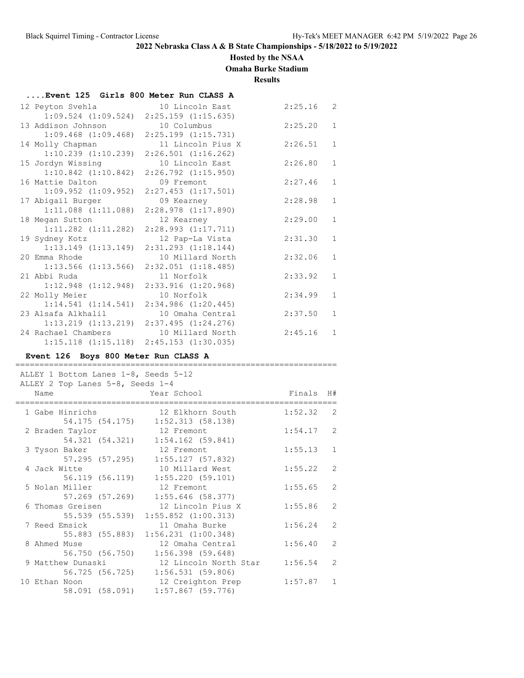## **Hosted by the NSAA**

**Omaha Burke Stadium**

**Results**

| Event 125 Girls 800 Meter Run CLASS A |                         |         |                |  |  |  |
|---------------------------------------|-------------------------|---------|----------------|--|--|--|
| 12 Peyton Svehla                      | 10 Lincoln East         | 2:25.16 | $\overline{2}$ |  |  |  |
| $1:09.524$ $(1:09.524)$               | $2:25.159$ $(1:15.635)$ |         |                |  |  |  |
| 13 Addison Johnson                    | 10 Columbus             | 2:25.20 | $\mathbf{1}$   |  |  |  |
| $1:09.468$ $(1:09.468)$               | $2:25.199$ $(1:15.731)$ |         |                |  |  |  |
| 14 Molly Chapman                      | 11 Lincoln Pius X       | 2:26.51 | $\mathbf{1}$   |  |  |  |
| $1:10.239$ $(1:10.239)$               | $2:26.501$ $(1:16.262)$ |         |                |  |  |  |
| 15 Jordyn Wissing                     | 10 Lincoln East         | 2:26.80 | $\mathbf{1}$   |  |  |  |
| $1:10.842$ $(1:10.842)$               | $2:26.792$ $(1:15.950)$ |         |                |  |  |  |
| 16 Mattie Dalton                      | 09 Fremont              | 2:27.46 | $\mathbf{1}$   |  |  |  |
| $1:09.952$ $(1:09.952)$               | $2:27.453$ $(1:17.501)$ |         |                |  |  |  |
| 17 Abigail Burger                     | 09 Kearney              | 2:28.98 | $\mathbf{1}$   |  |  |  |
| $1:11.088$ $(1:11.088)$               | 2:28.978 (1:17.890)     |         |                |  |  |  |
| 18 Megan Sutton                       | 12 Kearney              | 2:29.00 | $\mathbf{1}$   |  |  |  |
| $1:11.282$ $(1:11.282)$               | 2:28.993(1:17.711)      |         |                |  |  |  |
| 19 Sydney Kotz                        | 12 Pap-La Vista         | 2:31.30 | $\mathbf{1}$   |  |  |  |
| $1:13.149$ $(1:13.149)$               | $2:31.293$ $(1:18.144)$ |         |                |  |  |  |
| 20 Emma Rhode                         | 10 Millard North        | 2:32.06 | $\mathbf{1}$   |  |  |  |
| $1:13.566$ $(1:13.566)$               | $2:32.051$ $(1:18.485)$ |         |                |  |  |  |
| 21 Abbi Ruda                          | 11 Norfolk              | 2:33.92 | $\mathbf{1}$   |  |  |  |
| $1:12.948$ $(1:12.948)$               | $2:33.916$ $(1:20.968)$ |         |                |  |  |  |
| 22 Molly Meier                        | 10 Norfolk              | 2:34.99 | $\mathbf{1}$   |  |  |  |
| 1:14.541(1:14.541)                    | $2:34.986$ $(1:20.445)$ |         |                |  |  |  |
| 23 Alsafa Alkhalil                    | 10 Omaha Central        | 2:37.50 | $\mathbf{1}$   |  |  |  |
| $1:13.219$ $(1:13.219)$               | $2:37.495$ $(1:24.276)$ |         |                |  |  |  |
| 24 Rachael Chambers                   | 10 Millard North        | 2:45.16 | $\mathbf{1}$   |  |  |  |
| $1:15.118$ $(1:15.118)$               | $2:45.153$ $(1:30.035)$ |         |                |  |  |  |

#### **Event 126 Boys 800 Meter Run CLASS A**

| ALLEY 1 Bottom Lanes 1-8, Seeds 5-12<br>ALLEY 2 Top Lanes 5-8, Seeds 1-4 |                                     |                                     |                |
|--------------------------------------------------------------------------|-------------------------------------|-------------------------------------|----------------|
| Name<br>======================================                           | Year School                         | Finals<br>========================= | H#             |
| 1 Gabe Hinrichs                                                          | 12 Elkhorn South                    | 1:52.32                             | -2             |
|                                                                          | 54.175 (54.175) 1:52.313 (58.138)   |                                     |                |
| 2 Braden Taylor                                                          | 12 Fremont                          | 1:54.17                             | $\mathcal{L}$  |
|                                                                          | 54.321 (54.321) 1:54.162 (59.841)   |                                     |                |
| 3 Tyson Baker                                                            | 12 Fremont                          | 1:55.13                             | $\mathbf{1}$   |
|                                                                          | 57.295 (57.295) 1:55.127 (57.832)   |                                     |                |
| 4 Jack Witte                                                             | 10 Millard West                     | 1:55.22                             | $\overline{2}$ |
|                                                                          | 56.119 (56.119) 1:55.220 (59.101)   |                                     |                |
| 5 Nolan Miller                                                           | 12 Fremont                          | 1:55.65                             | 2              |
|                                                                          | 57.269 (57.269) 1:55.646 (58.377)   |                                     |                |
| 6 Thomas Greisen                                                         | 12 Lincoln Pius X                   | 1:55.86                             | $\overline{2}$ |
|                                                                          | 55.539 (55.539) 1:55.852 (1:00.313) |                                     |                |
| 7 Reed Emsick                                                            | 11 Omaha Burke                      | 1:56.24                             | $\mathcal{L}$  |
|                                                                          | 55.883 (55.883) 1:56.231 (1:00.348) |                                     |                |
| 8 Ahmed Muse                                                             | 12 Omaha Central                    | 1:56.40                             | $\mathcal{L}$  |
|                                                                          | 56.750 (56.750) 1:56.398 (59.648)   |                                     |                |
| 9 Matthew Dunaski                                                        | 12 Lincoln North Star               | 1:56.54                             | $\mathcal{L}$  |
|                                                                          | 56.725 (56.725) 1:56.531 (59.806)   |                                     |                |
| 10 Ethan Noon                                                            | 12 Creighton Prep                   | 1:57.87                             | 1              |
| 58.091 (58.091)                                                          | $1:57.867$ (59.776)                 |                                     |                |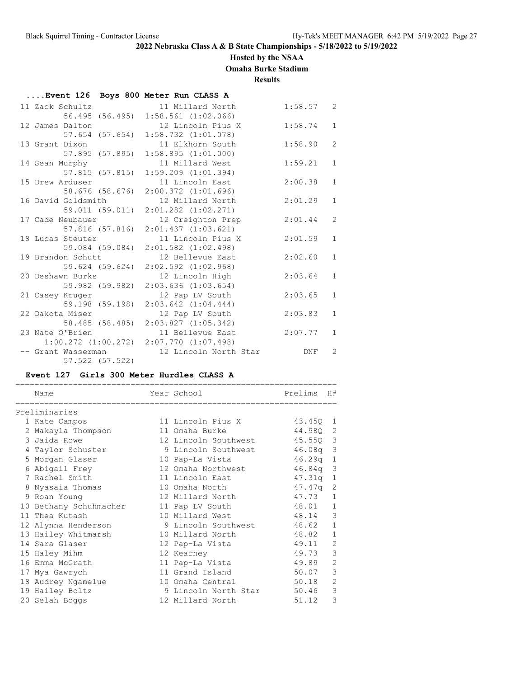## **Hosted by the NSAA**

**Omaha Burke Stadium**

**Results**

| Event 126 Boys 800 Meter Run CLASS A |                                     |         |                |
|--------------------------------------|-------------------------------------|---------|----------------|
| 11 Zack Schultz                      | 11 Millard North                    | 1:58.57 | 2              |
|                                      | 56.495 (56.495) 1:58.561 (1:02.066) |         |                |
| 12 James Dalton                      | 12 Lincoln Pius X                   | 1:58.74 | $\mathbf{1}$   |
| 57.654 (57.654)                      | $1:58.732$ $(1:01.078)$             |         |                |
| 13 Grant Dixon                       | 11 Elkhorn South                    | 1:58.90 | $\overline{2}$ |
| 57.895 (57.895)                      | 1:58.895(1:01.000)                  |         |                |
| 14 Sean Murphy                       | 11 Millard West                     | 1:59.21 | $\mathbf{1}$   |
| 57.815 (57.815)                      | $1:59.209$ $(1:01.394)$             |         |                |
| 15 Drew Arduser                      | 11 Lincoln East                     | 2:00.38 | $\mathbf{1}$   |
| 58.676 (58.676)                      | $2:00.372$ $(1:01.696)$             |         |                |
| 16 David Goldsmith                   | 12 Millard North                    | 2:01.29 | $\mathbf{1}$   |
| 59.011 (59.011)                      | $2:01.282$ $(1:02.271)$             |         |                |
| 17 Cade Neubauer                     | 12 Creighton Prep                   | 2:01.44 | $\overline{2}$ |
| 57.816 (57.816)                      | $2:01.437$ $(1:03.621)$             |         |                |
| 18 Lucas Steuter                     | 11 Lincoln Pius X                   | 2:01.59 | $\mathbf{1}$   |
| 59.084 (59.084)                      | $2:01.582$ $(1:02.498)$             |         |                |
| 19 Brandon Schutt                    | 12 Bellevue East                    | 2:02.60 | $\mathbf{1}$   |
| 59.624 (59.624)                      | $2:02.592$ $(1:02.968)$             |         |                |
| 20 Deshawn Burks                     | 12 Lincoln High                     | 2:03.64 | $\mathbf{1}$   |
| 59.982 (59.982)                      | $2:03.636$ $(1:03.654)$             |         |                |
| 21 Casey Kruger                      | 12 Pap LV South                     | 2:03.65 | $\mathbf{1}$   |
| 59.198 (59.198)                      | $2:03.642$ $(1:04.444)$             |         |                |
| 22 Dakota Miser                      | 12 Pap LV South                     | 2:03.83 | $\mathbf{1}$   |
| 58.485 (58.485)                      | $2:03.827$ $(1:05.342)$             |         |                |
| 23 Nate O'Brien                      | 11 Bellevue East                    | 2:07.77 | $\mathbf{1}$   |
| $1:00.272$ $(1:00.272)$              | $2:07.770$ $(1:07.498)$             |         |                |
| -- Grant Wasserman                   | 12 Lincoln North Star               | DNF     | $\overline{2}$ |
| 57.522 (57.522)                      |                                     |         |                |

# **Event 127 Girls 300 Meter Hurdles CLASS A**

| Name |                                                                                                                                                                                                                                                                                                                                                                                                                   |                                    | Prelims                                                                                                                                                                                                                                                                                                                                                                                | H#                  |
|------|-------------------------------------------------------------------------------------------------------------------------------------------------------------------------------------------------------------------------------------------------------------------------------------------------------------------------------------------------------------------------------------------------------------------|------------------------------------|----------------------------------------------------------------------------------------------------------------------------------------------------------------------------------------------------------------------------------------------------------------------------------------------------------------------------------------------------------------------------------------|---------------------|
|      |                                                                                                                                                                                                                                                                                                                                                                                                                   |                                    |                                                                                                                                                                                                                                                                                                                                                                                        |                     |
|      |                                                                                                                                                                                                                                                                                                                                                                                                                   |                                    |                                                                                                                                                                                                                                                                                                                                                                                        |                     |
|      |                                                                                                                                                                                                                                                                                                                                                                                                                   |                                    | 43.450 1                                                                                                                                                                                                                                                                                                                                                                               |                     |
|      |                                                                                                                                                                                                                                                                                                                                                                                                                   |                                    | 44.980 2                                                                                                                                                                                                                                                                                                                                                                               |                     |
|      |                                                                                                                                                                                                                                                                                                                                                                                                                   |                                    | $45.55Q$ 3                                                                                                                                                                                                                                                                                                                                                                             |                     |
|      |                                                                                                                                                                                                                                                                                                                                                                                                                   |                                    | 46.08q                                                                                                                                                                                                                                                                                                                                                                                 | $\mathcal{S}$       |
|      |                                                                                                                                                                                                                                                                                                                                                                                                                   |                                    | 46.29q                                                                                                                                                                                                                                                                                                                                                                                 | $\mathbf{1}$        |
|      |                                                                                                                                                                                                                                                                                                                                                                                                                   |                                    | 46.84q                                                                                                                                                                                                                                                                                                                                                                                 | 3                   |
|      |                                                                                                                                                                                                                                                                                                                                                                                                                   |                                    | 47.31q                                                                                                                                                                                                                                                                                                                                                                                 | $\mathbf{1}$        |
|      |                                                                                                                                                                                                                                                                                                                                                                                                                   |                                    | 47.47q                                                                                                                                                                                                                                                                                                                                                                                 | 2                   |
|      |                                                                                                                                                                                                                                                                                                                                                                                                                   |                                    | 47.73                                                                                                                                                                                                                                                                                                                                                                                  | $\mathbf{1}$        |
|      |                                                                                                                                                                                                                                                                                                                                                                                                                   |                                    | 48.01                                                                                                                                                                                                                                                                                                                                                                                  | $\mathbf{1}$        |
|      |                                                                                                                                                                                                                                                                                                                                                                                                                   |                                    | 48.14                                                                                                                                                                                                                                                                                                                                                                                  | 3                   |
|      |                                                                                                                                                                                                                                                                                                                                                                                                                   |                                    | 48.62                                                                                                                                                                                                                                                                                                                                                                                  | $\mathbf{1}$        |
|      |                                                                                                                                                                                                                                                                                                                                                                                                                   |                                    | 48.82                                                                                                                                                                                                                                                                                                                                                                                  | $\mathbf{1}$        |
|      |                                                                                                                                                                                                                                                                                                                                                                                                                   |                                    | 49.11                                                                                                                                                                                                                                                                                                                                                                                  | $\mathbf{2}$        |
|      |                                                                                                                                                                                                                                                                                                                                                                                                                   |                                    | 49.73                                                                                                                                                                                                                                                                                                                                                                                  | 3                   |
|      |                                                                                                                                                                                                                                                                                                                                                                                                                   |                                    | 49.89                                                                                                                                                                                                                                                                                                                                                                                  | $\overline{2}$      |
|      |                                                                                                                                                                                                                                                                                                                                                                                                                   |                                    | 50.07                                                                                                                                                                                                                                                                                                                                                                                  | 3                   |
|      |                                                                                                                                                                                                                                                                                                                                                                                                                   | Omaha Central                      | 50.18                                                                                                                                                                                                                                                                                                                                                                                  | $\overline{2}$      |
|      |                                                                                                                                                                                                                                                                                                                                                                                                                   |                                    | 50.46                                                                                                                                                                                                                                                                                                                                                                                  | 3                   |
|      |                                                                                                                                                                                                                                                                                                                                                                                                                   |                                    | 51.12                                                                                                                                                                                                                                                                                                                                                                                  | 3                   |
|      | Preliminaries<br>1 Kate Campos<br>2 Makayla Thompson<br>3 Jaida Rowe<br>4 Taylor Schuster<br>5 Morgan Glaser<br>6 Abigail Frey<br>7 Rachel Smith<br>8 Nyasaia Thomas<br>9 Roan Young<br>10 Bethany Schuhmacher<br>11 Thea Kutash<br>12 Alynna Henderson<br>13 Hailey Whitmarsh<br>14 Sara Glaser<br>15 Haley Mihm<br>16 Emma McGrath<br>17 Mya Gawrych<br>18 Audrey Ngamelue<br>19 Hailey Boltz<br>20 Selah Boqqs | ---------------------------------- | Year School<br>11 Lincoln Pius X<br>11 Omaha Burke<br>12 Lincoln Southwest<br>10 Pap-La Vista<br>12 Omaha Northwest<br>11 Lincoln East<br>10 Omaha North<br>12 Millard North<br>11 Pap LV South<br>10 Millard West<br>9 Lincoln Southwest<br>10 Millard North<br>12 Pap-La Vista<br>12 Kearney<br>11 Pap-La Vista<br>11 Grand Island<br>10<br>9 Lincoln North Star<br>12 Millard North | 9 Lincoln Southwest |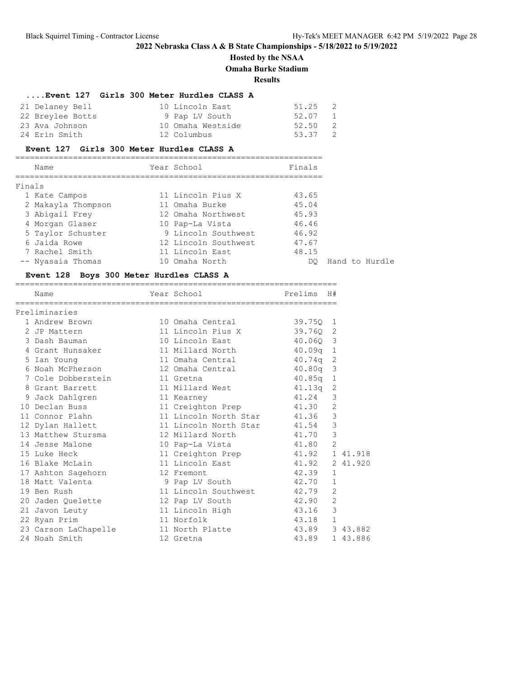# **Hosted by the NSAA**

**Omaha Burke Stadium**

## **Results**

#### **....Event 127 Girls 300 Meter Hurdles CLASS A**

| 21 Delaney Bell  | 10 Lincoln East   | 51.25 2 |  |
|------------------|-------------------|---------|--|
| 22 Breylee Botts | 9 Pap LV South    | 52.07 1 |  |
| 23 Ava Johnson   | 10 Omaha Westside | 52.50 2 |  |
| 24 Erin Smith    | 12 Columbus       | 53.37 2 |  |

#### **Event 127 Girls 300 Meter Hurdles CLASS A**

|        | Name               | Year School          | Finals |                |
|--------|--------------------|----------------------|--------|----------------|
| Finals |                    |                      |        |                |
|        | 1 Kate Campos      | 11 Lincoln Pius X    | 43.65  |                |
|        | 2 Makayla Thompson | 11 Omaha Burke       | 45.04  |                |
|        | 3 Abigail Frey     | 12 Omaha Northwest   | 45.93  |                |
|        | 4 Morgan Glaser    | 10 Pap-La Vista      | 46.46  |                |
|        | 5 Taylor Schuster  | 9 Lincoln Southwest  | 46.92  |                |
|        | 6 Jaida Rowe       | 12 Lincoln Southwest | 47.67  |                |
|        | 7 Rachel Smith     | 11 Lincoln East      | 48.15  |                |
|        | -- Nyasaia Thomas  | 10 Omaha North       | DO.    | Hand to Hurdle |

# **Event 128 Boys 300 Meter Hurdles CLASS A**

|  | Name                                                      |  | Year School                      | Prelims H#     |                |          |  |  |
|--|-----------------------------------------------------------|--|----------------------------------|----------------|----------------|----------|--|--|
|  | Preliminaries                                             |  |                                  |                |                |          |  |  |
|  | 1 Andrew Brown                                            |  | 10 Omaha Central 39.750 1        |                |                |          |  |  |
|  | 2 JP Mattern                                              |  | 11 Lincoln Pius X 39.760 2       |                |                |          |  |  |
|  | 3 Dash Bauman                                             |  | 10 Lincoln East                  | 40.06Q 3       |                |          |  |  |
|  | 4 Grant Hunsaker                                          |  | 11 Millard North 40.09q 1        |                |                |          |  |  |
|  | 5 Ian Young                                               |  | 11 Omaha Central 40.74q 2        |                |                |          |  |  |
|  | 6 Noah McPherson                                          |  | 12 Omaha Central 40.80q 3        |                |                |          |  |  |
|  | 7 Cole Dobberstein                                        |  | 11 Gretna                        | 40.85a 1       |                |          |  |  |
|  | 8 Grant Barrett and Santa Communistry of the Second State |  | 11 Millard West 41.13q 2         |                |                |          |  |  |
|  | 9 Jack Dahlgren                                           |  | 11 Kearney                       | 41.24 3        |                |          |  |  |
|  | 10 Declan Buss                                            |  | 11 Creighton Prep 41.30 2        |                |                |          |  |  |
|  | 11 Connor Plahn                                           |  | 11 Lincoln North Star 41.36      |                | $\mathcal{E}$  |          |  |  |
|  | 12 Dylan Hallett                                          |  | 11 Lincoln North Star 41.54 3    |                |                |          |  |  |
|  | 13 Matthew Stursma                                        |  | 12 Millard North 41.70           |                | $\mathcal{S}$  |          |  |  |
|  | 14 Jesse Malone                                           |  | 10 Pap-La Vista (1.80)           |                | $\overline{2}$ |          |  |  |
|  | 15 Luke Heck                                              |  | 11 Creighton Prep 41.92 1 41.918 |                |                |          |  |  |
|  | 16 Blake McLain                                           |  | 11 Lincoln East 41.92            |                |                | 2 41.920 |  |  |
|  | 17 Ashton Sagehorn                                        |  | 12 Fremont                       | 42.39          | $\mathbf{1}$   |          |  |  |
|  | 18 Matt Valenta                                           |  | 9 Pap LV South 42.70             |                | $\mathbf{1}$   |          |  |  |
|  | 19 Ben Rush                                               |  | 11 Lincoln Southwest 42.79       |                | $\overline{2}$ |          |  |  |
|  | 20 Jaden Quelette                                         |  | 12 Pap LV South 42.90            |                | 2              |          |  |  |
|  | 21 Javon Leuty                                            |  | 11 Lincoln High 43.16 3          |                |                |          |  |  |
|  | 22 Ryan Prim                                              |  | 11 Norfolk                       | 43.18          | $\mathbf{1}$   |          |  |  |
|  | 23 Carson LaChapelle                                      |  | 11 North Platte 43.89 3 43.882   |                |                |          |  |  |
|  | 24 Noah Smith                                             |  | 12 Gretna                        | 43.89 1 43.886 |                |          |  |  |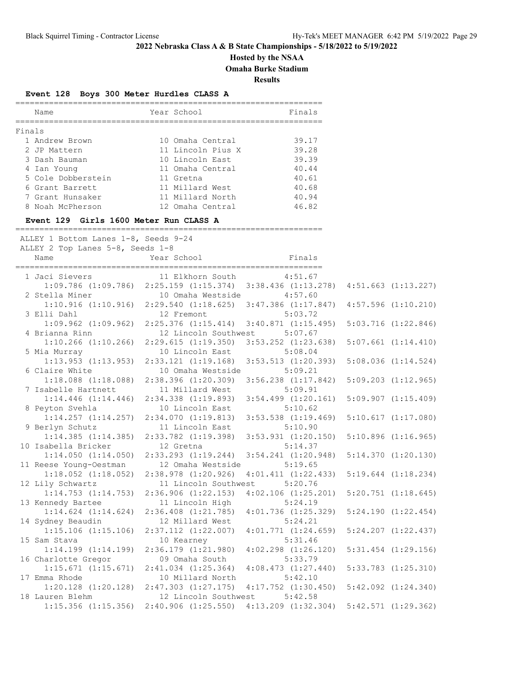#### **Hosted by the NSAA Omaha Burke Stadium**

**Results**

#### **Event 128 Boys 300 Meter Hurdles CLASS A**

|        | Name               | Year School       | Finals |
|--------|--------------------|-------------------|--------|
| Finals |                    |                   |        |
|        | 1 Andrew Brown     | 10 Omaha Central  | 39.17  |
|        | 2 JP Mattern       | 11 Lincoln Pius X | 39.28  |
|        | 3 Dash Bauman      | 10 Lincoln East   | 39.39  |
|        | 4 Ian Young        | 11 Omaha Central  | 40.44  |
|        | 5 Cole Dobberstein | 11 Gretna         | 40.61  |
|        | 6 Grant Barrett    | 11 Millard West   | 40.68  |
|        | 7 Grant Hunsaker   | 11 Millard North  | 40.94  |
|        | 8 Noah McPherson   | 12 Omaha Central  | 46.82  |
|        |                    |                   |        |

#### **Event 129 Girls 1600 Meter Run CLASS A**

================================================================ ALLEY 1 Bottom Lanes 1-8, Seeds 9-24 ALLEY 2 Top Lanes 5-8, Seeds 1-8 Name **Year School** Finals ================================================================ 1 Jaci Sievers 11 Elkhorn South 4:51.67 1:09.786 (1:09.786) 2:25.159 (1:15.374) 3:38.436 (1:13.278) 4:51.663 (1:13.227) 2 Stella Miner 10 Omaha Westside 4:57.60 1:10.916 (1:10.916) 2:29.540 (1:18.625) 3:47.386 (1:17.847) 4:57.596 (1:10.210) 3 Elli Dahl 12 Fremont 5:03.72 1:09.962 (1:09.962) 2:25.376 (1:15.414) 3:40.871 (1:15.495) 5:03.716 (1:22.846) 4 Brianna Rinn 12 Lincoln Southwest 5:07.67 1:10.266 (1:10.266) 2:29.615 (1:19.350) 3:53.252 (1:23.638) 5:07.661 (1:14.410) 5 Mia Murray 10 Lincoln East 5:08.04 1:13.953 (1:13.953) 2:33.121 (1:19.168) 3:53.513 (1:20.393) 5:08.036 (1:14.524) 6 Claire White 10 Omaha Westside 5:09.21 1:18.088 (1:18.088) 2:38.396 (1:20.309) 3:56.238 (1:17.842) 5:09.203 (1:12.965) 7 Isabelle Hartnett 11 Millard West 5:09.91 1:14.446 (1:14.446) 2:34.338 (1:19.893) 3:54.499 (1:20.161) 5:09.907 (1:15.409) 8 Peyton Svehla 10 Lincoln East 5:10.62 1:14.257 (1:14.257) 2:34.070 (1:19.813) 3:53.538 (1:19.469) 5:10.617 (1:17.080) 9 Berlyn Schutz 11 Lincoln East 5:10.90 1:14.385 (1:14.385) 2:33.782 (1:19.398) 3:53.931 (1:20.150) 5:10.896 (1:16.965) 10 Isabella Bricker 12 Gretna 5:14.37 1:14.050 (1:14.050) 2:33.293 (1:19.244) 3:54.241 (1:20.948) 5:14.370 (1:20.130) 11 Reese Young-Oestman 12 Omaha Westside 5:19.65 1:18.052 (1:18.052) 2:38.978 (1:20.926) 4:01.411 (1:22.433) 5:19.644 (1:18.234) 12 Lily Schwartz 11 Lincoln Southwest 5:20.76 1:14.753 (1:14.753) 2:36.906 (1:22.153) 4:02.106 (1:25.201) 5:20.751 (1:18.645) 13 Kennedy Bartee 11 Lincoln High 5:24.19 1:14.624 (1:14.624) 2:36.408 (1:21.785) 4:01.736 (1:25.329) 5:24.190 (1:22.454) 14 Sydney Beaudin 12 Millard West 5:24.21 1:15.106 (1:15.106) 2:37.112 (1:22.007) 4:01.771 (1:24.659) 5:24.207 (1:22.437) 15 Sam Stava 10 Kearney 5:31.46 1:14.199 (1:14.199) 2:36.179 (1:21.980) 4:02.298 (1:26.120) 5:31.454 (1:29.156) 16 Charlotte Gregor 09 Omaha South 5:33.79 1:15.671 (1:15.671) 2:41.034 (1:25.364) 4:08.473 (1:27.440) 5:33.783 (1:25.310) 17 Emma Rhode 10 Millard North 5:42.10 1:20.128 (1:20.128) 2:47.303 (1:27.175) 4:17.752 (1:30.450) 5:42.092 (1:24.340) 18 Lauren Blehm 12 Lincoln Southwest 5:42.58 1:15.356 (1:15.356) 2:40.906 (1:25.550) 4:13.209 (1:32.304) 5:42.571 (1:29.362)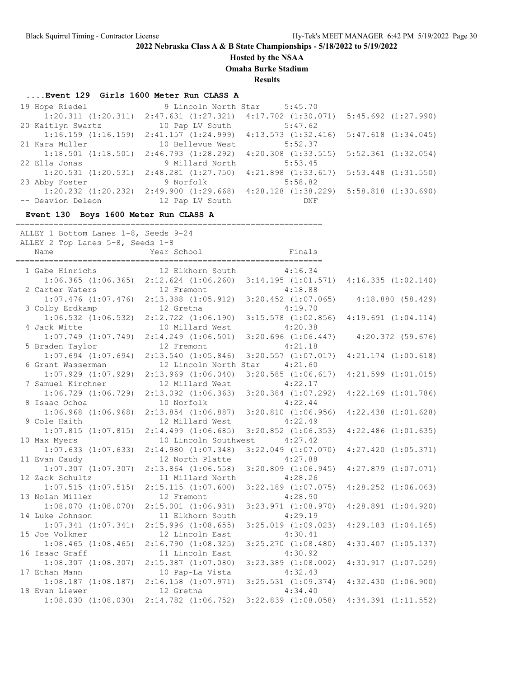**Hosted by the NSAA**

**Omaha Burke Stadium**

**Results**

## **....Event 129 Girls 1600 Meter Run CLASS A**

| 19 Hope Riedel North States                     |                         | 9 Lincoln North Star 5:45.70                                            |                         |
|-------------------------------------------------|-------------------------|-------------------------------------------------------------------------|-------------------------|
|                                                 |                         | $1:20.311$ $(1:20.311)$ $2:47.631$ $(1:27.321)$ $4:17.702$ $(1:30.071)$ | $5:45.692$ $(1:27.990)$ |
| 20 Kaitlyn Swartz                               | 10 Pap LV South         | 5:47.62                                                                 |                         |
| $1:16.159$ $(1:16.159)$                         |                         | $2:41.157$ $(1:24.999)$ $4:13.573$ $(1:32.416)$                         | $5:47.618$ $(1:34.045)$ |
| 21 Kara Muller                                  | 10 Bellevue West        | 5:52.37                                                                 |                         |
| $1:18.501$ $(1:18.501)$ $2:46.793$ $(1:28.292)$ |                         | $4:20.308$ $(1:33.515)$ $5:52.361$ $(1:32.054)$                         |                         |
| 22 Ella Jonas                                   | 9 Millard North         | 5:53.45                                                                 |                         |
| $1:20.531$ $(1:20.531)$                         | $2:48.281$ $(1:27.750)$ | $4:21.898$ $(1:33.617)$                                                 | $5:53.448$ $(1:31.550)$ |
| 23 Abby Foster                                  | 9 Norfolk               | 5:58.82                                                                 |                         |
| $1:20.232$ $(1:20.232)$ $2:49.900$ $(1:29.668)$ |                         | $4:28.128$ $(1:38.229)$                                                 | $5:58.818$ $(1:30.690)$ |
| -- Deavion Deleon                               | 12 Pap LV South         | DNF                                                                     |                         |

# **Event 130 Boys 1600 Meter Run CLASS A**

| ALLEY 1 Bottom Lanes 1-8, Seeds 9-24<br>ALLEY 2 Top Lanes 5-8, Seeds 1-8 |                                                 |                                                                                                            |                         |
|--------------------------------------------------------------------------|-------------------------------------------------|------------------------------------------------------------------------------------------------------------|-------------------------|
| Name                                                                     | Year School                                     | Finals                                                                                                     |                         |
| 1 Gabe Hinrichs                                                          | 12 Elkhorn South                                | 4:16.34<br>$1:06.365$ $(1:06.365)$ $2:12.624$ $(1:06.260)$ $3:14.195$ $(1:01.571)$ $4:16.335$ $(1:02.140)$ |                         |
| 2 Carter Waters                                                          | 12 Fremont                                      | 4:18.88                                                                                                    |                         |
|                                                                          | $1:07.476$ $(1:07.476)$ $2:13.388$ $(1:05.912)$ | $3:20.452$ $(1:07.065)$                                                                                    | 4:18.880 (58.429)       |
| 3 Colby Erdkamp                                                          | 12 Gretna                                       | 4:19.70                                                                                                    |                         |
| $1:06.532$ $(1:06.532)$                                                  | $2:12.722$ $(1:06.190)$                         | $3:15.578$ $(1:02.856)$                                                                                    | 4:19.691(1:04.114)      |
| 4 Jack Witte                                                             | 10 Millard West                                 | 4:20.38                                                                                                    |                         |
| $1:07.749$ $(1:07.749)$<br>5 Braden Taylor                               | $2:14.249$ $(1:06.501)$<br>12 Fremont           | $3:20.696$ $(1:06.447)$ $4:20.372$ $(59.676)$<br>4:21.18                                                   |                         |
| $1:07.694$ $(1:07.694)$                                                  | $2:13.540$ $(1:05.846)$                         | $3:20.557$ $(1:07.017)$                                                                                    | $4:21.174$ $(1:00.618)$ |
| 6 Grant Wasserman                                                        | 12 Lincoln North Star                           | 4:21.60                                                                                                    |                         |
| $1:07.929$ $(1:07.929)$                                                  | $2:13.969$ $(1:06.040)$                         | $3:20.585$ $(1:06.617)$                                                                                    | $4:21.599$ $(1:01.015)$ |
| 7 Samuel Kirchner                                                        | 12 Millard West                                 | 4:22.17                                                                                                    |                         |
| 1:06.729(1:06.729)                                                       |                                                 | $2:13.092$ $(1:06.363)$ $3:20.384$ $(1:07.292)$                                                            | $4:22.169$ $(1:01.786)$ |
| 8 Isaac Ochoa                                                            | 10 Norfolk                                      | 4:22.44                                                                                                    |                         |
| $1:06.968$ $(1:06.968)$                                                  | $2:13.854$ $(1:06.887)$                         | $3:20.810$ $(1:06.956)$                                                                                    | $4:22.438$ $(1:01.628)$ |
| 9 Cole Haith                                                             | 12 Millard West                                 | 4:22.49                                                                                                    |                         |
| 1:07.815(1:07.815)                                                       | $2:14.499$ $(1:06.685)$                         | $3:20.852$ $(1:06.353)$                                                                                    | $4:22.486$ $(1:01.635)$ |
| 10 Max Myers                                                             | 10 Lincoln Southwest 4:27.42                    |                                                                                                            |                         |
| $1:07.633$ $(1:07.633)$                                                  | $2:14.980$ $(1:07.348)$                         | $3:22.049$ $(1:07.070)$                                                                                    | $4:27.420$ $(1:05.371)$ |
| 11 Evan Caudy                                                            | 12 North Platte                                 | 4:27.88                                                                                                    |                         |
|                                                                          | $1:07.307$ $(1:07.307)$ $2:13.864$ $(1:06.558)$ | $3:20.809$ $(1:06.945)$                                                                                    | $4:27.879$ $(1:07.071)$ |
| 12 Zack Schultz                                                          | 11 Millard North                                | 4:28.26                                                                                                    |                         |
| $1:07.515$ $(1:07.515)$<br>13 Nolan Miller                               | 2:15.115(1:07.600)<br>12 Fremont                | $3:22.189$ $(1:07.075)$<br>4:28.90                                                                         | $4:28.252$ $(1:06.063)$ |
| 1:08.070(1:08.070)                                                       | $2:15.001$ $(1:06.931)$                         | $3:23.971$ $(1:08.970)$                                                                                    | $4:28.891$ $(1:04.920)$ |
| 14 Luke Johnson                                                          | 11 Elkhorn South                                | 4:29.19                                                                                                    |                         |
| $1:07.341$ $(1:07.341)$                                                  | $2:15.996$ $(1:08.655)$                         | $3:25.019$ $(1:09.023)$                                                                                    | $4:29.183$ $(1:04.165)$ |
| 15 Joe Volkmer                                                           | 12 Lincoln East                                 | 4:30.41                                                                                                    |                         |
| $1:08.465$ $(1:08.465)$                                                  | $2:16.790$ $(1:08.325)$                         | $3:25.270$ $(1:08.480)$                                                                                    | $4:30.407$ $(1:05.137)$ |
| 16 Isaac Graff                                                           | 11 Lincoln East                                 | 4:30.92                                                                                                    |                         |
| 1:08.307(1:08.307)                                                       | $2:15.387$ $(1:07.080)$                         | $3:23.389$ $(1:08.002)$                                                                                    | $4:30.917$ $(1:07.529)$ |
| 17 Ethan Mann                                                            | 10 Pap-La Vista                                 | 4:32.43                                                                                                    |                         |
|                                                                          |                                                 | 1:08.187 (1:08.187) 2:16.158 (1:07.971) 3:25.531 (1:09.374) 4:32.430 (1:06.900)                            |                         |
| 18 Evan Liewer                                                           | 12 Gretna                                       | 4:34.40                                                                                                    |                         |
| 1:08.030(1:08.030)                                                       |                                                 | 2:14.782 (1:06.752) 3:22.839 (1:08.058) 4:34.391 (1:11.552)                                                |                         |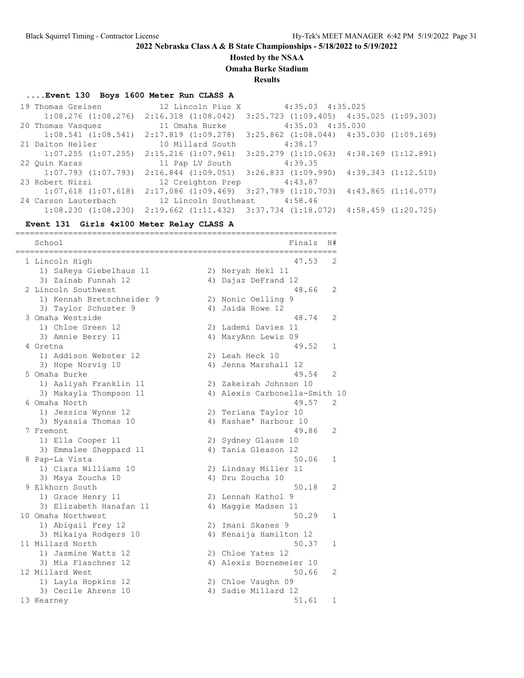#### **Hosted by the NSAA**

**Omaha Burke Stadium**

**Results**

#### **....Event 130 Boys 1600 Meter Run CLASS A**

| $3:25.723$ $(1:09.405)$ $4:35.025$ $(1:09.303)$<br>$1:08.276$ $(1:08.276)$ $2:16.318$ $(1:08.042)$<br>$4:35.03$ $4:35.030$<br>11 Omaha Burke<br>20 Thomas Vasquez<br>$1:08.541$ $(1:08.541)$<br>$2:17.819$ $(1:09.278)$<br>$3:25.862$ $(1:08.044)$ $4:35.030$ $(1:09.169)$<br>4:38.17<br>10 Millard South<br>21 Dalton Heller<br>$3:25.279$ $(1:10.063)$ $4:38.169$ $(1:12.891)$<br>$1:07.255$ $(1:07.255)$ $2:15.216$ $(1:07.961)$<br>11 Pap LV South 4:39.35<br>22 Ouin Karas<br>$2:16.844$ $(1:09.051)$ $3:26.833$ $(1:09.990)$<br>$1:07.793$ $(1:07.793)$<br>4:39.343(1:12.510)<br>12 Creighton Prep 4:43.87<br>23 Robert Nizzi<br>$2:17.086$ $(1:09.469)$ $3:27.789$ $(1:10.703)$<br>$4:43.865$ $(1:16.077)$<br>$1:07.618$ $(1:07.618)$<br>12 Lincoln Southeast 4:58.46<br>24 Carson Lauterbach<br>$1:08.230$ $(1:08.230)$ $2:19.662$ $(1:11.432)$ $3:37.734$ $(1:18.072)$ $4:58.459$ $(1:20.725)$ | 19 Thomas Greisen | 12 Lincoln Pius X | $4:35.03$ $4:35.025$ |  |
|---------------------------------------------------------------------------------------------------------------------------------------------------------------------------------------------------------------------------------------------------------------------------------------------------------------------------------------------------------------------------------------------------------------------------------------------------------------------------------------------------------------------------------------------------------------------------------------------------------------------------------------------------------------------------------------------------------------------------------------------------------------------------------------------------------------------------------------------------------------------------------------------------------|-------------------|-------------------|----------------------|--|
|                                                                                                                                                                                                                                                                                                                                                                                                                                                                                                                                                                                                                                                                                                                                                                                                                                                                                                         |                   |                   |                      |  |
|                                                                                                                                                                                                                                                                                                                                                                                                                                                                                                                                                                                                                                                                                                                                                                                                                                                                                                         |                   |                   |                      |  |
|                                                                                                                                                                                                                                                                                                                                                                                                                                                                                                                                                                                                                                                                                                                                                                                                                                                                                                         |                   |                   |                      |  |
|                                                                                                                                                                                                                                                                                                                                                                                                                                                                                                                                                                                                                                                                                                                                                                                                                                                                                                         |                   |                   |                      |  |
|                                                                                                                                                                                                                                                                                                                                                                                                                                                                                                                                                                                                                                                                                                                                                                                                                                                                                                         |                   |                   |                      |  |
|                                                                                                                                                                                                                                                                                                                                                                                                                                                                                                                                                                                                                                                                                                                                                                                                                                                                                                         |                   |                   |                      |  |
|                                                                                                                                                                                                                                                                                                                                                                                                                                                                                                                                                                                                                                                                                                                                                                                                                                                                                                         |                   |                   |                      |  |
|                                                                                                                                                                                                                                                                                                                                                                                                                                                                                                                                                                                                                                                                                                                                                                                                                                                                                                         |                   |                   |                      |  |
|                                                                                                                                                                                                                                                                                                                                                                                                                                                                                                                                                                                                                                                                                                                                                                                                                                                                                                         |                   |                   |                      |  |
|                                                                                                                                                                                                                                                                                                                                                                                                                                                                                                                                                                                                                                                                                                                                                                                                                                                                                                         |                   |                   |                      |  |
|                                                                                                                                                                                                                                                                                                                                                                                                                                                                                                                                                                                                                                                                                                                                                                                                                                                                                                         |                   |                   |                      |  |

#### **Event 131 Girls 4x100 Meter Relay CLASS A**

=================================================================== School Finals H# =================================================================== 1 Lincoln High 47.53 2 1) SaReya Giebelhaus 11 2) Neryah Hekl 11 3) Zainab Funnah 12 4) Dajaz DeFrand 12 2 Lincoln Southwest 48.66 2 1) Kennah Bretschneider 9 2) Nonic Oelling 9 3) Taylor Schuster 9 1940 4) Jaida Rowe 12 3 Omaha Westside 48.74 2 1) Chloe Green 12 2) Lademi Davies 11 3) Amnie Berry 11 4) MaryAnn Lewis 09 4 Gretna 49.52 1 1) Addison Webster 12 2) Leah Heck 10 3) Hope Norvig 10 (4) Jenna Marshall 12 5 Omaha Burke 49.54 2 1) Aaliyah Franklin 11 2) Zakeirah Johnson 10 3) Makayla Thompson 11 4) Alexis Carbonella-Smith 10 6 Omaha North 49.57 2 1) Jessica Wynne 12 2) Teriana Taylor 10 3) Nyasaia Thomas 10 4) Kashae' Harbour 10 7 Fremont 49.86 2 1) Ella Cooper 11 2) Sydney Glause 10 3) Emmalee Sheppard 11  $\hspace{1cm}$  4) Tania Gleason 12 8 Pap-La Vista 50.06 1 1) Ciara Williams 10 2) Lindsay Miller 11 3) Maya Zoucha 10 4) Dru Zoucha 10 9 Elkhorn South 50.18 2 1) Grace Henry 11 2) Lennah Kathol 9 3) Elizabeth Hanafan 11 4) Maggie Madsen 11 10 Omaha Northwest 50.29 1 1) Abigail Frey 12 2) Imani Skanes 9 3) Mikaiya Rodgers 10 4) Kenaija Hamilton 12 11 Millard North 50.37 1 1) Jasmine Watts 12 2) Chloe Yates 12 3) Mia Flaschner 12 4) Alexis Bornemeier 10 12 Millard West 50.66 2 1) Layla Hopkins 12 2) Chloe Vaughn 09 3) Cecile Ahrens 10 (4) 4 4 Aniilard 12 13 Kearney 51.61 1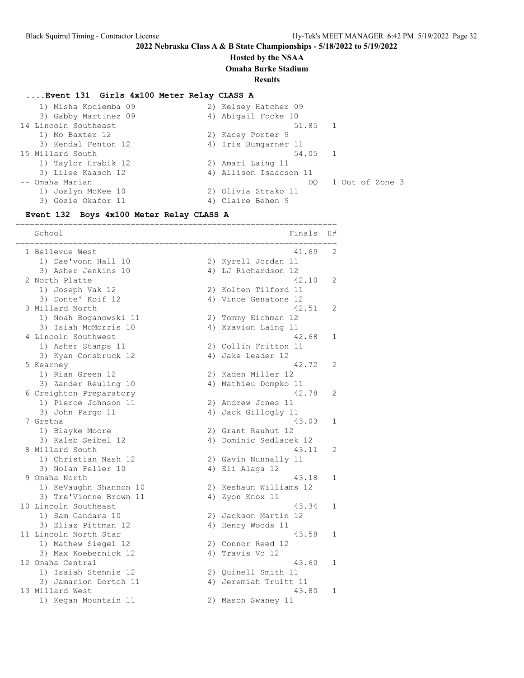## **Hosted by the NSAA**

**Omaha Burke Stadium**

**Results**

# **....Event 131 Girls 4x100 Meter Relay CLASS A**

| 1) Misha Kociemba 09 | 2) Kelsey Hatcher 09   |                 |
|----------------------|------------------------|-----------------|
| 3) Gabby Martinez 09 | 4) Abigail Focke 10    |                 |
| 14 Lincoln Southeast | 51.85 1                |                 |
| 1) Mo Baxter 12      | 2) Kacey Porter 9      |                 |
| 3) Kendal Fenton 12  | 4) Iris Bumgarner 11   |                 |
| 15 Millard South     | 54.05 1                |                 |
| 1) Taylor Hrabik 12  | 2) Amari Laing 11      |                 |
| 3) Lilee Kaasch 12   | 4) Allison Isaacson 11 |                 |
| -- Omaha Marian      | DO.                    | 1 Out of Zone 3 |
| 1) Joslyn McKee 10   | 2) Olivia Strako 11    |                 |
| 3) Gozie Okafor 11   | 4) Claire Behen 9      |                 |
|                      |                        |                 |

# **Event 132 Boys 4x100 Meter Relay CLASS A**

| School<br>===========   |    | Finals                 | H#           |
|-------------------------|----|------------------------|--------------|
| 1 Bellevue West         |    | 41.69                  | 2            |
| 1) Dae'vonn Hall 10     |    | 2) Kyrell Jordan 11    |              |
| 3) Asher Jenkins 10     |    | 4) LJ Richardson 12    |              |
| 2 North Platte          |    | 42.10                  | 2            |
| 1) Joseph Vak 12        |    | 2) Kolten Tilford 11   |              |
| 3) Donte' Koif 12       |    | 4) Vince Genatone 12   |              |
| 3 Millard North         |    | 42.51                  | 2            |
| 1) Noah Boganowski 11   |    | 2) Tommy Eichman 12    |              |
| 3) Isiah McMorris 10    |    | 4) Xzavion Laing 11    |              |
| 4 Lincoln Southwest     |    | 42.68                  | 1            |
| 1) Asher Stamps 11      |    | 2) Collin Fritton 11   |              |
| 3) Kyan Consbruck 12    |    | 4) Jake Leader 12      |              |
| 5 Kearney               |    | 42.72                  | $\mathbf{2}$ |
| 1) Rian Green 12        |    | 2) Kaden Miller 12     |              |
| 3) Zander Reuling 10    |    | 4) Mathieu Dompko 11   |              |
| 6 Creighton Preparatory |    | 42.78                  | 2            |
| 1) Pierce Johnson 11    |    | 2) Andrew Jones 11     |              |
| 3) John Pargo 11        |    | 4) Jack Gillogly 11    |              |
| 7 Gretna                |    | 43.03                  | 1            |
| 1) Blayke Moore         |    | 2) Grant Rauhut 12     |              |
| 3) Kaleb Seibel 12      |    | 4) Dominic Sedlacek 12 |              |
| 8 Millard South         |    | 43.11                  | 2            |
| 1) Christian Nash 12    |    | 2) Gavin Nunnally 11   |              |
| 3) Nolan Feller 10      |    | 4) Eli Alaga 12        |              |
| 9 Omaha North           |    | 43.18                  | $\mathbf{1}$ |
| 1) KeVaughn Shannon 10  |    | 2) Keshaun Williams 12 |              |
| 3) Tre'Vionne Brown 11  |    | 4) Zyon Knox 11        |              |
| 10 Lincoln Southeast    |    | 43.34                  | 1            |
| 1) Sam Gandara 10       |    | 2) Jackson Martin 12   |              |
| 3) Eliaz Pittman 12     |    | 4) Henry Woods 11      |              |
| 11 Lincoln North Star   |    | 43.58                  | 1            |
| 1) Mathew Siegel 12     |    | 2) Connor Reed 12      |              |
| 3) Max Koebernick 12    | 4) | Travis Vo 12           |              |
| 12 Omaha Central        |    | 43.60                  | 1            |
| 1) Isaiah Stennis 12    |    | 2) Quinell Smith 11    |              |
| 3) Jamarion Dortch 11   |    | 4) Jeremiah Truitt 11  |              |
| 13 Millard West         |    | 43.80                  | 1            |
| 1) Kegan Mountain 11    |    | 2) Mason Swaney 11     |              |
|                         |    |                        |              |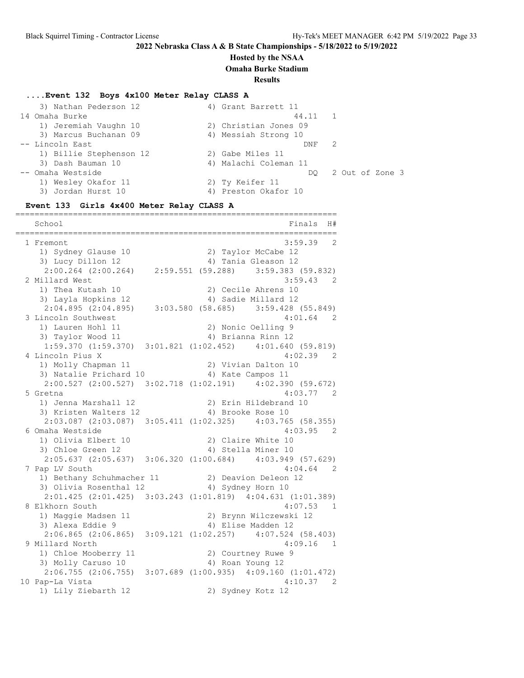#### **Hosted by the NSAA**

**Omaha Burke Stadium**

**Results**

#### **....Event 132 Boys 4x100 Meter Relay CLASS A**

| 3) Nathan Pederson 12   | 4) Grant Barrett 11     |
|-------------------------|-------------------------|
| 14 Omaha Burke          | 44.11 1                 |
| 1) Jeremiah Vaughn 10   | 2) Christian Jones 09   |
| 3) Marcus Buchanan 09   | 4) Messiah Strong 10    |
| -- Lincoln East         | 2<br>DNF                |
| 1) Billie Stephenson 12 | 2) Gabe Miles 11        |
| 3) Dash Bauman 10       | 4) Malachi Coleman 11   |
| -- Omaha Westside       | 2 Out of Zone 3<br>DO 1 |
| 1) Wesley Okafor 11     | 2) Ty Keifer 11         |
| 3) Jordan Hurst 10      | 4) Preston Okafor 10    |

#### **Event 133 Girls 4x400 Meter Relay CLASS A**

=================================================================== School **Finals** H# =================================================================== 1 Fremont 3:59.39 2 1) Sydney Glause 10 2) Taylor McCabe 12 3) Lucy Dillon 12 4) Tania Gleason 12 2:00.264 (2:00.264) 2:59.551 (59.288) 3:59.383 (59.832) 2 Millard West 3:59.43 2 1) Thea Kutash 10 2) Cecile Ahrens 10 3) Layla Hopkins 12 4) Sadie Millard 12 2:04.895 (2:04.895) 3:03.580 (58.685) 3:59.428 (55.849) 3 Lincoln Southwest 4:01.64 2 1) Lauren Hohl 11 2) Nonic Oelling 9 3) Taylor Wood 11 4) Brianna Rinn 12 1:59.370 (1:59.370) 3:01.821 (1:02.452) 4:01.640 (59.819) 4 Lincoln Pius X  $4:02.39$  2<br>1) Molly Chapman 11 2) Vivian Dalton 10 1) Molly Chapman 11 2) Vivian Dalton 10 3) Natalie Prichard 10 4) Kate Campos 11 2:00.527 (2:00.527) 3:02.718 (1:02.191) 4:02.390 (59.672) 5 Gretna 4:03.77 2 1) Jenna Marshall 12 2) Erin Hildebrand 10 3) Kristen Walters 12 (4) Brooke Rose 10 2:03.087 (2:03.087) 3:05.411 (1:02.325) 4:03.765 (58.355) 6 Omaha Westside 4:03.95 2<br>1) Olivia Elbert 10 2) Claire White 10 1) Olivia Elbert 10 2) Claire White 10 3) Chloe Green 12 4) Stella Miner 10 2:05.637 (2:05.637) 3:06.320 (1:00.684) 4:03.949 (57.629) 7 Pap LV South 4:04.64 2 1) Bethany Schuhmacher 11 2) Deavion Deleon 12 3) Olivia Rosenthal 12  $\hskip1cm$  4) Sydney Horn 10 2:01.425 (2:01.425) 3:03.243 (1:01.819) 4:04.631 (1:01.389) 8 Elkhorn South 4:07.53 1 1) Maggie Madsen 11 2) Brynn Wilczewski 12 3) Alexa Eddie 9 12 12 12 12 13 13 13 14 13 14 14 14 14 14 14 14 15 16 17 17 18 18 18 18 18 18 18 18 18 18 18 1 2:06.865 (2:06.865) 3:09.121 (1:02.257) 4:07.524 (58.403) 9 Millard North 4:09.16 1 1) Chloe Mooberry 11 2) Courtney Ruwe 9 3) Molly Caruso 10 (4) Roan Young 12 2:06.755 (2:06.755) 3:07.689 (1:00.935) 4:09.160 (1:01.472) 10 Pap-La Vista 4:10.37 2 1) Lily Ziebarth 12 2) Sydney Kotz 12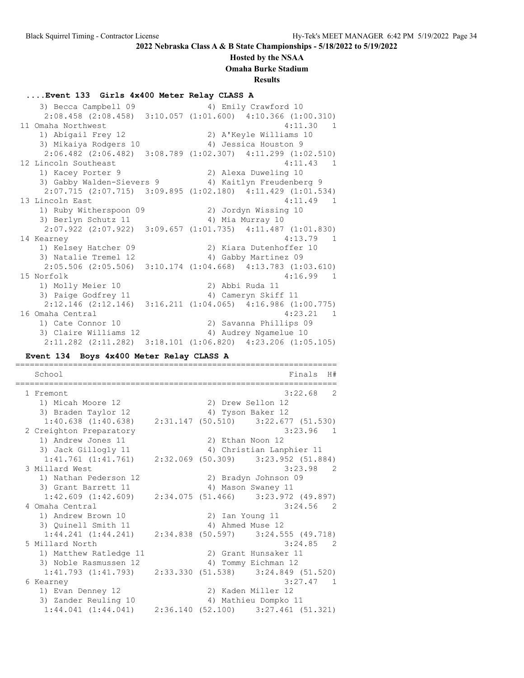#### **Hosted by the NSAA**

**Omaha Burke Stadium**

**Results**

#### **....Event 133 Girls 4x400 Meter Relay CLASS A**

3) Becca Campbell 09 4) Emily Crawford 10 2:08.458 (2:08.458) 3:10.057 (1:01.600) 4:10.366 (1:00.310) 11 Omaha Northwest 4:11.30 1 1) Abigail Frey 12 2) A'Keyle Williams 10 3) Mikaiya Rodgers 10 4) Jessica Houston 9 2:06.482 (2:06.482) 3:08.789 (1:02.307) 4:11.299 (1:02.510) 12 Lincoln Southeast 4:11.43 1 1) Kacey Porter 9 2) Alexa Duweling 10 3) Gabby Walden-Sievers 9 4) Kaitlyn Freudenberg 9 2:07.715 (2:07.715) 3:09.895 (1:02.180) 4:11.429 (1:01.534) 13 Lincoln East 4:11.49 1 1) Ruby Witherspoon 09 2) Jordyn Wissing 10 3) Berlyn Schutz 11 (4) Mia Murray 10 2:07.922 (2:07.922) 3:09.657 (1:01.735) 4:11.487 (1:01.830) 14 Kearney 4:13.79 1 1) Kelsey Hatcher 09 2) Kiara Dutenhoffer 10 3) Natalie Tremel 12 1988 (4) Gabby Martinez 09 2:05.506 (2:05.506) 3:10.174 (1:04.668) 4:13.783 (1:03.610) 15 Norfolk 4:16.99 1 1) Molly Meier 10 2) Abbi Ruda 11 3) Paige Godfrey 11 (4) Cameryn Skiff 11 2:12.146 (2:12.146) 3:16.211 (1:04.065) 4:16.986 (1:00.775) 16 Omaha Central 4:23.21 1 1) Cate Connor 10 2) Savanna Phillips 09 3) Claire Williams 12 4) Audrey Ngamelue 10 2:11.282 (2:11.282) 3:18.101 (1:06.820) 4:23.206 (1:05.105)

#### **Event 134 Boys 4x400 Meter Relay CLASS A**

=================================================================== School Finals H# =================================================================== 1 Fremont 3:22.68 2 1) Micah Moore 12 2) Drew Sellon 12 3) Braden Taylor 12 (4) Tyson Baker 12 1:40.638 (1:40.638) 2:31.147 (50.510) 3:22.677 (51.530) 2 Creighton Preparatory 3:23.96 1 1) Andrew Jones 11 2) Ethan Noon 12 3) Jack Gillogly 11 4) Christian Lanphier 11 1:41.761 (1:41.761) 2:32.069 (50.309) 3:23.952 (51.884) 3 Millard West 3:23.98 2 1) Nathan Pederson 12 2) Bradyn Johnson 09 3) Grant Barrett 11 4) Mason Swaney 11 1:42.609 (1:42.609) 2:34.075 (51.466) 3:23.972 (49.897) 4 Omaha Central 3:24.56 2 1) Andrew Brown 10 2) Ian Young 11 3) Quinell Smith 11 4) Ahmed Muse 12 1:44.241 (1:44.241) 2:34.838 (50.597) 3:24.555 (49.718) 5 Millard North 3:24.85 2 1) Matthew Ratledge 11 2) Grant Hunsaker 11 3) Noble Rasmussen 12 4) Tommy Eichman 12 1:41.793 (1:41.793) 2:33.330 (51.538) 3:24.849 (51.520) 6 Kearney 3:27.47 1 1) Evan Denney 12 2) Kaden Miller 12 3) Zander Reuling 10 10 10 4) Mathieu Dompko 11 1:44.041 (1:44.041) 2:36.140 (52.100) 3:27.461 (51.321)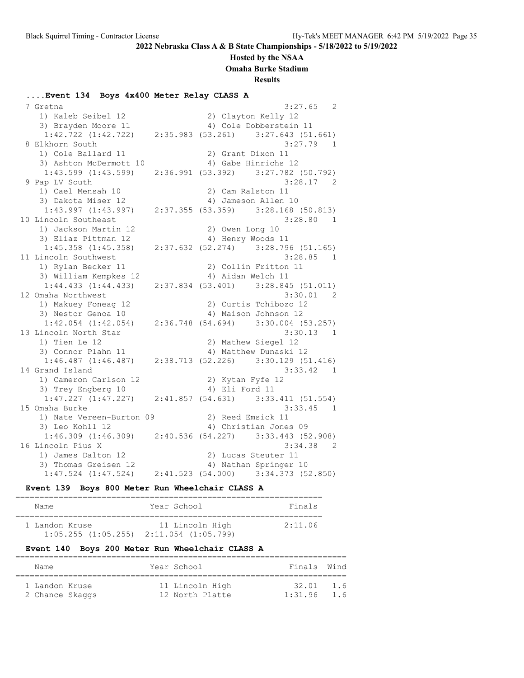#### **Hosted by the NSAA**

**Omaha Burke Stadium**

**Results**

#### **....Event 134 Boys 4x400 Meter Relay CLASS A** 7 Gretna 3:27.65 2 1) Kaleb Seibel 12 2) Clayton Kelly 12 3) Brayden Moore 11 4) Cole Dobberstein 11 1:42.722 (1:42.722) 2:35.983 (53.261) 3:27.643 (51.661) 8 Elkhorn South 3:27.79 1 1) Cole Ballard 11 2) Grant Dixon 11 3) Ashton McDermott 10 4) Gabe Hinrichs 12 1:43.599 (1:43.599) 2:36.991 (53.392) 3:27.782 (50.792) 9 Pap LV South 3:28.17 2 1) Cael Mensah 10 2) Cam Ralston 11 3) Dakota Miser 12 (4) Jameson Allen 10 1:43.997 (1:43.997) 2:37.355 (53.359) 3:28.168 (50.813) 10 Lincoln Southeast 3:28.80 1<br>1) Jackson Martin 12 2) Owen Long 10 1) Jackson Martin 12 3) Eliaz Pittman 12 4) Henry Woods 11 1:45.358 (1:45.358) 2:37.632 (52.274) 3:28.796 (51.165) 11 Lincoln Southwest 3:28.85 1 1) Rylan Becker 11 2) Collin Fritton 11 3) William Kempkes 12 4) Aidan Welch 11 1:44.433 (1:44.433) 2:37.834 (53.401) 3:28.845 (51.011) 12 Omaha Northwest 3:30.01 2 1) Makuey Foneag 12 2) Curtis Tchibozo 12 3) Nestor Genoa 10 10 10 4) Maison Johnson 12 1:42.054 (1:42.054) 2:36.748 (54.694) 3:30.004 (53.257) 13 Lincoln North Star 3:30.13 1 1) Tien Le 12 2) Mathew Siegel 12 3) Connor Plahn 11 4) Matthew Dunaski 12 1:46.487 (1:46.487) 2:38.713 (52.226) 3:30.129 (51.416) 14 Grand Island 3:33.42 1 1) Cameron Carlson 12 2) Kytan Fyfe 12 3) Trey Engberg 10 4) Eli Ford 11 1:47.227 (1:47.227) 2:41.857 (54.631) 3:33.411 (51.554) 15 Omaha Burke 3:33.45 1 1) Nate Vereen-Burton 09 2) Reed Emsick 11 3) Leo Kohll 12 4) Christian Jones 09 1:46.309 (1:46.309) 2:40.536 (54.227) 3:33.443 (52.908) 16 Lincoln Pius X 3:34.38 2 1) James Dalton 12 2) Lucas Steuter 11 3) Thomas Greisen 12 4) Nathan Springer 10 1:47.524 (1:47.524) 2:41.523 (54.000) 3:34.373 (52.850)

#### **Event 139 Boys 800 Meter Run Wheelchair CLASS A**

| Name           | Year School                                     | Finals  |
|----------------|-------------------------------------------------|---------|
| 1 Landon Kruse | 11 Lincoln High                                 | 2:11.06 |
|                | $1:05.255$ $(1:05.255)$ $2:11.054$ $(1:05.799)$ |         |

#### **Event 140 Boys 200 Meter Run Wheelchair CLASS A**

| Name            |  | Year School     | Finals Wind |     |
|-----------------|--|-----------------|-------------|-----|
|                 |  |                 |             |     |
| 1 Landon Kruse  |  | 11 Lincoln High | 32.01       | 1.6 |
| 2 Chance Skaggs |  | 12 North Platte | 1:31.96     | 1.6 |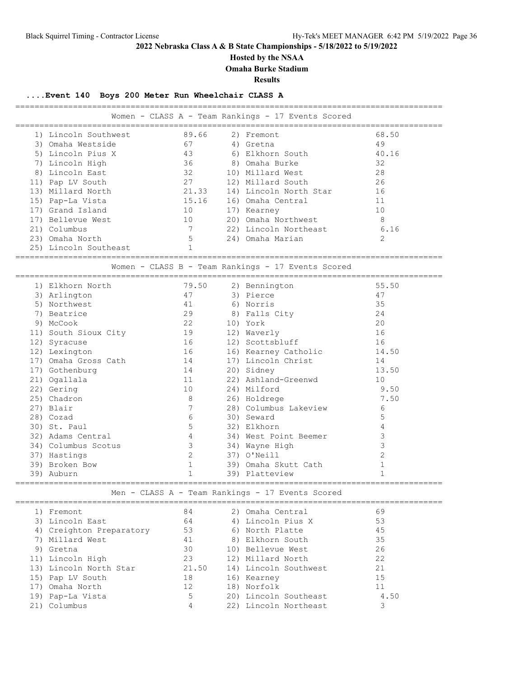**Hosted by the NSAA**

**Omaha Burke Stadium**

**Results**

# **....Event 140 Boys 200 Meter Run Wheelchair CLASS A**

| Women - CLASS A - Team Rankings - 17 Events Scored                                                                      |                          |                |  |                                                    |                |  |  |  |
|-------------------------------------------------------------------------------------------------------------------------|--------------------------|----------------|--|----------------------------------------------------|----------------|--|--|--|
|                                                                                                                         | 1) Lincoln Southwest     | 89.66          |  | 2) Fremont                                         | 68.50          |  |  |  |
|                                                                                                                         | 3) Omaha Westside        | 67             |  | 4) Gretna                                          | 49             |  |  |  |
|                                                                                                                         | 5) Lincoln Pius X        | 43             |  | 6) Elkhorn South                                   | 40.16          |  |  |  |
|                                                                                                                         | 7) Lincoln High          | 36             |  | 8) Omaha Burke                                     | 32             |  |  |  |
|                                                                                                                         | 8) Lincoln East          | 32             |  | 10) Millard West                                   | 28             |  |  |  |
|                                                                                                                         | 11) Pap LV South         | 27             |  | 12) Millard South                                  | 26             |  |  |  |
|                                                                                                                         | 13) Millard North        | 21.33          |  | 14) Lincoln North Star                             | 16             |  |  |  |
|                                                                                                                         | 15) Pap-La Vista         | 15.16          |  | 16) Omaha Central                                  | 11             |  |  |  |
|                                                                                                                         | 17) Grand Island         | 10             |  | 17) Kearney                                        | 10             |  |  |  |
|                                                                                                                         | 17) Bellevue West        | 10             |  | 20) Omaha Northwest                                | 8              |  |  |  |
|                                                                                                                         | 21) Columbus             | 7              |  | 22) Lincoln Northeast                              | 6.16           |  |  |  |
|                                                                                                                         | 23) Omaha North          | 5              |  | 24) Omaha Marian                                   | 2              |  |  |  |
|                                                                                                                         | 25) Lincoln Southeast    | $\mathbf{1}$   |  |                                                    |                |  |  |  |
|                                                                                                                         |                          |                |  | Women - CLASS B - Team Rankings - 17 Events Scored |                |  |  |  |
|                                                                                                                         | 1) Elkhorn North         | 79.50          |  | 2) Bennington                                      | 55.50          |  |  |  |
|                                                                                                                         | 3) Arlington             | 47             |  | 3) Pierce                                          | 47             |  |  |  |
|                                                                                                                         | 5) Northwest             | 41             |  | 6) Norris                                          | 35             |  |  |  |
|                                                                                                                         | 7) Beatrice              | 29             |  | 8) Falls City                                      | 24             |  |  |  |
|                                                                                                                         | 9) McCook                | 22             |  | 10) York                                           | 20             |  |  |  |
|                                                                                                                         | 11) South Sioux City     | 19             |  | 12) Waverly                                        | 16             |  |  |  |
|                                                                                                                         | 12) Syracuse             | 16             |  | 12) Scottsbluff                                    | 16             |  |  |  |
|                                                                                                                         | 12) Lexington            | 16             |  | 16) Kearney Catholic                               | 14.50          |  |  |  |
|                                                                                                                         | 17) Omaha Gross Cath     | 14             |  | 17) Lincoln Christ                                 | 14             |  |  |  |
|                                                                                                                         | 17) Gothenburg           | 14             |  | 20) Sidney                                         | 13.50          |  |  |  |
|                                                                                                                         | 21) Ogallala             | 11             |  | 22) Ashland-Greenwd                                | 10             |  |  |  |
|                                                                                                                         | 22) Gering               | 10             |  | 24) Milford                                        | 9.50           |  |  |  |
|                                                                                                                         | 25) Chadron              | 8              |  | 26) Holdrege                                       | 7.50           |  |  |  |
|                                                                                                                         | 27) Blair                | 7              |  | 28) Columbus Lakeview                              | 6              |  |  |  |
|                                                                                                                         | 28) Cozad                | 6              |  | 30) Seward                                         | 5              |  |  |  |
|                                                                                                                         | 30) St. Paul             | 5              |  | 32) Elkhorn                                        | 4              |  |  |  |
|                                                                                                                         | 32) Adams Central        | 4              |  | 34) West Point Beemer                              | 3              |  |  |  |
|                                                                                                                         | 34) Columbus Scotus      | 3              |  | 34) Wayne High                                     | 3              |  |  |  |
|                                                                                                                         | 37) Hastings             | $\overline{2}$ |  | 37) O'Neill                                        | $\overline{2}$ |  |  |  |
|                                                                                                                         | 39) Broken Bow           | $\mathbf{1}$   |  | 39) Omaha Skutt Cath                               | $\mathbf 1$    |  |  |  |
|                                                                                                                         | 39) Auburn               | $\mathbf{1}$   |  | 39) Platteview                                     | $\mathbf{1}$   |  |  |  |
| Men - CLASS A - Team Rankings - 17 Events Scored<br>===========================<br>------------------------------------ |                          |                |  |                                                    |                |  |  |  |
|                                                                                                                         | 1) Fremont               | 84             |  | 2) Omaha Central                                   | 69             |  |  |  |
|                                                                                                                         | 3) Lincoln East          | 64             |  | 4) Lincoln Pius X                                  | 53             |  |  |  |
|                                                                                                                         | 4) Creighton Preparatory | 53             |  | 6) North Platte                                    | 45             |  |  |  |
|                                                                                                                         | 7) Millard West          | 41             |  | 8) Elkhorn South                                   | 35             |  |  |  |
|                                                                                                                         | 9) Gretna                | 30             |  | 10) Bellevue West                                  | 26             |  |  |  |
|                                                                                                                         | 11) Lincoln High         | 23             |  | 12) Millard North                                  | 22             |  |  |  |
|                                                                                                                         | 13) Lincoln North Star   | 21.50          |  | 14) Lincoln Southwest                              | 21             |  |  |  |
|                                                                                                                         | 15) Pap LV South         | 18             |  | 16) Kearney                                        | 15             |  |  |  |
|                                                                                                                         | 17) Omaha North          | 12             |  | 18) Norfolk                                        | 11             |  |  |  |
|                                                                                                                         | 19) Pap-La Vista         | 5              |  | 20) Lincoln Southeast                              | 4.50           |  |  |  |
|                                                                                                                         | 21) Columbus             | 4              |  | 22) Lincoln Northeast                              | 3              |  |  |  |